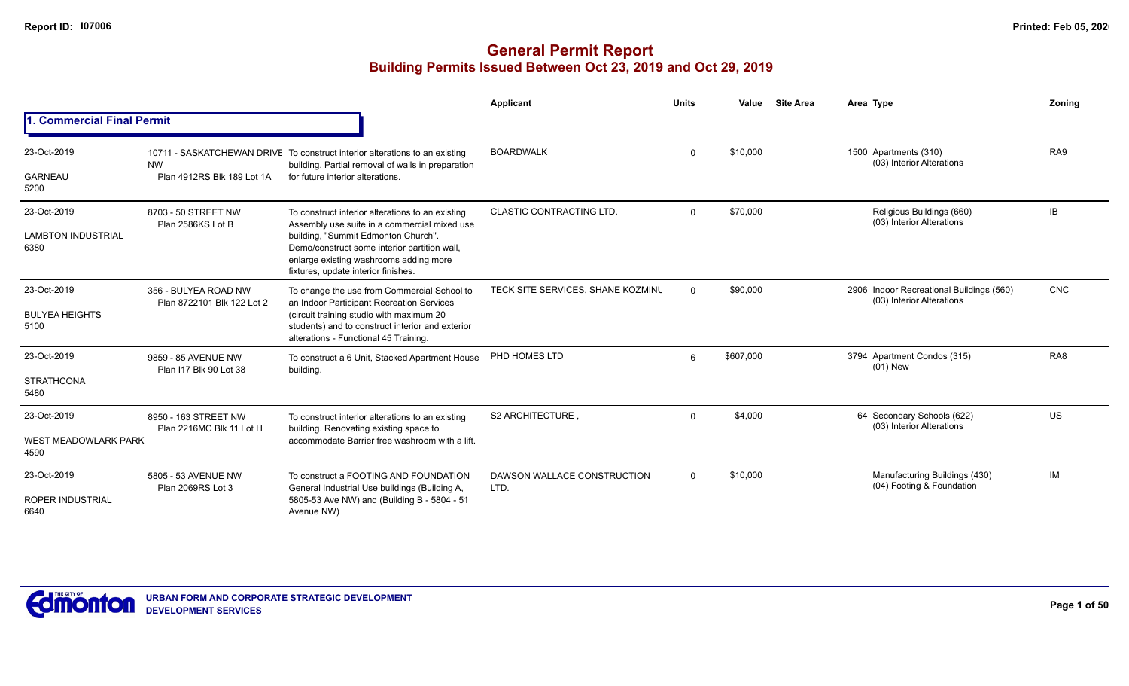|                                                    |                                                    |                                                                                                                                                                                                                                                                          | Applicant                           | <b>Units</b> | Value     | <b>Site Area</b> | Area Type                                                             | Zoning          |
|----------------------------------------------------|----------------------------------------------------|--------------------------------------------------------------------------------------------------------------------------------------------------------------------------------------------------------------------------------------------------------------------------|-------------------------------------|--------------|-----------|------------------|-----------------------------------------------------------------------|-----------------|
| 1. Commercial Final Permit                         |                                                    |                                                                                                                                                                                                                                                                          |                                     |              |           |                  |                                                                       |                 |
| 23-Oct-2019<br><b>GARNEAU</b><br>5200              | <b>NW</b><br>Plan 4912RS Blk 189 Lot 1A            | 10711 - SASKATCHEWAN DRIVE To construct interior alterations to an existing<br>building. Partial removal of walls in preparation<br>for future interior alterations.                                                                                                     | <b>BOARDWALK</b>                    | $\Omega$     | \$10,000  |                  | 1500 Apartments (310)<br>(03) Interior Alterations                    | RA <sub>9</sub> |
| 23-Oct-2019<br><b>LAMBTON INDUSTRIAL</b><br>6380   | 8703 - 50 STREET NW<br>Plan 2586KS Lot B           | To construct interior alterations to an existing<br>Assembly use suite in a commercial mixed use<br>building, "Summit Edmonton Church".<br>Demo/construct some interior partition wall,<br>enlarge existing washrooms adding more<br>fixtures, update interior finishes. | <b>CLASTIC CONTRACTING LTD.</b>     | $\Omega$     | \$70,000  |                  | Religious Buildings (660)<br>(03) Interior Alterations                | IB              |
| 23-Oct-2019<br><b>BULYEA HEIGHTS</b><br>5100       | 356 - BULYEA ROAD NW<br>Plan 8722101 Blk 122 Lot 2 | To change the use from Commercial School to<br>an Indoor Participant Recreation Services<br>(circuit training studio with maximum 20<br>students) and to construct interior and exterior<br>alterations - Functional 45 Training.                                        | TECK SITE SERVICES, SHANE KOZMINU   | $\Omega$     | \$90,000  |                  | 2906 Indoor Recreational Buildings (560)<br>(03) Interior Alterations | <b>CNC</b>      |
| 23-Oct-2019<br><b>STRATHCONA</b><br>5480           | 9859 - 85 AVENUE NW<br>Plan I17 Blk 90 Lot 38      | To construct a 6 Unit, Stacked Apartment House<br>building.                                                                                                                                                                                                              | PHD HOMES LTD                       | 6            | \$607.000 |                  | 3794 Apartment Condos (315)<br>$(01)$ New                             | RA <sub>8</sub> |
| 23-Oct-2019<br><b>WEST MEADOWLARK PARK</b><br>4590 | 8950 - 163 STREET NW<br>Plan 2216MC Blk 11 Lot H   | To construct interior alterations to an existing<br>building. Renovating existing space to<br>accommodate Barrier free washroom with a lift.                                                                                                                             | S2 ARCHITECTURE.                    | $\Omega$     | \$4,000   |                  | 64 Secondary Schools (622)<br>(03) Interior Alterations               | <b>US</b>       |
| 23-Oct-2019<br><b>ROPER INDUSTRIAL</b><br>6640     | 5805 - 53 AVENUE NW<br>Plan 2069RS Lot 3           | To construct a FOOTING AND FOUNDATION<br>General Industrial Use buildings (Building A,<br>5805-53 Ave NW) and (Building B - 5804 - 51<br>Avenue NW)                                                                                                                      | DAWSON WALLACE CONSTRUCTION<br>LTD. | $\Omega$     | \$10,000  |                  | Manufacturing Buildings (430)<br>(04) Footing & Foundation            | IM              |

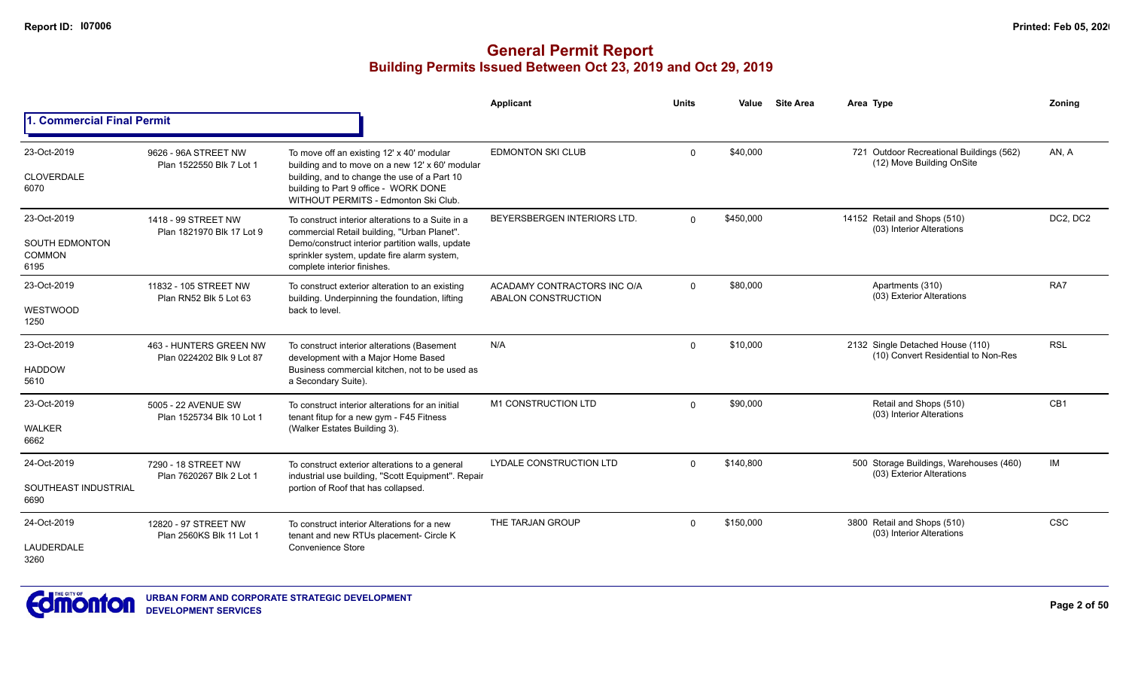|                                                        |                                                     |                                                                                                                                                                                                                                   | Applicant                                          | <b>Units</b> | Value     | <b>Site Area</b> | Area Type                                                               | Zoning          |
|--------------------------------------------------------|-----------------------------------------------------|-----------------------------------------------------------------------------------------------------------------------------------------------------------------------------------------------------------------------------------|----------------------------------------------------|--------------|-----------|------------------|-------------------------------------------------------------------------|-----------------|
| 1. Commercial Final Permit                             |                                                     |                                                                                                                                                                                                                                   |                                                    |              |           |                  |                                                                         |                 |
| 23-Oct-2019<br><b>CLOVERDALE</b><br>6070               | 9626 - 96A STREET NW<br>Plan 1522550 Blk 7 Lot 1    | To move off an existing 12' x 40' modular<br>building and to move on a new 12' x 60' modular<br>building, and to change the use of a Part 10<br>building to Part 9 office - WORK DONE<br>WITHOUT PERMITS - Edmonton Ski Club.     | <b>EDMONTON SKI CLUB</b>                           | $\Omega$     | \$40,000  |                  | 721 Outdoor Recreational Buildings (562)<br>(12) Move Building OnSite   | AN, A           |
| 23-Oct-2019<br>SOUTH EDMONTON<br><b>COMMON</b><br>6195 | 1418 - 99 STREET NW<br>Plan 1821970 Blk 17 Lot 9    | To construct interior alterations to a Suite in a<br>commercial Retail building, "Urban Planet".<br>Demo/construct interior partition walls, update<br>sprinkler system, update fire alarm system,<br>complete interior finishes. | BEYERSBERGEN INTERIORS LTD.                        | $\Omega$     | \$450,000 |                  | 14152 Retail and Shops (510)<br>(03) Interior Alterations               | DC2, DC2        |
| 23-Oct-2019<br>WESTWOOD<br>1250                        | 11832 - 105 STREET NW<br>Plan RN52 Blk 5 Lot 63     | To construct exterior alteration to an existing<br>building. Underpinning the foundation, lifting<br>back to level.                                                                                                               | ACADAMY CONTRACTORS INC O/A<br>ABALON CONSTRUCTION | $\mathbf 0$  | \$80,000  |                  | Apartments (310)<br>(03) Exterior Alterations                           | RA7             |
| 23-Oct-2019<br><b>HADDOW</b><br>5610                   | 463 - HUNTERS GREEN NW<br>Plan 0224202 Blk 9 Lot 87 | To construct interior alterations (Basement<br>development with a Major Home Based<br>Business commercial kitchen, not to be used as<br>a Secondary Suite).                                                                       | N/A                                                | $\mathbf 0$  | \$10,000  |                  | 2132 Single Detached House (110)<br>(10) Convert Residential to Non-Res | <b>RSL</b>      |
| 23-Oct-2019<br><b>WALKER</b><br>6662                   | 5005 - 22 AVENUE SW<br>Plan 1525734 Blk 10 Lot 1    | To construct interior alterations for an initial<br>tenant fitup for a new gym - F45 Fitness<br>(Walker Estates Building 3).                                                                                                      | <b>M1 CONSTRUCTION LTD</b>                         | $\Omega$     | \$90,000  |                  | Retail and Shops (510)<br>(03) Interior Alterations                     | CB <sub>1</sub> |
| 24-Oct-2019<br>SOUTHEAST INDUSTRIAL<br>6690            | 7290 - 18 STREET NW<br>Plan 7620267 Blk 2 Lot 1     | To construct exterior alterations to a general<br>industrial use building, "Scott Equipment". Repair<br>portion of Roof that has collapsed.                                                                                       | LYDALE CONSTRUCTION LTD                            | $\Omega$     | \$140,800 |                  | 500 Storage Buildings, Warehouses (460)<br>(03) Exterior Alterations    | IM              |
| 24-Oct-2019<br>LAUDERDALE<br>3260                      | 12820 - 97 STREET NW<br>Plan 2560KS Blk 11 Lot 1    | To construct interior Alterations for a new<br>tenant and new RTUs placement- Circle K<br><b>Convenience Store</b>                                                                                                                | THE TARJAN GROUP                                   | $\Omega$     | \$150,000 |                  | 3800 Retail and Shops (510)<br>(03) Interior Alterations                | <b>CSC</b>      |

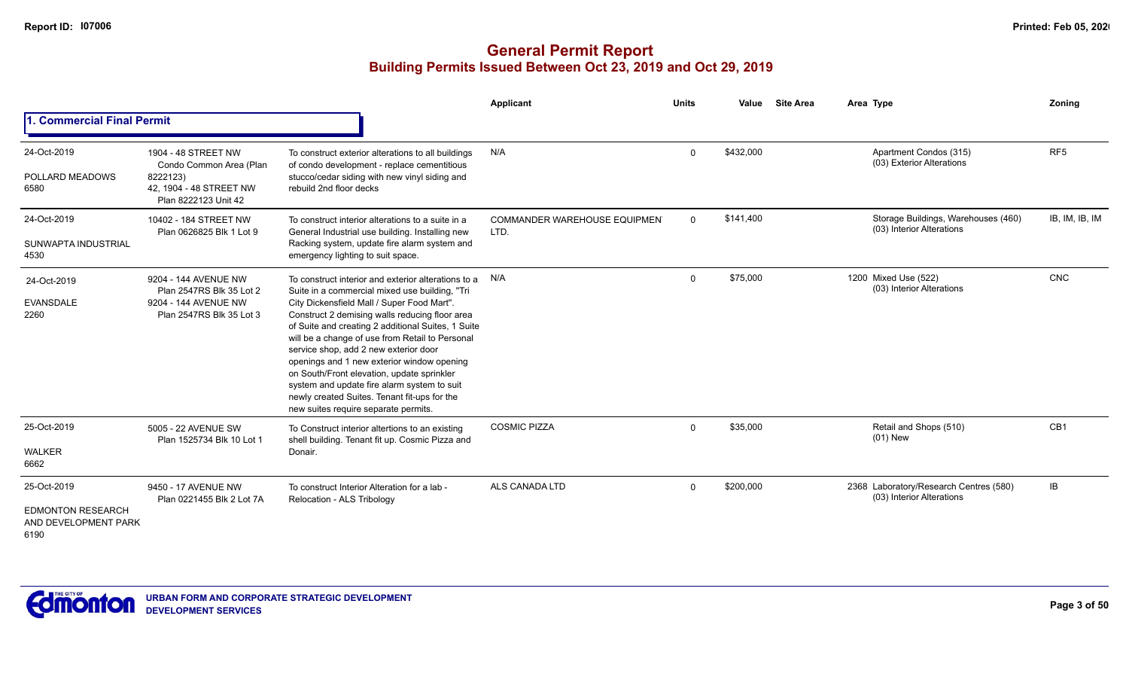|                                                                         |                                                                                                               |                                                                                                                                                                                                                                                                                                                                                                                                                                                                                                                                                                                                | Applicant                            | <b>Units</b> | Value     | Site Area | Area Type                                                           | Zoning          |
|-------------------------------------------------------------------------|---------------------------------------------------------------------------------------------------------------|------------------------------------------------------------------------------------------------------------------------------------------------------------------------------------------------------------------------------------------------------------------------------------------------------------------------------------------------------------------------------------------------------------------------------------------------------------------------------------------------------------------------------------------------------------------------------------------------|--------------------------------------|--------------|-----------|-----------|---------------------------------------------------------------------|-----------------|
| <b>Commercial Final Permit</b>                                          |                                                                                                               |                                                                                                                                                                                                                                                                                                                                                                                                                                                                                                                                                                                                |                                      |              |           |           |                                                                     |                 |
| 24-Oct-2019<br>POLLARD MEADOWS<br>6580                                  | 1904 - 48 STREET NW<br>Condo Common Area (Plan<br>8222123)<br>42, 1904 - 48 STREET NW<br>Plan 8222123 Unit 42 | To construct exterior alterations to all buildings<br>of condo development - replace cementitious<br>stucco/cedar siding with new vinyl siding and<br>rebuild 2nd floor decks                                                                                                                                                                                                                                                                                                                                                                                                                  | N/A                                  | $\Omega$     | \$432,000 |           | Apartment Condos (315)<br>(03) Exterior Alterations                 | RF <sub>5</sub> |
| 24-Oct-2019<br>SUNWAPTA INDUSTRIAL<br>4530                              | 10402 - 184 STREET NW<br>Plan 0626825 Blk 1 Lot 9                                                             | To construct interior alterations to a suite in a<br>General Industrial use building. Installing new<br>Racking system, update fire alarm system and<br>emergency lighting to suit space.                                                                                                                                                                                                                                                                                                                                                                                                      | COMMANDER WAREHOUSE EQUIPMEN<br>LTD. | $\Omega$     | \$141,400 |           | Storage Buildings, Warehouses (460)<br>(03) Interior Alterations    | IB, IM, IB, IM  |
| 24-Oct-2019<br><b>EVANSDALE</b><br>2260                                 | 9204 - 144 AVENUE NW<br>Plan 2547RS Blk 35 Lot 2<br>9204 - 144 AVENUE NW<br>Plan 2547RS Blk 35 Lot 3          | To construct interior and exterior alterations to a N/A<br>Suite in a commercial mixed use building. "Tri<br>City Dickensfield Mall / Super Food Mart".<br>Construct 2 demising walls reducing floor area<br>of Suite and creating 2 additional Suites, 1 Suite<br>will be a change of use from Retail to Personal<br>service shop, add 2 new exterior door<br>openings and 1 new exterior window opening<br>on South/Front elevation, update sprinkler<br>system and update fire alarm system to suit<br>newly created Suites. Tenant fit-ups for the<br>new suites require separate permits. |                                      | $\mathbf 0$  | \$75,000  |           | 1200 Mixed Use (522)<br>(03) Interior Alterations                   | <b>CNC</b>      |
| 25-Oct-2019<br>WALKER<br>6662                                           | 5005 - 22 AVENUE SW<br>Plan 1525734 Blk 10 Lot 1                                                              | To Construct interior altertions to an existing<br>shell building. Tenant fit up. Cosmic Pizza and<br>Donair.                                                                                                                                                                                                                                                                                                                                                                                                                                                                                  | <b>COSMIC PIZZA</b>                  | $\mathbf 0$  | \$35,000  |           | Retail and Shops (510)<br>$(01)$ New                                | CB1             |
| 25-Oct-2019<br><b>EDMONTON RESEARCH</b><br>AND DEVELOPMENT PARK<br>6190 | 9450 - 17 AVENUE NW<br>Plan 0221455 Blk 2 Lot 7A                                                              | To construct Interior Alteration for a lab -<br>Relocation - ALS Tribology                                                                                                                                                                                                                                                                                                                                                                                                                                                                                                                     | ALS CANADA LTD                       | $\Omega$     | \$200,000 |           | 2368 Laboratory/Research Centres (580)<br>(03) Interior Alterations | IB              |

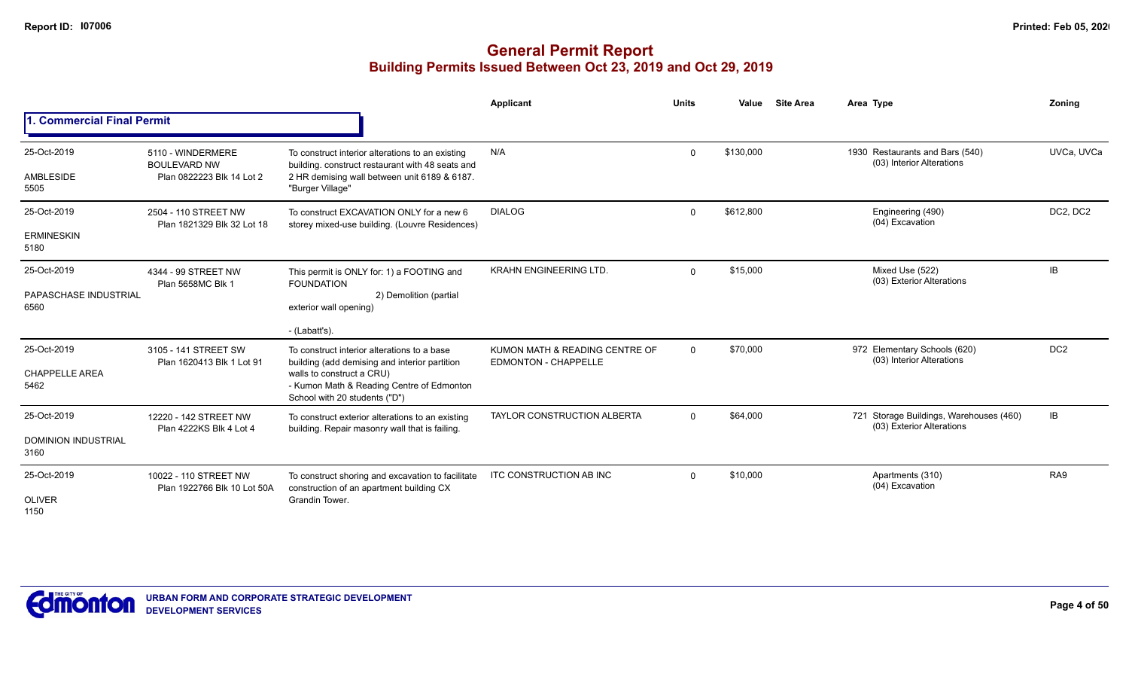|                                                   |                                                                       |                                                                                                                                                                                                         | Applicant                                                     | <b>Units</b>   | Value     | <b>Site Area</b> | Area Type                                                            | <b>Zoning</b>   |
|---------------------------------------------------|-----------------------------------------------------------------------|---------------------------------------------------------------------------------------------------------------------------------------------------------------------------------------------------------|---------------------------------------------------------------|----------------|-----------|------------------|----------------------------------------------------------------------|-----------------|
| 1. Commercial Final Permit                        |                                                                       |                                                                                                                                                                                                         |                                                               |                |           |                  |                                                                      |                 |
| 25-Oct-2019<br><b>AMBLESIDE</b><br>5505           | 5110 - WINDERMERE<br><b>BOULEVARD NW</b><br>Plan 0822223 Blk 14 Lot 2 | To construct interior alterations to an existing<br>building. construct restaurant with 48 seats and<br>2 HR demising wall between unit 6189 & 6187.<br>"Burger Village"                                | N/A                                                           | $\Omega$       | \$130,000 |                  | 1930 Restaurants and Bars (540)<br>(03) Interior Alterations         | UVCa, UVCa      |
| 25-Oct-2019<br><b>ERMINESKIN</b><br>5180          | 2504 - 110 STREET NW<br>Plan 1821329 Blk 32 Lot 18                    | To construct EXCAVATION ONLY for a new 6<br>storey mixed-use building. (Louvre Residences)                                                                                                              | <b>DIALOG</b>                                                 | $\Omega$       | \$612,800 |                  | Engineering (490)<br>(04) Excavation                                 | DC2, DC2        |
| 25-Oct-2019<br>PAPASCHASE INDUSTRIAL<br>6560      | 4344 - 99 STREET NW<br>Plan 5658MC Blk 1                              | This permit is ONLY for: 1) a FOOTING and<br><b>FOUNDATION</b><br>2) Demolition (partial<br>exterior wall opening)<br>- (Labatt's).                                                                     | <b>KRAHN ENGINEERING LTD.</b>                                 | $\Omega$       | \$15,000  |                  | Mixed Use (522)<br>(03) Exterior Alterations                         | IB              |
| 25-Oct-2019<br>CHAPPELLE AREA<br>5462             | 3105 - 141 STREET SW<br>Plan 1620413 Blk 1 Lot 91                     | To construct interior alterations to a base<br>building (add demising and interior partition<br>walls to construct a CRU)<br>- Kumon Math & Reading Centre of Edmonton<br>School with 20 students ("D") | KUMON MATH & READING CENTRE OF<br><b>EDMONTON - CHAPPELLE</b> | $\overline{0}$ | \$70,000  |                  | 972 Elementary Schools (620)<br>(03) Interior Alterations            | DC <sub>2</sub> |
| 25-Oct-2019<br><b>DOMINION INDUSTRIAL</b><br>3160 | 12220 - 142 STREET NW<br>Plan 4222KS Blk 4 Lot 4                      | To construct exterior alterations to an existing<br>building. Repair masonry wall that is failing.                                                                                                      | <b>TAYLOR CONSTRUCTION ALBERTA</b>                            | $\Omega$       | \$64,000  |                  | 721 Storage Buildings, Warehouses (460)<br>(03) Exterior Alterations | IB              |
| 25-Oct-2019<br><b>OLIVER</b><br>1150              | 10022 - 110 STREET NW<br>Plan 1922766 Blk 10 Lot 50A                  | To construct shoring and excavation to facilitate<br>construction of an apartment building CX<br>Grandin Tower.                                                                                         | ITC CONSTRUCTION AB INC                                       | $\Omega$       | \$10,000  |                  | Apartments (310)<br>(04) Excavation                                  | RA <sub>9</sub> |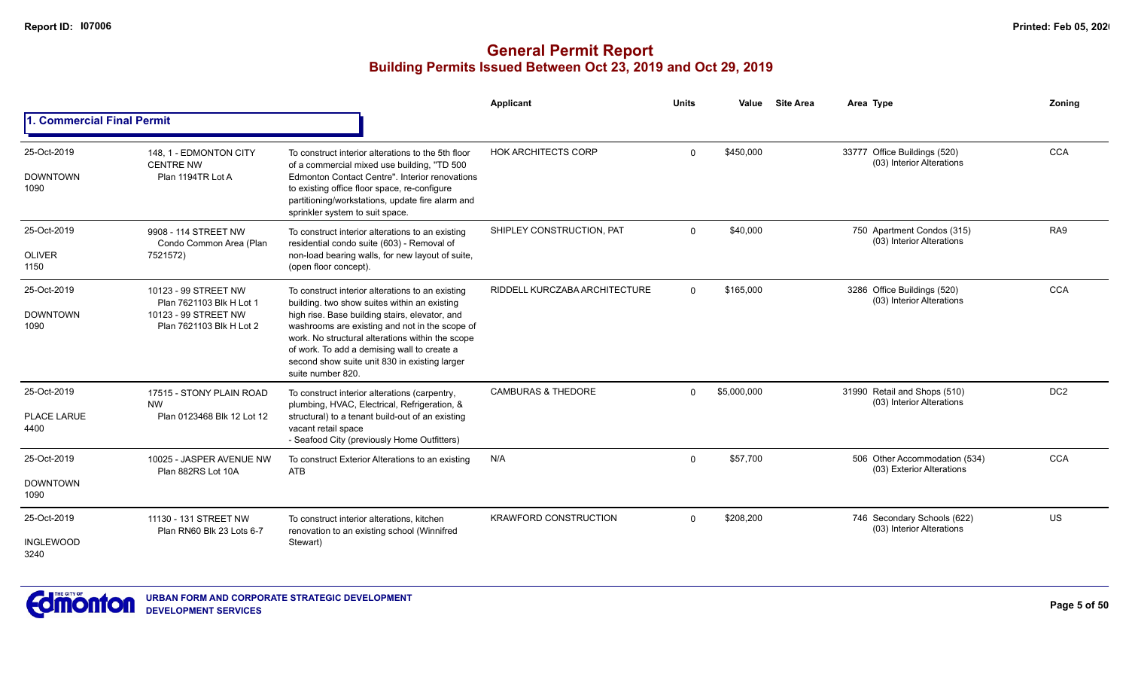|                                         |                                                                                                      |                                                                                                                                                                                                                                                                                                                                                                               | Applicant                     | <b>Units</b> | Value       | <b>Site Area</b> | Area Type                                                  | Zonina          |
|-----------------------------------------|------------------------------------------------------------------------------------------------------|-------------------------------------------------------------------------------------------------------------------------------------------------------------------------------------------------------------------------------------------------------------------------------------------------------------------------------------------------------------------------------|-------------------------------|--------------|-------------|------------------|------------------------------------------------------------|-----------------|
| 1. Commercial Final Permit              |                                                                                                      |                                                                                                                                                                                                                                                                                                                                                                               |                               |              |             |                  |                                                            |                 |
| 25-Oct-2019<br><b>DOWNTOWN</b><br>1090  | 148.1 - EDMONTON CITY<br><b>CENTRE NW</b><br>Plan 1194TR Lot A                                       | To construct interior alterations to the 5th floor<br>of a commercial mixed use building. "TD 500<br>Edmonton Contact Centre". Interior renovations<br>to existing office floor space, re-configure<br>partitioning/workstations, update fire alarm and<br>sprinkler system to suit space.                                                                                    | <b>HOK ARCHITECTS CORP</b>    | $\Omega$     | \$450.000   |                  | 33777 Office Buildings (520)<br>(03) Interior Alterations  | <b>CCA</b>      |
| 25-Oct-2019<br><b>OLIVER</b><br>1150    | 9908 - 114 STREET NW<br>Condo Common Area (Plan<br>7521572)                                          | To construct interior alterations to an existing<br>residential condo suite (603) - Removal of<br>non-load bearing walls, for new layout of suite,<br>(open floor concept).                                                                                                                                                                                                   | SHIPLEY CONSTRUCTION, PAT     | $\Omega$     | \$40,000    |                  | 750 Apartment Condos (315)<br>(03) Interior Alterations    | RA9             |
| 25-Oct-2019<br><b>DOWNTOWN</b><br>1090  | 10123 - 99 STREET NW<br>Plan 7621103 Blk H Lot 1<br>10123 - 99 STREET NW<br>Plan 7621103 Blk H Lot 2 | To construct interior alterations to an existing<br>building, two show suites within an existing<br>high rise. Base building stairs, elevator, and<br>washrooms are existing and not in the scope of<br>work. No structural alterations within the scope<br>of work. To add a demising wall to create a<br>second show suite unit 830 in existing larger<br>suite number 820. | RIDDELL KURCZABA ARCHITECTURE | $\Omega$     | \$165,000   |                  | 3286 Office Buildings (520)<br>(03) Interior Alterations   | <b>CCA</b>      |
| 25-Oct-2019<br>PLACE LARUE<br>4400      | 17515 - STONY PLAIN ROAD<br><b>NW</b><br>Plan 0123468 Blk 12 Lot 12                                  | To construct interior alterations (carpentry,<br>plumbing, HVAC, Electrical, Refrigeration, &<br>structural) to a tenant build-out of an existing<br>vacant retail space<br>- Seafood City (previously Home Outfitters)                                                                                                                                                       | <b>CAMBURAS &amp; THEDORE</b> | $\Omega$     | \$5,000,000 |                  | 31990 Retail and Shops (510)<br>(03) Interior Alterations  | DC <sub>2</sub> |
| 25-Oct-2019<br><b>DOWNTOWN</b><br>1090  | 10025 - JASPER AVENUE NW<br>Plan 882RS Lot 10A                                                       | To construct Exterior Alterations to an existing<br><b>ATB</b>                                                                                                                                                                                                                                                                                                                | N/A                           | $\Omega$     | \$57,700    |                  | 506 Other Accommodation (534)<br>(03) Exterior Alterations | <b>CCA</b>      |
| 25-Oct-2019<br><b>INGLEWOOD</b><br>3240 | 11130 - 131 STREET NW<br>Plan RN60 Blk 23 Lots 6-7                                                   | To construct interior alterations, kitchen<br>renovation to an existing school (Winnifred<br>Stewart)                                                                                                                                                                                                                                                                         | <b>KRAWFORD CONSTRUCTION</b>  | $\Omega$     | \$208,200   |                  | 746 Secondary Schools (622)<br>(03) Interior Alterations   | US              |

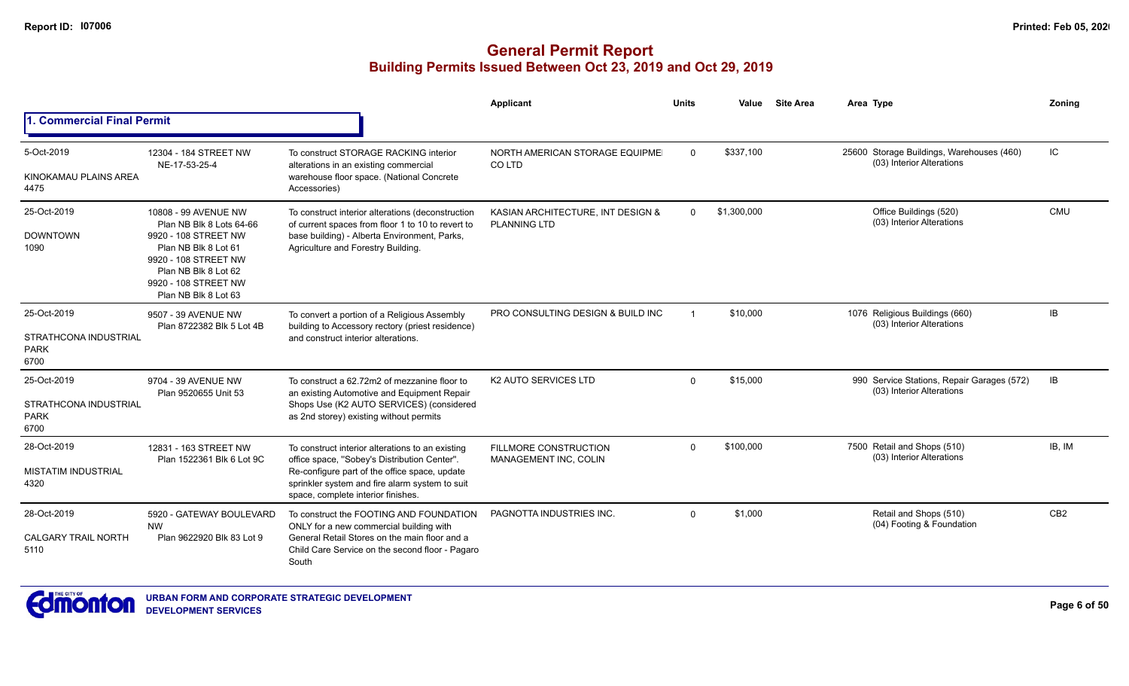|                                                                    |                                                                                                                                                                                                  |                                                                                                                                                                                                                                           | Applicant                                                | <b>Units</b>   | Value       | <b>Site Area</b> | Area Type                                                               | Zoning          |
|--------------------------------------------------------------------|--------------------------------------------------------------------------------------------------------------------------------------------------------------------------------------------------|-------------------------------------------------------------------------------------------------------------------------------------------------------------------------------------------------------------------------------------------|----------------------------------------------------------|----------------|-------------|------------------|-------------------------------------------------------------------------|-----------------|
| 1. Commercial Final Permit                                         |                                                                                                                                                                                                  |                                                                                                                                                                                                                                           |                                                          |                |             |                  |                                                                         |                 |
| 5-Oct-2019<br>KINOKAMAU PLAINS AREA<br>4475                        | 12304 - 184 STREET NW<br>NE-17-53-25-4                                                                                                                                                           | To construct STORAGE RACKING interior<br>alterations in an existing commercial<br>warehouse floor space. (National Concrete<br>Accessories)                                                                                               | NORTH AMERICAN STORAGE EQUIPME<br>CO LTD                 | $\Omega$       | \$337.100   |                  | 25600 Storage Buildings, Warehouses (460)<br>(03) Interior Alterations  | IC.             |
| 25-Oct-2019<br><b>DOWNTOWN</b><br>1090                             | 10808 - 99 AVENUE NW<br>Plan NB Blk 8 Lots 64-66<br>9920 - 108 STREET NW<br>Plan NB Blk 8 Lot 61<br>9920 - 108 STREET NW<br>Plan NB Blk 8 Lot 62<br>9920 - 108 STREET NW<br>Plan NB Blk 8 Lot 63 | To construct interior alterations (deconstruction<br>of current spaces from floor 1 to 10 to revert to<br>base building) - Alberta Environment, Parks,<br>Agriculture and Forestry Building.                                              | KASIAN ARCHITECTURE, INT DESIGN &<br><b>PLANNING LTD</b> | $\Omega$       | \$1,300,000 |                  | Office Buildings (520)<br>(03) Interior Alterations                     | <b>CMU</b>      |
| 25-Oct-2019<br><b>STRATHCONA INDUSTRIAL</b><br><b>PARK</b><br>6700 | 9507 - 39 AVENUE NW<br>Plan 8722382 Blk 5 Lot 4B                                                                                                                                                 | To convert a portion of a Religious Assembly<br>building to Accessory rectory (priest residence)<br>and construct interior alterations.                                                                                                   | PRO CONSULTING DESIGN & BUILD INC                        | $\overline{1}$ | \$10,000    |                  | 1076 Religious Buildings (660)<br>(03) Interior Alterations             | IB.             |
| 25-Oct-2019<br>STRATHCONA INDUSTRIAL<br><b>PARK</b><br>6700        | 9704 - 39 AVENUE NW<br>Plan 9520655 Unit 53                                                                                                                                                      | To construct a 62.72m2 of mezzanine floor to<br>an existing Automotive and Equipment Repair<br>Shops Use (K2 AUTO SERVICES) (considered<br>as 2nd storey) existing without permits                                                        | K2 AUTO SERVICES LTD                                     | $\Omega$       | \$15,000    |                  | 990 Service Stations, Repair Garages (572)<br>(03) Interior Alterations | IB              |
| 28-Oct-2019<br><b>MISTATIM INDUSTRIAL</b><br>4320                  | 12831 - 163 STREET NW<br>Plan 1522361 Blk 6 Lot 9C                                                                                                                                               | To construct interior alterations to an existing<br>office space, "Sobey's Distribution Center".<br>Re-configure part of the office space, update<br>sprinkler system and fire alarm system to suit<br>space, complete interior finishes. | <b>FILLMORE CONSTRUCTION</b><br>MANAGEMENT INC, COLIN    | $\Omega$       | \$100,000   |                  | 7500 Retail and Shops (510)<br>(03) Interior Alterations                | IB, IM          |
| 28-Oct-2019<br><b>CALGARY TRAIL NORTH</b><br>5110                  | 5920 - GATEWAY BOULEVARD<br><b>NW</b><br>Plan 9622920 Blk 83 Lot 9                                                                                                                               | To construct the FOOTING AND FOUNDATION<br>ONLY for a new commercial building with<br>General Retail Stores on the main floor and a<br>Child Care Service on the second floor - Pagaro<br>South                                           | PAGNOTTA INDUSTRIES INC.                                 | $\Omega$       | \$1,000     |                  | Retail and Shops (510)<br>(04) Footing & Foundation                     | CB <sub>2</sub> |

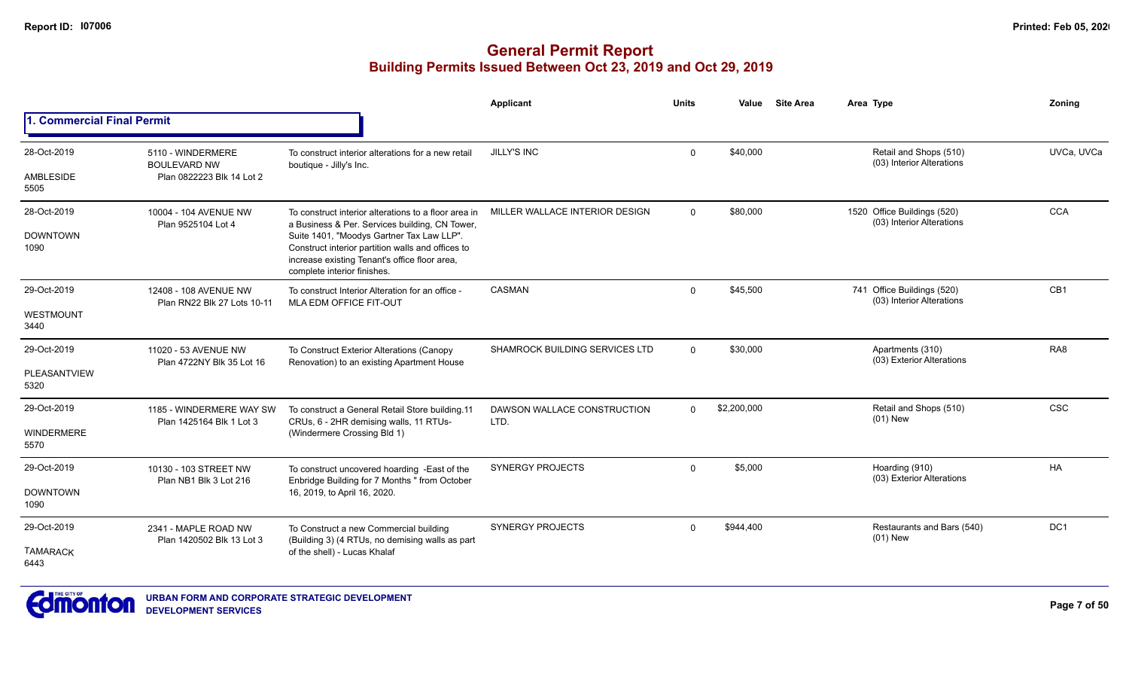|                             |                                                      |                                                                                                                                                                                | Applicant                           | <b>Units</b> | Value       | <b>Site Area</b> | Area Type                                                | Zonina          |
|-----------------------------|------------------------------------------------------|--------------------------------------------------------------------------------------------------------------------------------------------------------------------------------|-------------------------------------|--------------|-------------|------------------|----------------------------------------------------------|-----------------|
| 1. Commercial Final Permit  |                                                      |                                                                                                                                                                                |                                     |              |             |                  |                                                          |                 |
| 28-Oct-2019                 | 5110 - WINDERMERE<br><b>BOULEVARD NW</b>             | To construct interior alterations for a new retail<br>boutique - Jilly's Inc.                                                                                                  | <b>JILLY'S INC</b>                  | $\mathbf 0$  | \$40,000    |                  | Retail and Shops (510)<br>(03) Interior Alterations      | UVCa, UVCa      |
| AMBLESIDE<br>5505           | Plan 0822223 Blk 14 Lot 2                            |                                                                                                                                                                                |                                     |              |             |                  |                                                          |                 |
| 28-Oct-2019                 | 10004 - 104 AVENUE NW<br>Plan 9525104 Lot 4          | To construct interior alterations to a floor area in<br>a Business & Per. Services building, CN Tower,                                                                         | MILLER WALLACE INTERIOR DESIGN      | $\Omega$     | \$80,000    |                  | 1520 Office Buildings (520)<br>(03) Interior Alterations | <b>CCA</b>      |
| <b>DOWNTOWN</b><br>1090     |                                                      | Suite 1401, "Moodys Gartner Tax Law LLP".<br>Construct interior partition walls and offices to<br>increase existing Tenant's office floor area,<br>complete interior finishes. |                                     |              |             |                  |                                                          |                 |
| 29-Oct-2019                 | 12408 - 108 AVENUE NW<br>Plan RN22 Blk 27 Lots 10-11 | To construct Interior Alteration for an office -<br>MLA EDM OFFICE FIT-OUT                                                                                                     | CASMAN                              | $\mathbf 0$  | \$45,500    |                  | 741 Office Buildings (520)<br>(03) Interior Alterations  | CB1             |
| WESTMOUNT<br>3440           |                                                      |                                                                                                                                                                                |                                     |              |             |                  |                                                          |                 |
| 29-Oct-2019                 | 11020 - 53 AVENUE NW<br>Plan 4722NY Blk 35 Lot 16    | To Construct Exterior Alterations (Canopy<br>Renovation) to an existing Apartment House                                                                                        | SHAMROCK BUILDING SERVICES LTD      | $\Omega$     | \$30,000    |                  | Apartments (310)<br>(03) Exterior Alterations            | RA <sub>8</sub> |
| <b>PLEASANTVIEW</b><br>5320 |                                                      |                                                                                                                                                                                |                                     |              |             |                  |                                                          |                 |
| 29-Oct-2019                 | 1185 - WINDERMERE WAY SW<br>Plan 1425164 Blk 1 Lot 3 | To construct a General Retail Store building.11<br>CRUs, 6 - 2HR demising walls, 11 RTUs-                                                                                      | DAWSON WALLACE CONSTRUCTION<br>LTD. | $\Omega$     | \$2,200,000 |                  | Retail and Shops (510)<br>$(01)$ New                     | <b>CSC</b>      |
| WINDERMERE<br>5570          |                                                      | (Windermere Crossing Bld 1)                                                                                                                                                    |                                     |              |             |                  |                                                          |                 |
| 29-Oct-2019                 | 10130 - 103 STREET NW<br>Plan NB1 Blk 3 Lot 216      | To construct uncovered hoarding -East of the<br>Enbridge Building for 7 Months " from October                                                                                  | <b>SYNERGY PROJECTS</b>             | $\mathbf 0$  | \$5,000     |                  | Hoarding (910)<br>(03) Exterior Alterations              | HA              |
| <b>DOWNTOWN</b><br>1090     |                                                      | 16, 2019, to April 16, 2020.                                                                                                                                                   |                                     |              |             |                  |                                                          |                 |
| 29-Oct-2019                 | 2341 - MAPLE ROAD NW<br>Plan 1420502 Blk 13 Lot 3    | To Construct a new Commercial building<br>(Building 3) (4 RTUs, no demising walls as part                                                                                      | <b>SYNERGY PROJECTS</b>             | $\Omega$     | \$944,400   |                  | Restaurants and Bars (540)<br>$(01)$ New                 | DC <sub>1</sub> |
| <b>TAMARACK</b><br>6443     |                                                      | of the shell) - Lucas Khalaf                                                                                                                                                   |                                     |              |             |                  |                                                          |                 |

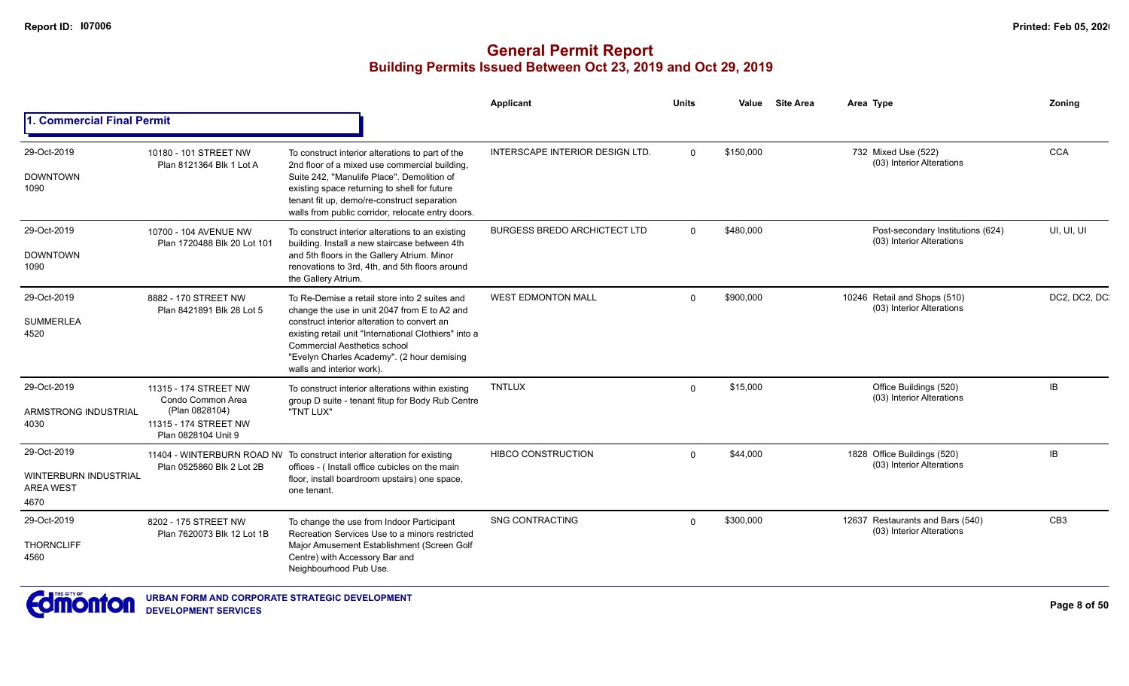|                                                                         |                                                                                                              |                                                                                                                                                                                                                                                                                                                  | Applicant                              | <b>Units</b> | Value     | <b>Site Area</b> | Area Type                                                      | Zoning          |
|-------------------------------------------------------------------------|--------------------------------------------------------------------------------------------------------------|------------------------------------------------------------------------------------------------------------------------------------------------------------------------------------------------------------------------------------------------------------------------------------------------------------------|----------------------------------------|--------------|-----------|------------------|----------------------------------------------------------------|-----------------|
| 1. Commercial Final Permit                                              |                                                                                                              |                                                                                                                                                                                                                                                                                                                  |                                        |              |           |                  |                                                                |                 |
| 29-Oct-2019<br><b>DOWNTOWN</b><br>1090                                  | 10180 - 101 STREET NW<br>Plan 8121364 Blk 1 Lot A                                                            | To construct interior alterations to part of the<br>2nd floor of a mixed use commercial building,<br>Suite 242. "Manulife Place". Demolition of<br>existing space returning to shell for future<br>tenant fit up, demo/re-construct separation<br>walls from public corridor, relocate entry doors.              | <b>INTERSCAPE INTERIOR DESIGN LTD.</b> | $\Omega$     | \$150,000 |                  | 732 Mixed Use (522)<br>(03) Interior Alterations               | <b>CCA</b>      |
| 29-Oct-2019<br><b>DOWNTOWN</b><br>1090                                  | 10700 - 104 AVENUE NW<br>Plan 1720488 Blk 20 Lot 101                                                         | To construct interior alterations to an existing<br>building. Install a new staircase between 4th<br>and 5th floors in the Gallery Atrium. Minor<br>renovations to 3rd, 4th, and 5th floors around<br>the Gallery Atrium.                                                                                        | <b>BURGESS BREDO ARCHICTECT LTD</b>    | $\Omega$     | \$480,000 |                  | Post-secondary Institutions (624)<br>(03) Interior Alterations | UI, UI, UI      |
| 29-Oct-2019<br><b>SUMMERLEA</b><br>4520                                 | 8882 - 170 STREET NW<br>Plan 8421891 Blk 28 Lot 5                                                            | To Re-Demise a retail store into 2 suites and<br>change the use in unit 2047 from E to A2 and<br>construct interior alteration to convert an<br>existing retail unit "International Clothiers" into a<br>Commercial Aesthetics school<br>"Evelyn Charles Academy". (2 hour demising<br>walls and interior work). | <b>WEST EDMONTON MALL</b>              | $\Omega$     | \$900,000 |                  | 10246 Retail and Shops (510)<br>(03) Interior Alterations      | DC2, DC2, DC    |
| 29-Oct-2019<br>ARMSTRONG INDUSTRIAL<br>4030                             | 11315 - 174 STREET NW<br>Condo Common Area<br>(Plan 0828104)<br>11315 - 174 STREET NW<br>Plan 0828104 Unit 9 | To construct interior alterations within existing<br>group D suite - tenant fitup for Body Rub Centre<br>"TNT LUX"                                                                                                                                                                                               | <b>TNTLUX</b>                          | $\Omega$     | \$15,000  |                  | Office Buildings (520)<br>(03) Interior Alterations            | IB              |
| 29-Oct-2019<br><b>WINTERBURN INDUSTRIAL</b><br><b>AREA WEST</b><br>4670 | Plan 0525860 Blk 2 Lot 2B                                                                                    | 11404 - WINTERBURN ROAD NV To construct interior alteration for existing<br>offices - (Install office cubicles on the main<br>floor, install boardroom upstairs) one space,<br>one tenant.                                                                                                                       | <b>HIBCO CONSTRUCTION</b>              | $\Omega$     | \$44,000  |                  | 1828 Office Buildings (520)<br>(03) Interior Alterations       | IB              |
| 29-Oct-2019<br><b>THORNCLIFF</b><br>4560                                | 8202 - 175 STREET NW<br>Plan 7620073 Blk 12 Lot 1B                                                           | To change the use from Indoor Participant<br>Recreation Services Use to a minors restricted<br>Major Amusement Establishment (Screen Golf<br>Centre) with Accessory Bar and<br>Neighbourhood Pub Use.                                                                                                            | <b>SNG CONTRACTING</b>                 | $\Omega$     | \$300,000 |                  | 12637 Restaurants and Bars (540)<br>(03) Interior Alterations  | CB <sub>3</sub> |

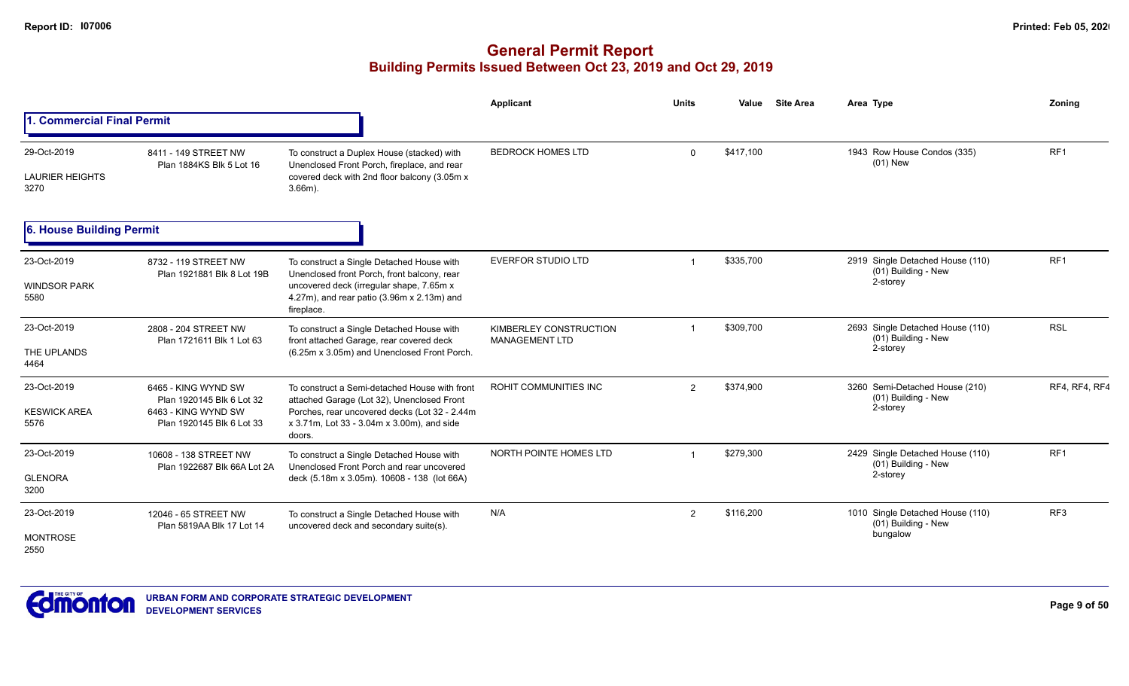|                                               |                                                                                                      |                                                                                                                                                                                                      | Applicant                                       | <b>Units</b> | Value     | <b>Site Area</b> | Area Type                                                           | <b>Zoning</b>   |
|-----------------------------------------------|------------------------------------------------------------------------------------------------------|------------------------------------------------------------------------------------------------------------------------------------------------------------------------------------------------------|-------------------------------------------------|--------------|-----------|------------------|---------------------------------------------------------------------|-----------------|
| 1. Commercial Final Permit                    |                                                                                                      |                                                                                                                                                                                                      |                                                 |              |           |                  |                                                                     |                 |
| 29-Oct-2019<br><b>LAURIER HEIGHTS</b><br>3270 | 8411 - 149 STREET NW<br>Plan 1884KS Blk 5 Lot 16                                                     | To construct a Duplex House (stacked) with<br>Unenclosed Front Porch, fireplace, and rear<br>covered deck with 2nd floor balcony (3.05m x<br>$3.66m$ ).                                              | <b>BEDROCK HOMES LTD</b>                        | $\Omega$     | \$417,100 |                  | 1943 Row House Condos (335)<br>$(01)$ New                           | RF1             |
| 6. House Building Permit                      |                                                                                                      |                                                                                                                                                                                                      |                                                 |              |           |                  |                                                                     |                 |
| 23-Oct-2019<br><b>WINDSOR PARK</b><br>5580    | 8732 - 119 STREET NW<br>Plan 1921881 Blk 8 Lot 19B                                                   | To construct a Single Detached House with<br>Unenclosed front Porch, front balcony, rear<br>uncovered deck (irregular shape, 7.65m x<br>4.27m), and rear patio (3.96m x 2.13m) and<br>fireplace.     | <b>EVERFOR STUDIO LTD</b>                       |              | \$335,700 |                  | 2919 Single Detached House (110)<br>(01) Building - New<br>2-storey | RF1             |
| 23-Oct-2019<br>THE UPLANDS<br>4464            | 2808 - 204 STREET NW<br>Plan 1721611 Blk 1 Lot 63                                                    | To construct a Single Detached House with<br>front attached Garage, rear covered deck<br>(6.25m x 3.05m) and Unenclosed Front Porch.                                                                 | KIMBERLEY CONSTRUCTION<br><b>MANAGEMENT LTD</b> |              | \$309,700 |                  | 2693 Single Detached House (110)<br>(01) Building - New<br>2-storey | <b>RSL</b>      |
| 23-Oct-2019<br><b>KESWICK AREA</b><br>5576    | 6465 - KING WYND SW<br>Plan 1920145 Blk 6 Lot 32<br>6463 - KING WYND SW<br>Plan 1920145 Blk 6 Lot 33 | To construct a Semi-detached House with front<br>attached Garage (Lot 32), Unenclosed Front<br>Porches, rear uncovered decks (Lot 32 - 2.44m<br>x 3.71m, Lot 33 - 3.04m x 3.00m), and side<br>doors. | <b>ROHIT COMMUNITIES INC</b>                    | 2            | \$374,900 |                  | 3260 Semi-Detached House (210)<br>(01) Building - New<br>2-storey   | RF4, RF4, RF4   |
| 23-Oct-2019<br><b>GLENORA</b><br>3200         | 10608 - 138 STREET NW<br>Plan 1922687 Blk 66A Lot 2A                                                 | To construct a Single Detached House with<br>Unenclosed Front Porch and rear uncovered<br>deck (5.18m x 3.05m). 10608 - 138 (lot 66A)                                                                | NORTH POINTE HOMES LTD                          |              | \$279,300 |                  | 2429 Single Detached House (110)<br>(01) Building - New<br>2-storey | RF1             |
| 23-Oct-2019<br><b>MONTROSE</b><br>2550        | 12046 - 65 STREET NW<br>Plan 5819AA Blk 17 Lot 14                                                    | To construct a Single Detached House with<br>uncovered deck and secondary suite(s).                                                                                                                  | N/A                                             | 2            | \$116,200 |                  | 1010 Single Detached House (110)<br>(01) Building - New<br>bungalow | RF <sub>3</sub> |

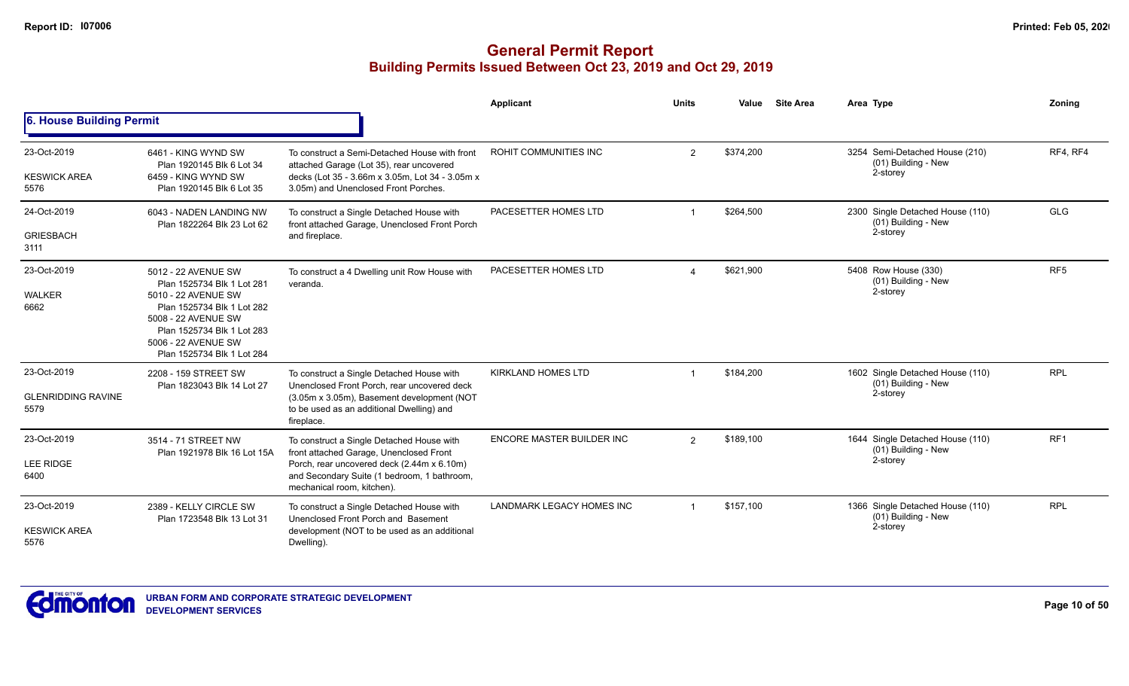|                                                  |                                                                                                                                                                                                                  |                                                                                                                                                                                                                 | <b>Applicant</b>                 | <b>Units</b>           | Value     | <b>Site Area</b> | Area Type                                                             | Zoning          |
|--------------------------------------------------|------------------------------------------------------------------------------------------------------------------------------------------------------------------------------------------------------------------|-----------------------------------------------------------------------------------------------------------------------------------------------------------------------------------------------------------------|----------------------------------|------------------------|-----------|------------------|-----------------------------------------------------------------------|-----------------|
| 6. House Building Permit                         |                                                                                                                                                                                                                  |                                                                                                                                                                                                                 |                                  |                        |           |                  |                                                                       |                 |
| 23-Oct-2019<br><b>KESWICK AREA</b><br>5576       | 6461 - KING WYND SW<br>Plan 1920145 Blk 6 Lot 34<br>6459 - KING WYND SW<br>Plan 1920145 Blk 6 Lot 35                                                                                                             | To construct a Semi-Detached House with front<br>attached Garage (Lot 35), rear uncovered<br>decks (Lot 35 - 3.66m x 3.05m, Lot 34 - 3.05m x<br>3.05m) and Unenclosed Front Porches.                            | <b>ROHIT COMMUNITIES INC</b>     | $\overline{2}$         | \$374,200 |                  | 3254 Semi-Detached House (210)<br>(01) Building - New<br>2-storey     | RF4, RF4        |
| 24-Oct-2019<br><b>GRIESBACH</b><br>3111          | 6043 - NADEN LANDING NW<br>Plan 1822264 Blk 23 Lot 62                                                                                                                                                            | To construct a Single Detached House with<br>front attached Garage, Unenclosed Front Porch<br>and fireplace.                                                                                                    | PACESETTER HOMES LTD             |                        | \$264,500 |                  | 2300 Single Detached House (110)<br>(01) Building - New<br>2-storey   | <b>GLG</b>      |
| 23-Oct-2019<br><b>WALKER</b><br>6662             | 5012 - 22 AVENUE SW<br>Plan 1525734 Blk 1 Lot 281<br>5010 - 22 AVENUE SW<br>Plan 1525734 Blk 1 Lot 282<br>5008 - 22 AVENUE SW<br>Plan 1525734 Blk 1 Lot 283<br>5006 - 22 AVENUE SW<br>Plan 1525734 Blk 1 Lot 284 | To construct a 4 Dwelling unit Row House with<br>veranda.                                                                                                                                                       | PACESETTER HOMES LTD             | $\boldsymbol{\Lambda}$ | \$621,900 |                  | 5408 Row House (330)<br>(01) Building - New<br>2-storey               | RF <sub>5</sub> |
| 23-Oct-2019<br><b>GLENRIDDING RAVINE</b><br>5579 | 2208 - 159 STREET SW<br>Plan 1823043 Blk 14 Lot 27                                                                                                                                                               | To construct a Single Detached House with<br>Unenclosed Front Porch, rear uncovered deck<br>(3.05m x 3.05m), Basement development (NOT<br>to be used as an additional Dwelling) and<br>fireplace.               | <b>KIRKLAND HOMES LTD</b>        |                        | \$184,200 |                  | 1602 Single Detached House (110)<br>(01) Building - New<br>2-storey   | <b>RPL</b>      |
| 23-Oct-2019<br><b>LEE RIDGE</b><br>6400          | 3514 - 71 STREET NW<br>Plan 1921978 Blk 16 Lot 15A                                                                                                                                                               | To construct a Single Detached House with<br>front attached Garage, Unenclosed Front<br>Porch, rear uncovered deck (2.44m x 6.10m)<br>and Secondary Suite (1 bedroom, 1 bathroom,<br>mechanical room, kitchen). | <b>ENCORE MASTER BUILDER INC</b> | 2                      | \$189,100 |                  | 1644 Single Detached House (110)<br>(01) Building - New<br>2-storey   | RF1             |
| 23-Oct-2019<br><b>KESWICK AREA</b><br>5576       | 2389 - KELLY CIRCLE SW<br>Plan 1723548 Blk 13 Lot 31                                                                                                                                                             | To construct a Single Detached House with<br>Unenclosed Front Porch and Basement<br>development (NOT to be used as an additional<br>Dwelling).                                                                  | <b>LANDMARK LEGACY HOMES INC</b> |                        | \$157,100 |                  | 1366 Single Detached House (110)<br>$(01)$ Building - New<br>2-storey | <b>RPL</b>      |

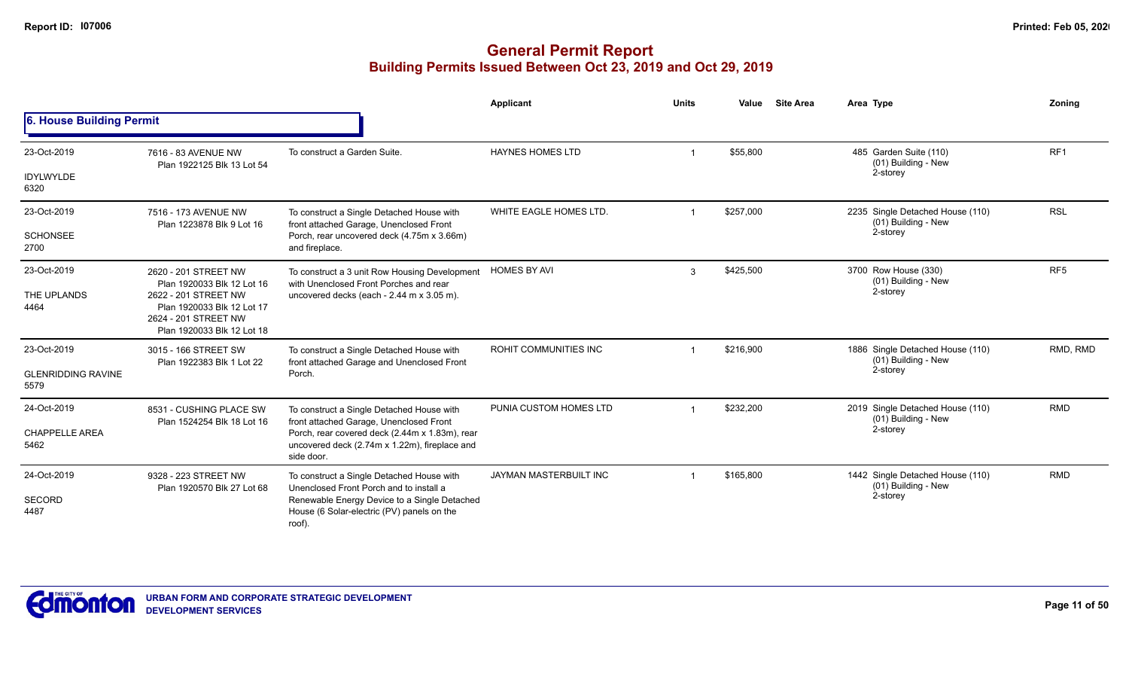|                                                  |                                                                                                                                                                |                                                                                                                                                                                              | <b>Applicant</b>             | <b>Units</b> | Value     | <b>Site Area</b> | Area Type                                                           | Zoning          |
|--------------------------------------------------|----------------------------------------------------------------------------------------------------------------------------------------------------------------|----------------------------------------------------------------------------------------------------------------------------------------------------------------------------------------------|------------------------------|--------------|-----------|------------------|---------------------------------------------------------------------|-----------------|
| 6. House Building Permit                         |                                                                                                                                                                |                                                                                                                                                                                              |                              |              |           |                  |                                                                     |                 |
| 23-Oct-2019                                      | 7616 - 83 AVENUE NW<br>Plan 1922125 Blk 13 Lot 54                                                                                                              | To construct a Garden Suite.                                                                                                                                                                 | <b>HAYNES HOMES LTD</b>      |              | \$55,800  |                  | 485 Garden Suite (110)<br>(01) Building - New                       | RF <sub>1</sub> |
| IDYLWYLDE<br>6320                                |                                                                                                                                                                |                                                                                                                                                                                              |                              |              |           | 2-storey         |                                                                     |                 |
| 23-Oct-2019                                      | 7516 - 173 AVENUE NW<br>Plan 1223878 Blk 9 Lot 16                                                                                                              | To construct a Single Detached House with<br>front attached Garage, Unenclosed Front                                                                                                         | WHITE EAGLE HOMES LTD.       |              | \$257,000 |                  | 2235 Single Detached House (110)<br>(01) Building - New             | <b>RSL</b>      |
| <b>SCHONSEE</b><br>2700                          |                                                                                                                                                                | Porch, rear uncovered deck (4.75m x 3.66m)<br>and fireplace.                                                                                                                                 |                              |              |           |                  | 2-storey                                                            |                 |
| 23-Oct-2019<br>THE UPLANDS<br>4464               | 2620 - 201 STREET NW<br>Plan 1920033 Blk 12 Lot 16<br>2622 - 201 STREET NW<br>Plan 1920033 Blk 12 Lot 17<br>2624 - 201 STREET NW<br>Plan 1920033 Blk 12 Lot 18 | To construct a 3 unit Row Housing Development<br>with Unenclosed Front Porches and rear<br>uncovered decks (each - 2.44 m x 3.05 m).                                                         | <b>HOMES BY AVI</b>          | 3            | \$425,500 |                  | 3700 Row House (330)<br>(01) Building - New<br>2-storey             | RF <sub>5</sub> |
| 23-Oct-2019<br><b>GLENRIDDING RAVINE</b><br>5579 | 3015 - 166 STREET SW<br>Plan 1922383 Blk 1 Lot 22                                                                                                              | To construct a Single Detached House with<br>front attached Garage and Unenclosed Front<br>Porch.                                                                                            | <b>ROHIT COMMUNITIES INC</b> |              | \$216,900 |                  | 1886 Single Detached House (110)<br>(01) Building - New<br>2-storey | RMD, RMD        |
| 24-Oct-2019                                      | 8531 - CUSHING PLACE SW<br>Plan 1524254 Blk 18 Lot 16                                                                                                          | To construct a Single Detached House with<br>front attached Garage, Unenclosed Front                                                                                                         | PUNIA CUSTOM HOMES LTD       |              | \$232,200 |                  | 2019 Single Detached House (110)<br>(01) Building - New             | <b>RMD</b>      |
| <b>CHAPPELLE AREA</b><br>5462                    |                                                                                                                                                                | Porch, rear covered deck (2.44m x 1.83m), rear<br>uncovered deck (2.74m x 1.22m), fireplace and<br>side door.                                                                                |                              |              |           |                  | 2-storey                                                            |                 |
| 24-Oct-2019<br><b>SECORD</b><br>4487             | 9328 - 223 STREET NW<br>Plan 1920570 Blk 27 Lot 68                                                                                                             | To construct a Single Detached House with<br>Unenclosed Front Porch and to install a<br>Renewable Energy Device to a Single Detached<br>House (6 Solar-electric (PV) panels on the<br>roof). | JAYMAN MASTERBUILT INC       |              | \$165,800 |                  | 1442 Single Detached House (110)<br>(01) Building - New<br>2-storey | <b>RMD</b>      |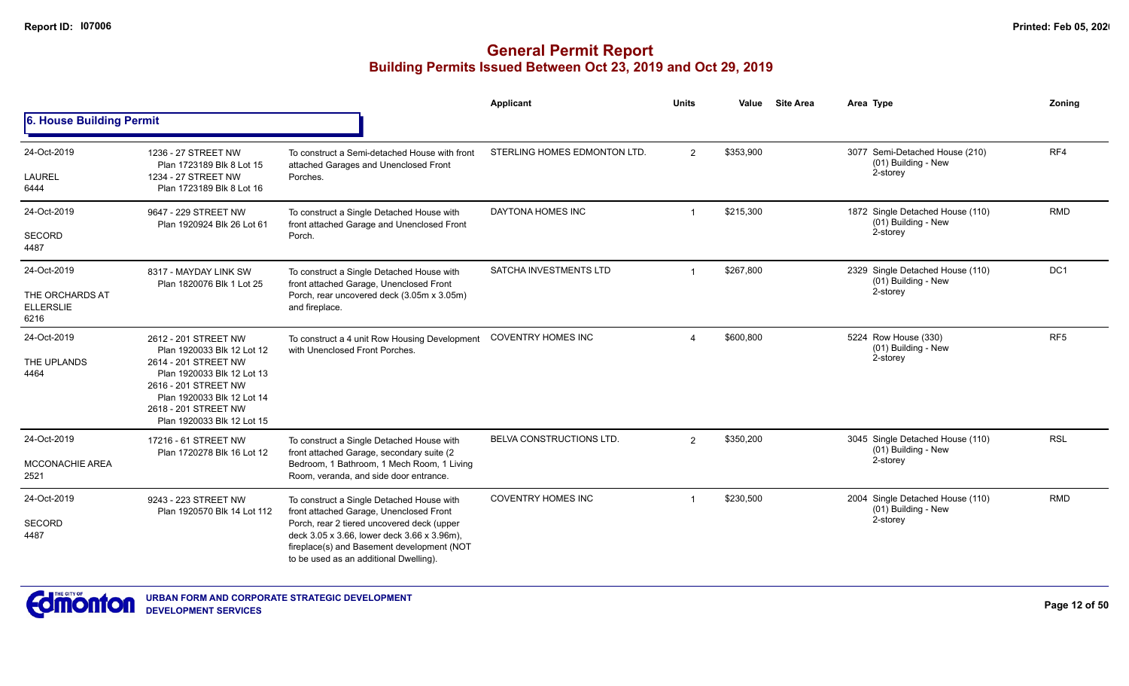|                                                            |                                                                                                                                                                                                                      |                                                                                                                                                                                                                                                                           | Applicant                    | <b>Units</b>   | Value     | <b>Site Area</b> | Area Type                                                           | Zoning          |
|------------------------------------------------------------|----------------------------------------------------------------------------------------------------------------------------------------------------------------------------------------------------------------------|---------------------------------------------------------------------------------------------------------------------------------------------------------------------------------------------------------------------------------------------------------------------------|------------------------------|----------------|-----------|------------------|---------------------------------------------------------------------|-----------------|
| 6. House Building Permit                                   |                                                                                                                                                                                                                      |                                                                                                                                                                                                                                                                           |                              |                |           |                  |                                                                     |                 |
| 24-Oct-2019<br><b>LAUREL</b><br>6444                       | 1236 - 27 STREET NW<br>Plan 1723189 Blk 8 Lot 15<br>1234 - 27 STREET NW<br>Plan 1723189 Blk 8 Lot 16                                                                                                                 | To construct a Semi-detached House with front<br>attached Garages and Unenclosed Front<br>Porches.                                                                                                                                                                        | STERLING HOMES EDMONTON LTD. | $\overline{2}$ | \$353,900 |                  | 3077 Semi-Detached House (210)<br>(01) Building - New<br>2-storey   | RF4             |
| 24-Oct-2019<br>SECORD<br>4487                              | 9647 - 229 STREET NW<br>Plan 1920924 Blk 26 Lot 61                                                                                                                                                                   | To construct a Single Detached House with<br>front attached Garage and Unenclosed Front<br>Porch.                                                                                                                                                                         | DAYTONA HOMES INC            |                | \$215,300 |                  | 1872 Single Detached House (110)<br>(01) Building - New<br>2-storey | <b>RMD</b>      |
| 24-Oct-2019<br>THE ORCHARDS AT<br><b>ELLERSLIE</b><br>6216 | 8317 - MAYDAY LINK SW<br>Plan 1820076 Blk 1 Lot 25                                                                                                                                                                   | To construct a Single Detached House with<br>front attached Garage, Unenclosed Front<br>Porch, rear uncovered deck (3.05m x 3.05m)<br>and fireplace.                                                                                                                      | SATCHA INVESTMENTS LTD       |                | \$267,800 |                  | 2329 Single Detached House (110)<br>(01) Building - New<br>2-storey | DC <sub>1</sub> |
| 24-Oct-2019<br>THE UPLANDS<br>4464                         | 2612 - 201 STREET NW<br>Plan 1920033 Blk 12 Lot 12<br>2614 - 201 STREET NW<br>Plan 1920033 Blk 12 Lot 13<br>2616 - 201 STREET NW<br>Plan 1920033 Blk 12 Lot 14<br>2618 - 201 STREET NW<br>Plan 1920033 Blk 12 Lot 15 | To construct a 4 unit Row Housing Development<br>with Unenclosed Front Porches.                                                                                                                                                                                           | <b>COVENTRY HOMES INC</b>    |                | \$600,800 |                  | 5224 Row House (330)<br>(01) Building - New<br>2-storey             | RF <sub>5</sub> |
| 24-Oct-2019<br>MCCONACHIE AREA<br>2521                     | 17216 - 61 STREET NW<br>Plan 1720278 Blk 16 Lot 12                                                                                                                                                                   | To construct a Single Detached House with<br>front attached Garage, secondary suite (2<br>Bedroom, 1 Bathroom, 1 Mech Room, 1 Living<br>Room, veranda, and side door entrance.                                                                                            | BELVA CONSTRUCTIONS LTD.     | 2              | \$350,200 |                  | 3045 Single Detached House (110)<br>(01) Building - New<br>2-storey | <b>RSL</b>      |
| 24-Oct-2019<br>SECORD<br>4487                              | 9243 - 223 STREET NW<br>Plan 1920570 Blk 14 Lot 112                                                                                                                                                                  | To construct a Single Detached House with<br>front attached Garage, Unenclosed Front<br>Porch, rear 2 tiered uncovered deck (upper<br>deck 3.05 x 3.66, lower deck 3.66 x 3.96m),<br>fireplace(s) and Basement development (NOT<br>to be used as an additional Dwelling). | <b>COVENTRY HOMES INC</b>    |                | \$230,500 |                  | 2004 Single Detached House (110)<br>(01) Building - New<br>2-storey | <b>RMD</b>      |

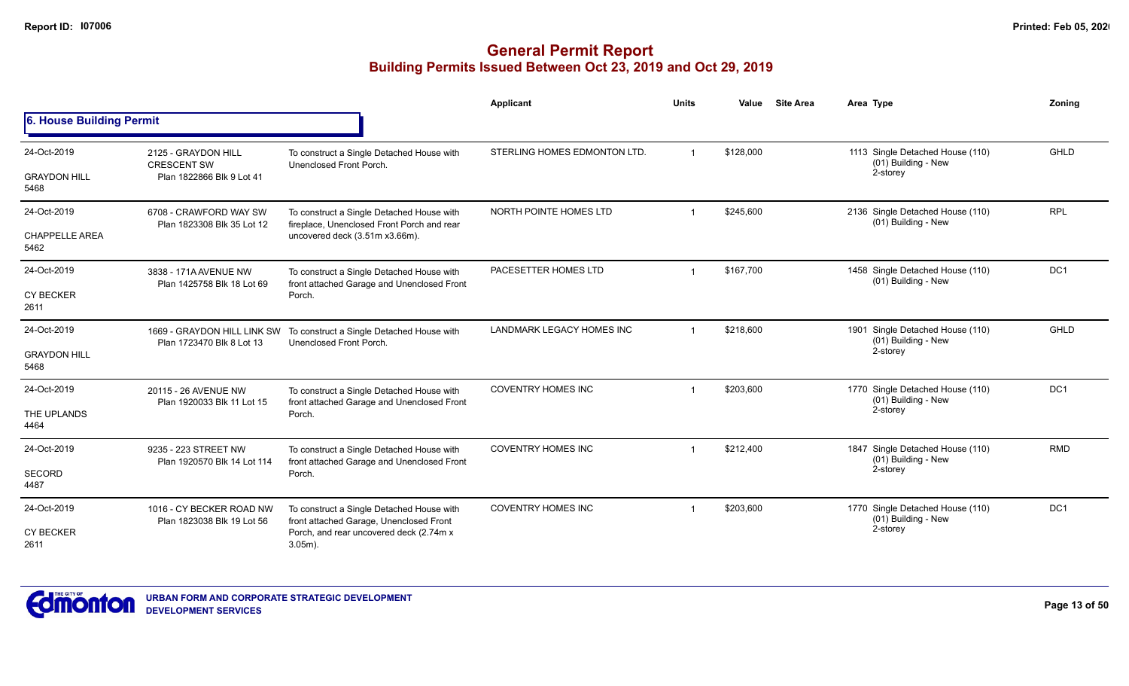|                                              |                                                                        |                                                                                                                                                | <b>Applicant</b>                 | <b>Units</b> | Value     | <b>Site Area</b> | Area Type                                                           | Zoning          |
|----------------------------------------------|------------------------------------------------------------------------|------------------------------------------------------------------------------------------------------------------------------------------------|----------------------------------|--------------|-----------|------------------|---------------------------------------------------------------------|-----------------|
| 6. House Building Permit                     |                                                                        |                                                                                                                                                |                                  |              |           |                  |                                                                     |                 |
| 24-Oct-2019<br><b>GRAYDON HILL</b><br>5468   | 2125 - GRAYDON HILL<br><b>CRESCENT SW</b><br>Plan 1822866 Blk 9 Lot 41 | To construct a Single Detached House with<br>Unenclosed Front Porch.                                                                           | STERLING HOMES EDMONTON LTD.     |              | \$128,000 |                  | 1113 Single Detached House (110)<br>(01) Building - New<br>2-storey | GHLD            |
| 24-Oct-2019<br><b>CHAPPELLE AREA</b><br>5462 | 6708 - CRAWFORD WAY SW<br>Plan 1823308 Blk 35 Lot 12                   | To construct a Single Detached House with<br>fireplace, Unenclosed Front Porch and rear<br>uncovered deck (3.51m x3.66m).                      | NORTH POINTE HOMES LTD           |              | \$245,600 |                  | 2136 Single Detached House (110)<br>(01) Building - New             | <b>RPL</b>      |
| 24-Oct-2019<br><b>CY BECKER</b><br>2611      | 3838 - 171A AVENUE NW<br>Plan 1425758 Blk 18 Lot 69                    | To construct a Single Detached House with<br>front attached Garage and Unenclosed Front<br>Porch.                                              | PACESETTER HOMES LTD             |              | \$167,700 |                  | 1458 Single Detached House (110)<br>(01) Building - New             | DC <sub>1</sub> |
| 24-Oct-2019<br><b>GRAYDON HILL</b><br>5468   | 1669 - GRAYDON HILL LINK SW<br>Plan 1723470 Blk 8 Lot 13               | To construct a Single Detached House with<br>Unenclosed Front Porch.                                                                           | <b>LANDMARK LEGACY HOMES INC</b> |              | \$218,600 |                  | 1901 Single Detached House (110)<br>(01) Building - New<br>2-storey | <b>GHLD</b>     |
| 24-Oct-2019<br>THE UPLANDS<br>4464           | 20115 - 26 AVENUE NW<br>Plan 1920033 Blk 11 Lot 15                     | To construct a Single Detached House with<br>front attached Garage and Unenclosed Front<br>Porch.                                              | <b>COVENTRY HOMES INC</b>        |              | \$203,600 |                  | 1770 Single Detached House (110)<br>(01) Building - New<br>2-storey | DC <sub>1</sub> |
| 24-Oct-2019<br>SECORD<br>4487                | 9235 - 223 STREET NW<br>Plan 1920570 Blk 14 Lot 114                    | To construct a Single Detached House with<br>front attached Garage and Unenclosed Front<br>Porch.                                              | <b>COVENTRY HOMES INC</b>        |              | \$212,400 |                  | 1847 Single Detached House (110)<br>(01) Building - New<br>2-storey | <b>RMD</b>      |
| 24-Oct-2019<br><b>CY BECKER</b><br>2611      | 1016 - CY BECKER ROAD NW<br>Plan 1823038 Blk 19 Lot 56                 | To construct a Single Detached House with<br>front attached Garage, Unenclosed Front<br>Porch, and rear uncovered deck (2.74m x)<br>$3.05m$ ). | <b>COVENTRY HOMES INC</b>        |              | \$203,600 |                  | 1770 Single Detached House (110)<br>(01) Building - New<br>2-storey | DC <sub>1</sub> |

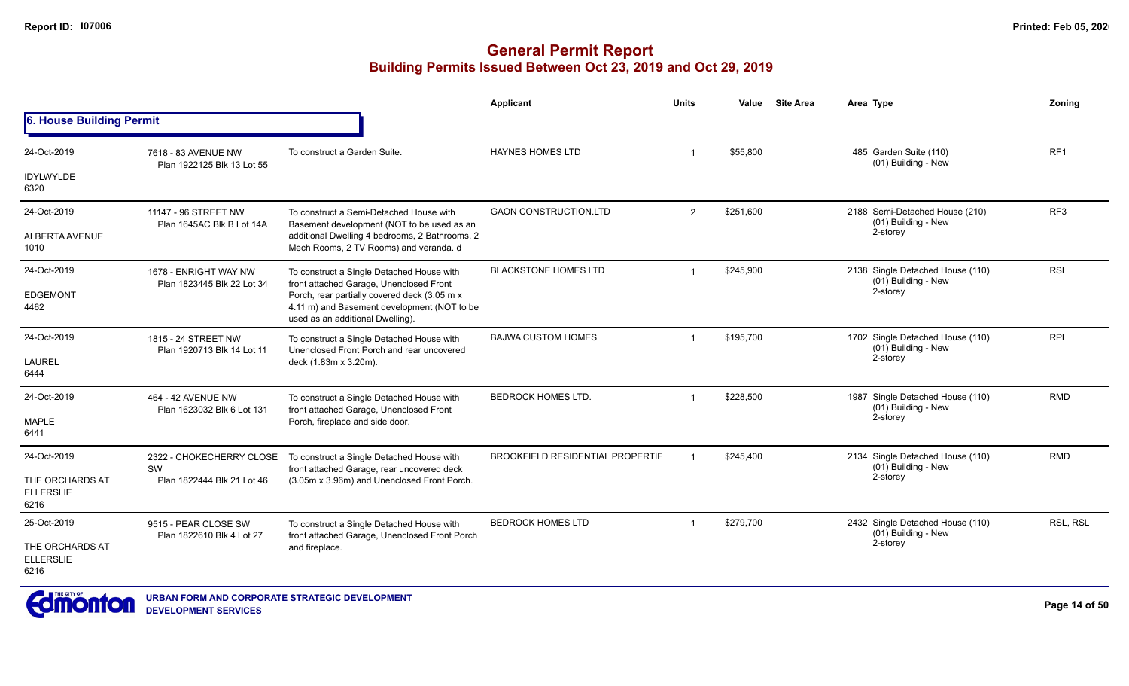|                                             |                                                     |                                                                                                                                 | Applicant                               | <b>Units</b>            | Value     | <b>Site Area</b>                                        | Area Type                                               | Zoning          |
|---------------------------------------------|-----------------------------------------------------|---------------------------------------------------------------------------------------------------------------------------------|-----------------------------------------|-------------------------|-----------|---------------------------------------------------------|---------------------------------------------------------|-----------------|
| 6. House Building Permit                    |                                                     |                                                                                                                                 |                                         |                         |           |                                                         |                                                         |                 |
| 24-Oct-2019                                 | 7618 - 83 AVENUE NW                                 | To construct a Garden Suite.                                                                                                    | <b>HAYNES HOMES LTD</b>                 | $\overline{1}$          | \$55,800  |                                                         | 485 Garden Suite (110)<br>(01) Building - New           | RF <sub>1</sub> |
| <b>IDYLWYLDE</b><br>6320                    | Plan 1922125 Blk 13 Lot 55                          |                                                                                                                                 |                                         |                         |           |                                                         |                                                         |                 |
| 24-Oct-2019                                 | 11147 - 96 STREET NW<br>Plan 1645AC Blk B Lot 14A   | To construct a Semi-Detached House with<br>Basement development (NOT to be used as an                                           | <b>GAON CONSTRUCTION.LTD</b>            | 2                       | \$251,600 |                                                         | 2188 Semi-Detached House (210)<br>(01) Building - New   | RF <sub>3</sub> |
| ALBERTA AVENUE<br>1010                      |                                                     | additional Dwelling 4 bedrooms, 2 Bathrooms, 2<br>Mech Rooms, 2 TV Rooms) and veranda. d                                        |                                         |                         |           |                                                         | 2-storey                                                |                 |
| 24-Oct-2019                                 | 1678 - ENRIGHT WAY NW<br>Plan 1823445 Blk 22 Lot 34 | To construct a Single Detached House with<br>front attached Garage, Unenclosed Front                                            | <b>BLACKSTONE HOMES LTD</b>             | $\overline{\mathbf{1}}$ | \$245,900 |                                                         | 2138 Single Detached House (110)<br>(01) Building - New | <b>RSL</b>      |
| <b>EDGEMONT</b><br>4462                     |                                                     | Porch, rear partially covered deck (3.05 m x<br>4.11 m) and Basement development (NOT to be<br>used as an additional Dwelling). |                                         |                         |           | 2-storey                                                |                                                         |                 |
| 24-Oct-2019                                 | 1815 - 24 STREET NW<br>Plan 1920713 Blk 14 Lot 11   | To construct a Single Detached House with<br>Unenclosed Front Porch and rear uncovered                                          | <b>BAJWA CUSTOM HOMES</b>               |                         | \$195,700 |                                                         | 1702 Single Detached House (110)<br>(01) Building - New | <b>RPL</b>      |
| <b>LAUREL</b><br>6444                       |                                                     | deck (1.83m x 3.20m).                                                                                                           |                                         |                         |           | 2-storey                                                |                                                         |                 |
| 24-Oct-2019                                 | 464 - 42 AVENUE NW<br>Plan 1623032 Blk 6 Lot 131    | To construct a Single Detached House with<br>front attached Garage, Unenclosed Front                                            | <b>BEDROCK HOMES LTD.</b>               | \$228,500               |           | 1987 Single Detached House (110)<br>(01) Building - New | <b>RMD</b>                                              |                 |
| <b>MAPLE</b><br>6441                        |                                                     | Porch, fireplace and side door.                                                                                                 |                                         |                         |           | 2-storey                                                |                                                         |                 |
| 24-Oct-2019                                 | 2322 - CHOKECHERRY CLOSE                            | To construct a Single Detached House with                                                                                       | <b>BROOKFIELD RESIDENTIAL PROPERTIE</b> |                         | \$245,400 |                                                         | 2134 Single Detached House (110)<br>(01) Building - New | <b>RMD</b>      |
| THE ORCHARDS AT<br><b>ELLERSLIE</b><br>6216 | SW<br>Plan 1822444 Blk 21 Lot 46                    | front attached Garage, rear uncovered deck<br>(3.05m x 3.96m) and Unenclosed Front Porch.                                       |                                         |                         |           |                                                         | 2-storey                                                |                 |
| 25-Oct-2019                                 | 9515 - PEAR CLOSE SW                                | To construct a Single Detached House with                                                                                       | <b>BEDROCK HOMES LTD</b>                | -1                      | \$279,700 |                                                         | 2432 Single Detached House (110)<br>(01) Building - New | RSL, RSL        |
| THE ORCHARDS AT<br><b>ELLERSLIE</b><br>6216 | Plan 1822610 Blk 4 Lot 27                           | front attached Garage, Unenclosed Front Porch<br>and fireplace.                                                                 |                                         |                         |           |                                                         | 2-storey                                                |                 |
|                                             |                                                     |                                                                                                                                 |                                         |                         |           |                                                         |                                                         |                 |

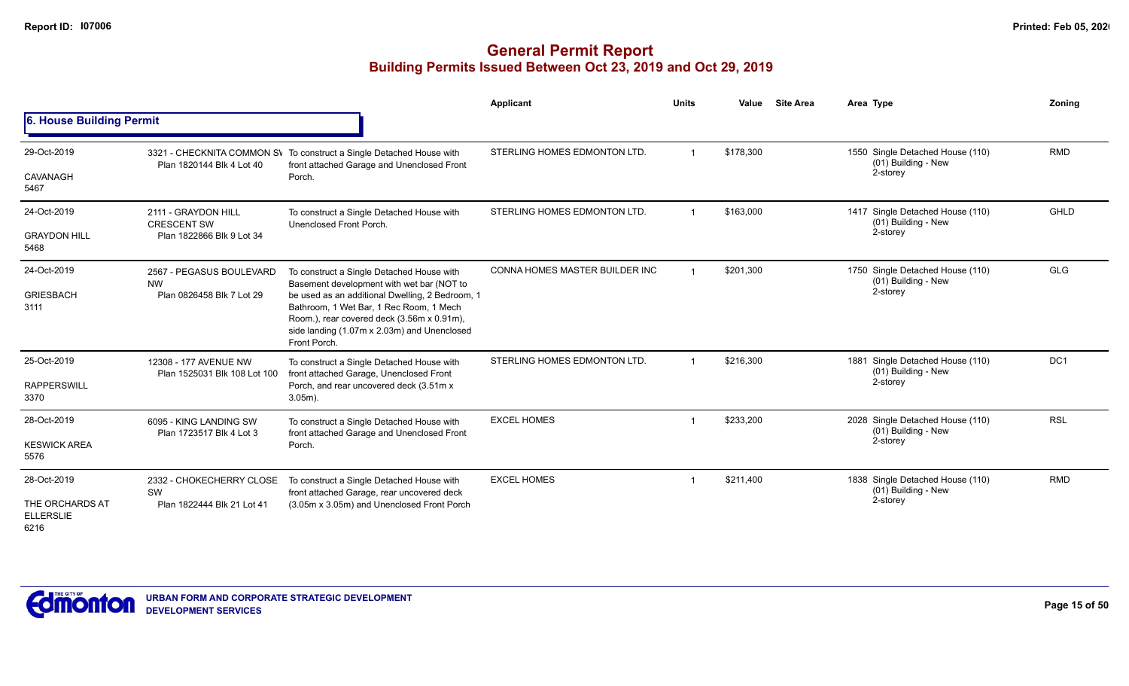|                                                            |                                                                        |                                                                                                                                                                                                                                                                                                   | Applicant                      | <b>Units</b>   | Value     | <b>Site Area</b> | Area Type                                                           | Zonina          |
|------------------------------------------------------------|------------------------------------------------------------------------|---------------------------------------------------------------------------------------------------------------------------------------------------------------------------------------------------------------------------------------------------------------------------------------------------|--------------------------------|----------------|-----------|------------------|---------------------------------------------------------------------|-----------------|
| 6. House Building Permit                                   |                                                                        |                                                                                                                                                                                                                                                                                                   |                                |                |           |                  |                                                                     |                 |
| 29-Oct-2019<br>CAVANAGH<br>5467                            | Plan 1820144 Blk 4 Lot 40                                              | 3321 - CHECKNITA COMMON SV To construct a Single Detached House with<br>front attached Garage and Unenclosed Front<br>Porch.                                                                                                                                                                      | STERLING HOMES EDMONTON LTD.   | $\overline{1}$ | \$178,300 |                  | 1550 Single Detached House (110)<br>(01) Building - New<br>2-storey | <b>RMD</b>      |
| 24-Oct-2019<br><b>GRAYDON HILL</b><br>5468                 | 2111 - GRAYDON HILL<br><b>CRESCENT SW</b><br>Plan 1822866 Blk 9 Lot 34 | To construct a Single Detached House with<br>Unenclosed Front Porch.                                                                                                                                                                                                                              | STERLING HOMES EDMONTON LTD.   |                | \$163,000 |                  | 1417 Single Detached House (110)<br>(01) Building - New<br>2-storey | <b>GHLD</b>     |
| 24-Oct-2019<br><b>GRIESBACH</b><br>3111                    | 2567 - PEGASUS BOULEVARD<br><b>NW</b><br>Plan 0826458 Blk 7 Lot 29     | To construct a Single Detached House with<br>Basement development with wet bar (NOT to<br>be used as an additional Dwelling, 2 Bedroom, 1<br>Bathroom, 1 Wet Bar, 1 Rec Room, 1 Mech<br>Room.), rear covered deck (3.56m x 0.91m),<br>side landing (1.07m x 2.03m) and Unenclosed<br>Front Porch. | CONNA HOMES MASTER BUILDER INC |                | \$201,300 |                  | 1750 Single Detached House (110)<br>(01) Building - New<br>2-storey | <b>GLG</b>      |
| 25-Oct-2019<br><b>RAPPERSWILL</b><br>3370                  | 12308 - 177 AVENUE NW<br>Plan 1525031 Blk 108 Lot 100                  | To construct a Single Detached House with<br>front attached Garage, Unenclosed Front<br>Porch, and rear uncovered deck (3.51m x<br>$3.05m$ ).                                                                                                                                                     | STERLING HOMES EDMONTON LTD.   |                | \$216,300 |                  | 1881 Single Detached House (110)<br>(01) Building - New<br>2-storey | DC <sub>1</sub> |
| 28-Oct-2019<br><b>KESWICK AREA</b><br>5576                 | 6095 - KING LANDING SW<br>Plan 1723517 Blk 4 Lot 3                     | To construct a Single Detached House with<br>front attached Garage and Unenclosed Front<br>Porch.                                                                                                                                                                                                 | <b>EXCEL HOMES</b>             |                | \$233,200 |                  | 2028 Single Detached House (110)<br>(01) Building - New<br>2-storey | <b>RSL</b>      |
| 28-Oct-2019<br>THE ORCHARDS AT<br><b>ELLERSLIE</b><br>6216 | 2332 - CHOKECHERRY CLOSE<br>SW<br>Plan 1822444 Blk 21 Lot 41           | To construct a Single Detached House with<br>front attached Garage, rear uncovered deck<br>(3.05m x 3.05m) and Unenclosed Front Porch                                                                                                                                                             | <b>EXCEL HOMES</b>             |                | \$211,400 |                  | 1838 Single Detached House (110)<br>(01) Building - New<br>2-storey | <b>RMD</b>      |

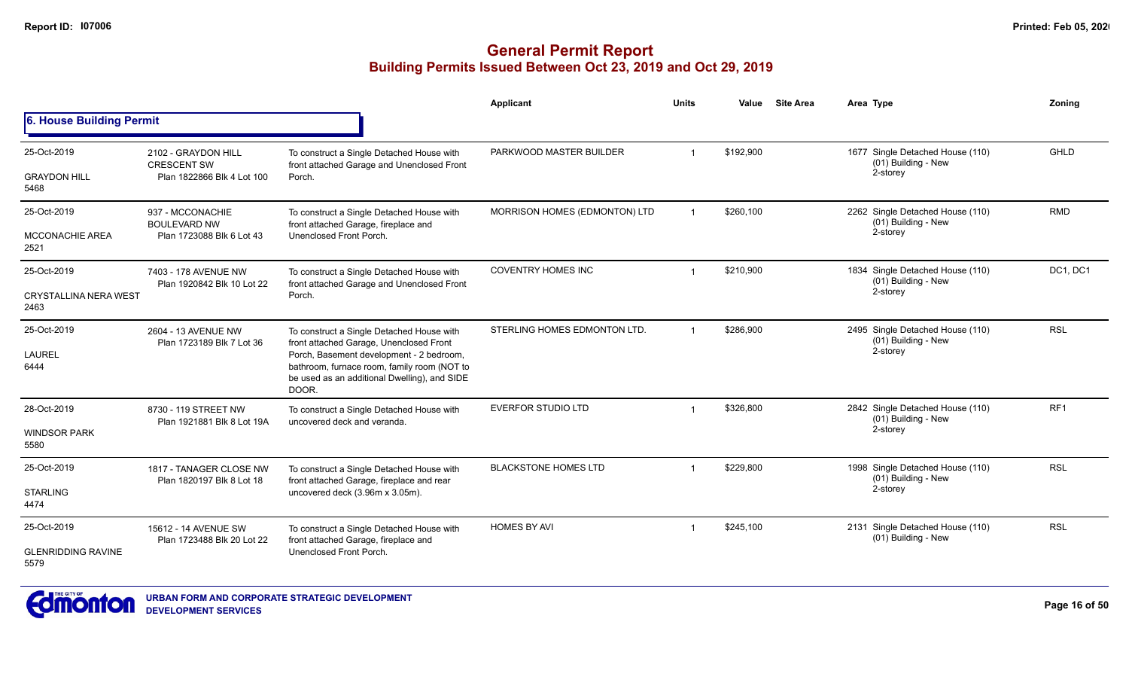|                                      |                                                    |                                                                                                                                                  | <b>Applicant</b>              | Units | Value     | <b>Site Area</b> | Area Type                                                           | Zoning     |
|--------------------------------------|----------------------------------------------------|--------------------------------------------------------------------------------------------------------------------------------------------------|-------------------------------|-------|-----------|------------------|---------------------------------------------------------------------|------------|
| 6. House Building Permit             |                                                    |                                                                                                                                                  |                               |       |           |                  |                                                                     |            |
| 25-Oct-2019                          | 2102 - GRAYDON HILL<br><b>CRESCENT SW</b>          | To construct a Single Detached House with<br>front attached Garage and Unenclosed Front                                                          | PARKWOOD MASTER BUILDER       |       | \$192,900 |                  | 1677 Single Detached House (110)<br>(01) Building - New             | GHLD       |
| <b>GRAYDON HILL</b><br>5468          | Plan 1822866 Blk 4 Lot 100                         | Porch.                                                                                                                                           |                               |       |           |                  | 2-storey                                                            |            |
| 25-Oct-2019                          | 937 - MCCONACHIE<br><b>BOULEVARD NW</b>            | To construct a Single Detached House with<br>front attached Garage, fireplace and                                                                | MORRISON HOMES (EDMONTON) LTD |       | \$260,100 |                  | 2262 Single Detached House (110)<br>(01) Building - New             | <b>RMD</b> |
| <b>MCCONACHIE AREA</b><br>2521       | Plan 1723088 Blk 6 Lot 43                          | Unenclosed Front Porch.                                                                                                                          |                               |       |           |                  | 2-storey                                                            |            |
| 25-Oct-2019                          | 7403 - 178 AVENUE NW<br>Plan 1920842 Blk 10 Lot 22 | To construct a Single Detached House with<br>front attached Garage and Unenclosed Front                                                          | <b>COVENTRY HOMES INC</b>     |       | \$210.900 |                  | 1834 Single Detached House (110)<br>(01) Building - New             | DC1. DC1   |
| <b>CRYSTALLINA NERA WEST</b><br>2463 |                                                    | Porch.                                                                                                                                           |                               |       |           | 2-storey         | <b>RSL</b><br>RF <sub>1</sub><br><b>RSL</b><br><b>RSL</b>           |            |
| 25-Oct-2019                          | 2604 - 13 AVENUE NW<br>Plan 1723189 Blk 7 Lot 36   | To construct a Single Detached House with<br>front attached Garage, Unenclosed Front                                                             | STERLING HOMES EDMONTON LTD.  |       | \$286,900 |                  | 2495 Single Detached House (110)<br>(01) Building - New<br>2-storey |            |
| <b>LAUREL</b><br>6444                |                                                    | Porch, Basement development - 2 bedroom,<br>bathroom, furnace room, family room (NOT to<br>be used as an additional Dwelling), and SIDE<br>DOOR. |                               |       |           |                  |                                                                     |            |
| 28-Oct-2019                          | 8730 - 119 STREET NW<br>Plan 1921881 Blk 8 Lot 19A | To construct a Single Detached House with<br>uncovered deck and veranda.                                                                         | <b>EVERFOR STUDIO LTD</b>     |       | \$326,800 |                  | 2842 Single Detached House (110)<br>(01) Building - New             |            |
| <b>WINDSOR PARK</b><br>5580          |                                                    |                                                                                                                                                  |                               |       |           |                  | 2-storey                                                            |            |
| 25-Oct-2019                          | 1817 - TANAGER CLOSE NW                            | To construct a Single Detached House with<br>front attached Garage, fireplace and rear                                                           | <b>BLACKSTONE HOMES LTD</b>   |       | \$229,800 |                  | 1998 Single Detached House (110)<br>(01) Building - New             |            |
| <b>STARLING</b><br>4474              | Plan 1820197 Blk 8 Lot 18                          | uncovered deck (3.96m x 3.05m).                                                                                                                  |                               |       |           |                  | 2-storey                                                            |            |
| 25-Oct-2019                          | 15612 - 14 AVENUE SW                               | To construct a Single Detached House with<br>front attached Garage, fireplace and                                                                | <b>HOMES BY AVI</b>           |       | \$245,100 |                  | 2131 Single Detached House (110)<br>(01) Building - New             |            |
| <b>GLENRIDDING RAVINE</b><br>5579    | Plan 1723488 Blk 20 Lot 22                         | Unenclosed Front Porch.                                                                                                                          |                               |       |           |                  |                                                                     |            |

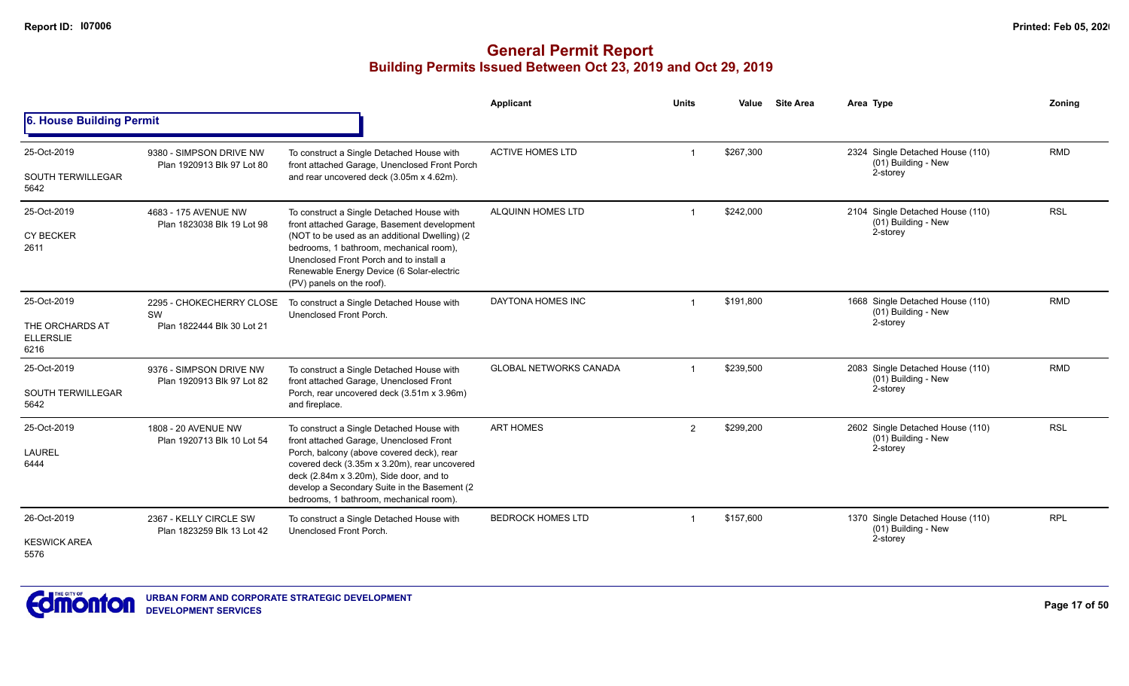|                                                            |                                                              |                                                                                                                                                                                                                                                                                                                         | Applicant                     | <b>Units</b> | Value     | <b>Site Area</b> | Area Type                                                             | Zoning     |
|------------------------------------------------------------|--------------------------------------------------------------|-------------------------------------------------------------------------------------------------------------------------------------------------------------------------------------------------------------------------------------------------------------------------------------------------------------------------|-------------------------------|--------------|-----------|------------------|-----------------------------------------------------------------------|------------|
| 6. House Building Permit                                   |                                                              |                                                                                                                                                                                                                                                                                                                         |                               |              |           |                  |                                                                       |            |
| 25-Oct-2019<br><b>SOUTH TERWILLEGAR</b><br>5642            | 9380 - SIMPSON DRIVE NW<br>Plan 1920913 Blk 97 Lot 80        | To construct a Single Detached House with<br>front attached Garage, Unenclosed Front Porch<br>and rear uncovered deck (3.05m x 4.62m).                                                                                                                                                                                  | <b>ACTIVE HOMES LTD</b>       |              | \$267,300 |                  | 2324 Single Detached House (110)<br>(01) Building - New<br>2-storey   | <b>RMD</b> |
| 25-Oct-2019<br><b>CY BECKER</b><br>2611                    | 4683 - 175 AVENUE NW<br>Plan 1823038 Blk 19 Lot 98           | To construct a Single Detached House with<br>front attached Garage, Basement development<br>(NOT to be used as an additional Dwelling) (2)<br>bedrooms, 1 bathroom, mechanical room),<br>Unenclosed Front Porch and to install a<br>Renewable Energy Device (6 Solar-electric<br>(PV) panels on the roof).              | ALQUINN HOMES LTD             |              | \$242,000 |                  | 2104 Single Detached House (110)<br>(01) Building - New<br>2-storey   | <b>RSL</b> |
| 25-Oct-2019<br>THE ORCHARDS AT<br><b>ELLERSLIE</b><br>6216 | 2295 - CHOKECHERRY CLOSE<br>SW<br>Plan 1822444 Blk 30 Lot 21 | To construct a Single Detached House with<br>Unenclosed Front Porch.                                                                                                                                                                                                                                                    | DAYTONA HOMES INC             |              | \$191,800 |                  | 1668 Single Detached House (110)<br>(01) Building - New<br>2-storey   | <b>RMD</b> |
| 25-Oct-2019<br><b>SOUTH TERWILLEGAR</b><br>5642            | 9376 - SIMPSON DRIVE NW<br>Plan 1920913 Blk 97 Lot 82        | To construct a Single Detached House with<br>front attached Garage, Unenclosed Front<br>Porch, rear uncovered deck (3.51m x 3.96m)<br>and fireplace.                                                                                                                                                                    | <b>GLOBAL NETWORKS CANADA</b> |              | \$239,500 |                  | 2083 Single Detached House (110)<br>$(01)$ Building - New<br>2-storey | <b>RMD</b> |
| 25-Oct-2019<br><b>LAUREL</b><br>6444                       | 1808 - 20 AVENUE NW<br>Plan 1920713 Blk 10 Lot 54            | To construct a Single Detached House with<br>front attached Garage, Unenclosed Front<br>Porch, balcony (above covered deck), rear<br>covered deck (3.35m x 3.20m), rear uncovered<br>deck (2.84m x 3.20m), Side door, and to<br>develop a Secondary Suite in the Basement (2<br>bedrooms, 1 bathroom, mechanical room). | <b>ART HOMES</b>              | 2            | \$299,200 |                  | 2602 Single Detached House (110)<br>(01) Building - New<br>2-storey   | <b>RSL</b> |
| 26-Oct-2019<br><b>KESWICK AREA</b><br>5576                 | 2367 - KELLY CIRCLE SW<br>Plan 1823259 Blk 13 Lot 42         | To construct a Single Detached House with<br>Unenclosed Front Porch.                                                                                                                                                                                                                                                    | <b>BEDROCK HOMES LTD</b>      |              | \$157,600 |                  | 1370 Single Detached House (110)<br>$(01)$ Building - New<br>2-storey | <b>RPL</b> |

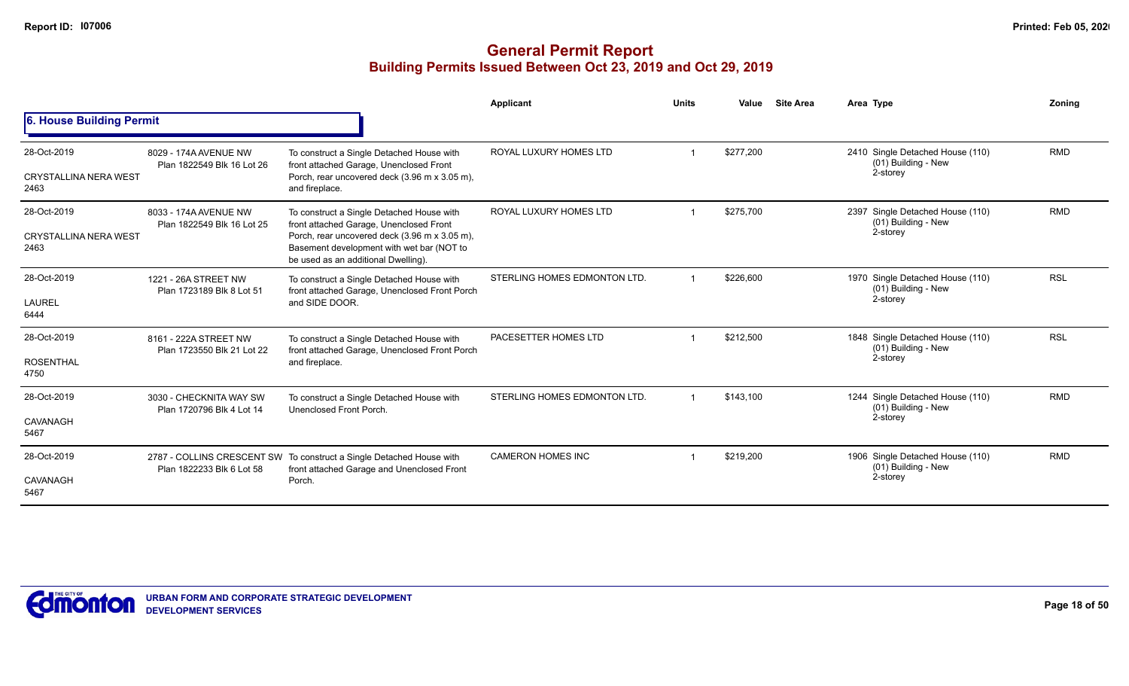|                                                     |                                                                                                                                                                                                                                                                                                                                                                                                                                                                                                                                                                                                                                                                                                                                                                                                                                                                                                                                                                                                                                                                                                                                                                                                                                                                                                                                                                    |                                                                                                                              | Applicant                    | <b>Units</b> | Value     | <b>Site Area</b> | Area Type                                                             | Zoning     |
|-----------------------------------------------------|--------------------------------------------------------------------------------------------------------------------------------------------------------------------------------------------------------------------------------------------------------------------------------------------------------------------------------------------------------------------------------------------------------------------------------------------------------------------------------------------------------------------------------------------------------------------------------------------------------------------------------------------------------------------------------------------------------------------------------------------------------------------------------------------------------------------------------------------------------------------------------------------------------------------------------------------------------------------------------------------------------------------------------------------------------------------------------------------------------------------------------------------------------------------------------------------------------------------------------------------------------------------------------------------------------------------------------------------------------------------|------------------------------------------------------------------------------------------------------------------------------|------------------------------|--------------|-----------|------------------|-----------------------------------------------------------------------|------------|
| 6. House Building Permit                            | <b>RMD</b><br>ROYAL LUXURY HOMES LTD<br>\$277,200<br>2410 Single Detached House (110)<br>8029 - 174A AVENUE NW<br>To construct a Single Detached House with<br>(01) Building - New<br>Plan 1822549 Blk 16 Lot 26<br>front attached Garage, Unenclosed Front<br>2-storey<br>Porch, rear uncovered deck (3.96 m x 3.05 m),<br>and fireplace.<br>\$275,700<br><b>RMD</b><br>ROYAL LUXURY HOMES LTD<br>2397 Single Detached House (110)<br>8033 - 174A AVENUE NW<br>To construct a Single Detached House with<br>(01) Building - New<br>front attached Garage, Unenclosed Front<br>Plan 1822549 Blk 16 Lot 25<br>2-storey<br>Porch, rear uncovered deck (3.96 m x 3.05 m),<br>Basement development with wet bar (NOT to<br>be used as an additional Dwelling).<br>\$226,600<br><b>RSL</b><br>STERLING HOMES EDMONTON LTD.<br>1970 Single Detached House (110)<br>1221 - 26A STREET NW<br>To construct a Single Detached House with<br>(01) Building - New<br>Plan 1723189 Blk 8 Lot 51<br>front attached Garage, Unenclosed Front Porch<br>2-storey<br>and SIDE DOOR.<br><b>RSL</b><br>PACESETTER HOMES LTD<br>\$212,500<br>1848 Single Detached House (110)<br>To construct a Single Detached House with<br>8161 - 222A STREET NW<br>(01) Building - New<br>Plan 1723550 Blk 21 Lot 22<br>front attached Garage, Unenclosed Front Porch<br>2-storey<br>and fireplace. |                                                                                                                              |                              |              |           |                  |                                                                       |            |
| 28-Oct-2019<br><b>CRYSTALLINA NERA WEST</b><br>2463 |                                                                                                                                                                                                                                                                                                                                                                                                                                                                                                                                                                                                                                                                                                                                                                                                                                                                                                                                                                                                                                                                                                                                                                                                                                                                                                                                                                    |                                                                                                                              |                              |              |           |                  |                                                                       |            |
| 28-Oct-2019<br><b>CRYSTALLINA NERA WEST</b><br>2463 |                                                                                                                                                                                                                                                                                                                                                                                                                                                                                                                                                                                                                                                                                                                                                                                                                                                                                                                                                                                                                                                                                                                                                                                                                                                                                                                                                                    |                                                                                                                              |                              |              |           |                  |                                                                       |            |
| 28-Oct-2019<br>LAUREL<br>6444                       |                                                                                                                                                                                                                                                                                                                                                                                                                                                                                                                                                                                                                                                                                                                                                                                                                                                                                                                                                                                                                                                                                                                                                                                                                                                                                                                                                                    |                                                                                                                              |                              |              |           |                  |                                                                       |            |
| 28-Oct-2019<br><b>ROSENTHAL</b><br>4750             |                                                                                                                                                                                                                                                                                                                                                                                                                                                                                                                                                                                                                                                                                                                                                                                                                                                                                                                                                                                                                                                                                                                                                                                                                                                                                                                                                                    |                                                                                                                              |                              |              |           |                  |                                                                       |            |
| 28-Oct-2019<br>CAVANAGH<br>5467                     | 3030 - CHECKNITA WAY SW<br>Plan 1720796 Blk 4 Lot 14                                                                                                                                                                                                                                                                                                                                                                                                                                                                                                                                                                                                                                                                                                                                                                                                                                                                                                                                                                                                                                                                                                                                                                                                                                                                                                               | To construct a Single Detached House with<br>Unenclosed Front Porch.                                                         | STERLING HOMES EDMONTON LTD. |              | \$143,100 |                  | 1244 Single Detached House (110)<br>$(01)$ Building - New<br>2-storey | <b>RMD</b> |
| 28-Oct-2019<br><b>CAVANAGH</b><br>5467              | Plan 1822233 Blk 6 Lot 58                                                                                                                                                                                                                                                                                                                                                                                                                                                                                                                                                                                                                                                                                                                                                                                                                                                                                                                                                                                                                                                                                                                                                                                                                                                                                                                                          | 2787 - COLLINS CRESCENT SW To construct a Single Detached House with<br>front attached Garage and Unenclosed Front<br>Porch. | <b>CAMERON HOMES INC</b>     |              | \$219,200 |                  | 1906 Single Detached House (110)<br>$(01)$ Building - New<br>2-storey | <b>RMD</b> |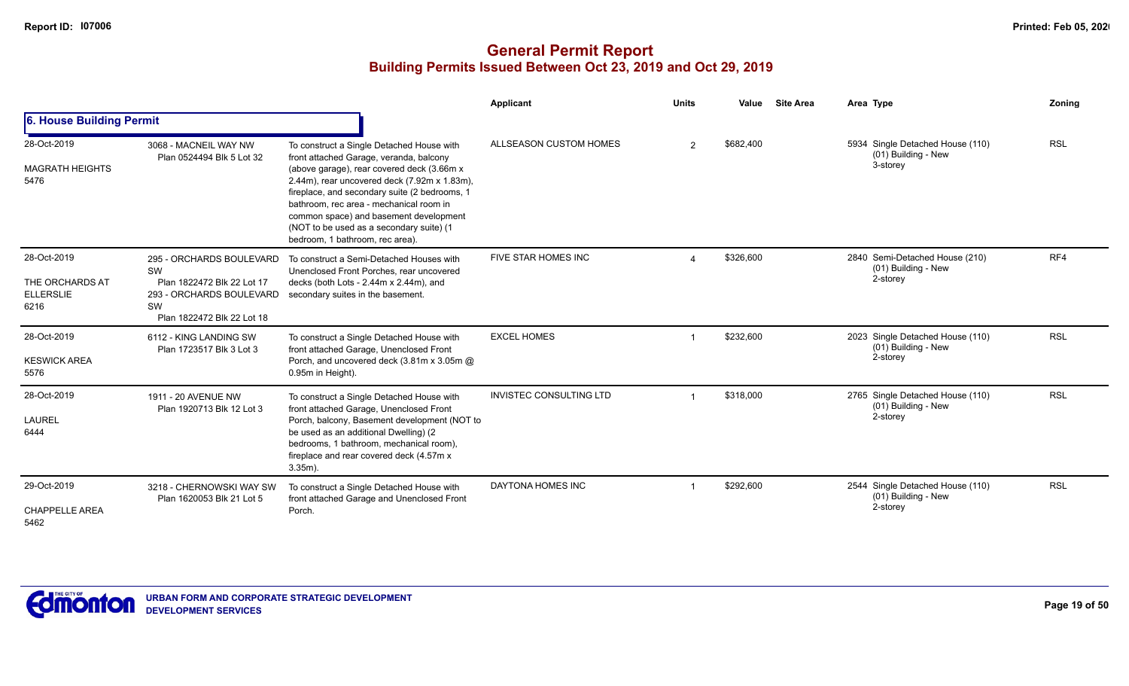|                                                            |                                                                                                                              |                                                                                                                                                                                                                                                                                                                                                                                                          | Applicant                      | <b>Units</b>  | Value     | <b>Site Area</b> | Area Type                                                           | Zoning     |
|------------------------------------------------------------|------------------------------------------------------------------------------------------------------------------------------|----------------------------------------------------------------------------------------------------------------------------------------------------------------------------------------------------------------------------------------------------------------------------------------------------------------------------------------------------------------------------------------------------------|--------------------------------|---------------|-----------|------------------|---------------------------------------------------------------------|------------|
| 6. House Building Permit                                   |                                                                                                                              |                                                                                                                                                                                                                                                                                                                                                                                                          |                                |               |           |                  |                                                                     |            |
| 28-Oct-2019<br><b>MAGRATH HEIGHTS</b><br>5476              | 3068 - MACNEIL WAY NW<br>Plan 0524494 Blk 5 Lot 32                                                                           | To construct a Single Detached House with<br>front attached Garage, veranda, balcony<br>(above garage), rear covered deck (3.66m x)<br>2.44m), rear uncovered deck (7.92m x 1.83m),<br>fireplace, and secondary suite (2 bedrooms, 1<br>bathroom, rec area - mechanical room in<br>common space) and basement development<br>(NOT to be used as a secondary suite) (1<br>bedroom, 1 bathroom, rec area). | ALLSEASON CUSTOM HOMES         | $\mathcal{P}$ | \$682,400 |                  | 5934 Single Detached House (110)<br>(01) Building - New<br>3-storey | <b>RSL</b> |
| 28-Oct-2019<br>THE ORCHARDS AT<br><b>ELLERSLIE</b><br>6216 | 295 - ORCHARDS BOULEVARD<br>SW<br>Plan 1822472 Blk 22 Lot 17<br>293 - ORCHARDS BOULEVARD<br>SW<br>Plan 1822472 Blk 22 Lot 18 | To construct a Semi-Detached Houses with<br>Unenclosed Front Porches, rear uncovered<br>decks (both Lots - $2.44m \times 2.44m$ ), and<br>secondary suites in the basement.                                                                                                                                                                                                                              | FIVE STAR HOMES INC            |               | \$326,600 |                  | 2840 Semi-Detached House (210)<br>(01) Building - New<br>2-storey   | RF4        |
| 28-Oct-2019<br><b>KESWICK AREA</b><br>5576                 | 6112 - KING LANDING SW<br>Plan 1723517 Blk 3 Lot 3                                                                           | To construct a Single Detached House with<br>front attached Garage, Unenclosed Front<br>Porch, and uncovered deck (3.81m x 3.05m @<br>0.95m in Height).                                                                                                                                                                                                                                                  | <b>EXCEL HOMES</b>             |               | \$232,600 |                  | 2023 Single Detached House (110)<br>(01) Building - New<br>2-storey | <b>RSL</b> |
| 28-Oct-2019<br>LAUREL<br>6444                              | 1911 - 20 AVENUE NW<br>Plan 1920713 Blk 12 Lot 3                                                                             | To construct a Single Detached House with<br>front attached Garage, Unenclosed Front<br>Porch, balcony, Basement development (NOT to<br>be used as an additional Dwelling) (2<br>bedrooms, 1 bathroom, mechanical room),<br>fireplace and rear covered deck (4.57m x<br>$3.35m$ ).                                                                                                                       | <b>INVISTEC CONSULTING LTD</b> |               | \$318,000 |                  | 2765 Single Detached House (110)<br>(01) Building - New<br>2-storey | <b>RSL</b> |
| 29-Oct-2019<br><b>CHAPPELLE AREA</b><br>5462               | 3218 - CHERNOWSKI WAY SW<br>Plan 1620053 Blk 21 Lot 5                                                                        | To construct a Single Detached House with<br>front attached Garage and Unenclosed Front<br>Porch.                                                                                                                                                                                                                                                                                                        | DAYTONA HOMES INC              |               | \$292,600 |                  | 2544 Single Detached House (110)<br>(01) Building - New<br>2-storey | <b>RSL</b> |

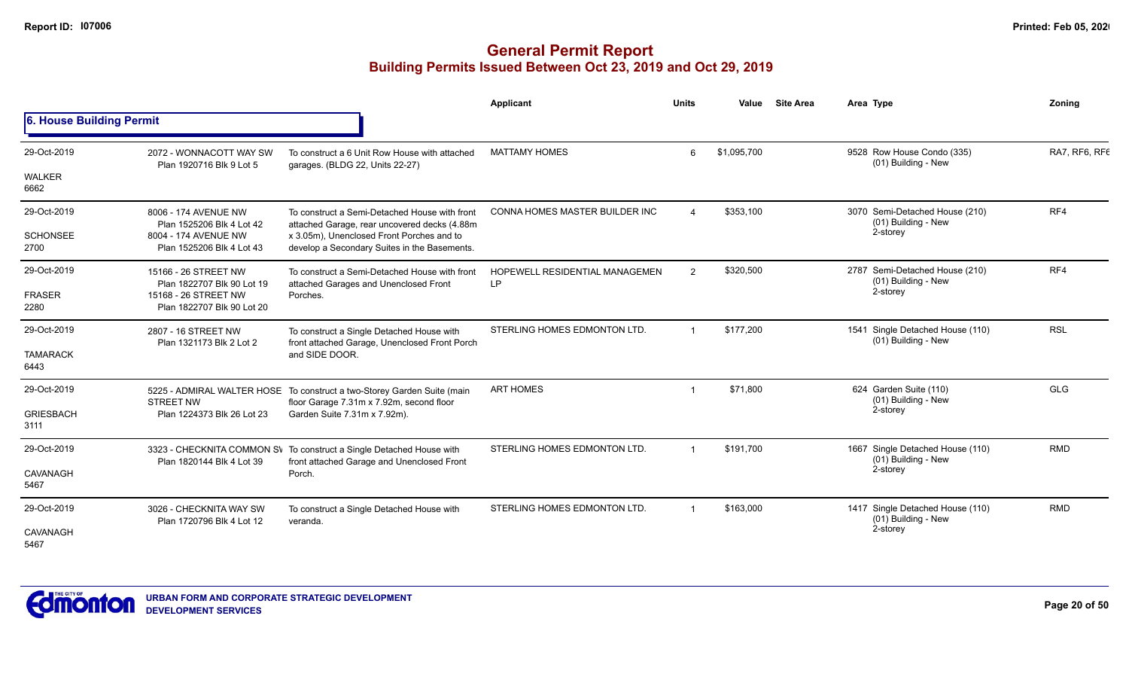|                          |                                                      |                                                                                                                     | Applicant                                   | <b>Units</b>   | Value       | <b>Site Area</b> | Area Type                                               | Zonina        |
|--------------------------|------------------------------------------------------|---------------------------------------------------------------------------------------------------------------------|---------------------------------------------|----------------|-------------|------------------|---------------------------------------------------------|---------------|
| 6. House Building Permit |                                                      |                                                                                                                     |                                             |                |             |                  |                                                         |               |
| 29-Oct-2019              | 2072 - WONNACOTT WAY SW<br>Plan 1920716 Blk 9 Lot 5  | To construct a 6 Unit Row House with attached<br>garages. (BLDG 22, Units 22-27)                                    | <b>MATTAMY HOMES</b>                        | 6              | \$1,095,700 |                  | 9528 Row House Condo (335)<br>(01) Building - New       | RA7, RF6, RF6 |
| <b>WALKER</b><br>6662    |                                                      |                                                                                                                     |                                             |                |             |                  |                                                         |               |
| 29-Oct-2019              | 8006 - 174 AVENUE NW<br>Plan 1525206 Blk 4 Lot 42    | To construct a Semi-Detached House with front<br>attached Garage, rear uncovered decks (4.88m                       | CONNA HOMES MASTER BUILDER INC              |                | \$353,100   |                  | 3070 Semi-Detached House (210)<br>(01) Building - New   | RF4           |
| <b>SCHONSEE</b><br>2700  | 8004 - 174 AVENUE NW<br>Plan 1525206 Blk 4 Lot 43    | x 3.05m), Unenclosed Front Porches and to<br>develop a Secondary Suites in the Basements.                           |                                             |                |             | 2-storey         |                                                         |               |
| 29-Oct-2019              | 15166 - 26 STREET NW<br>Plan 1822707 Blk 90 Lot 19   | To construct a Semi-Detached House with front<br>attached Garages and Unenclosed Front                              | HOPEWELL RESIDENTIAL MANAGEMEN<br><b>LP</b> | $\overline{2}$ | \$320.500   |                  | 2787 Semi-Detached House (210)<br>(01) Building - New   | RF4           |
| <b>FRASER</b><br>2280    | 15168 - 26 STREET NW<br>Plan 1822707 Blk 90 Lot 20   | Porches.                                                                                                            |                                             |                |             |                  | 2-storey                                                |               |
| 29-Oct-2019              | 2807 - 16 STREET NW<br>Plan 1321173 Blk 2 Lot 2      | To construct a Single Detached House with<br>front attached Garage, Unenclosed Front Porch                          | STERLING HOMES EDMONTON LTD.                | $\overline{1}$ | \$177,200   |                  | 1541 Single Detached House (110)<br>(01) Building - New | <b>RSL</b>    |
| <b>TAMARACK</b><br>6443  |                                                      | and SIDE DOOR.                                                                                                      |                                             |                |             |                  |                                                         |               |
| 29-Oct-2019              | <b>STREET NW</b>                                     | 5225 - ADMIRAL WALTER HOSE To construct a two-Storey Garden Suite (main<br>floor Garage 7.31m x 7.92m, second floor | <b>ART HOMES</b>                            |                | \$71,800    |                  | 624 Garden Suite (110)<br>(01) Building - New           | <b>GLG</b>    |
| <b>GRIESBACH</b><br>3111 | Plan 1224373 Blk 26 Lot 23                           | Garden Suite 7.31m x 7.92m).                                                                                        |                                             |                |             |                  | 2-storey                                                |               |
| 29-Oct-2019              | Plan 1820144 Blk 4 Lot 39                            | 3323 - CHECKNITA COMMON SV To construct a Single Detached House with<br>front attached Garage and Unenclosed Front  | STERLING HOMES EDMONTON LTD.                |                | \$191,700   |                  | 1667 Single Detached House (110)<br>(01) Building - New | <b>RMD</b>    |
| CAVANAGH<br>5467         |                                                      | Porch.                                                                                                              |                                             |                |             |                  | 2-storey                                                |               |
| 29-Oct-2019              | 3026 - CHECKNITA WAY SW<br>Plan 1720796 Blk 4 Lot 12 | To construct a Single Detached House with<br>veranda.                                                               | STERLING HOMES EDMONTON LTD.                | $\mathbf 1$    | \$163,000   |                  | 1417 Single Detached House (110)<br>(01) Building - New | <b>RMD</b>    |
| CAVANAGH<br>5467         |                                                      |                                                                                                                     |                                             |                |             |                  | 2-storey                                                |               |

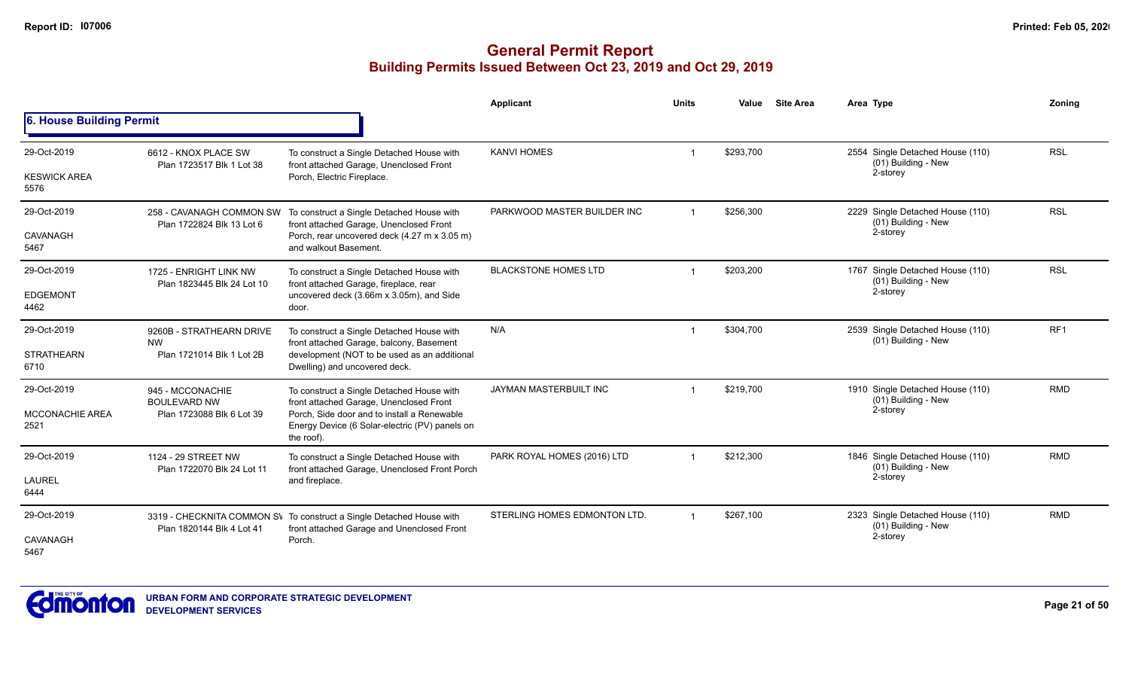|                                |                                                       |                                                                                                                    | Applicant                    | <b>Units</b> | Value     | <b>Site Area</b> | Area Type                                                           | Zoning          |
|--------------------------------|-------------------------------------------------------|--------------------------------------------------------------------------------------------------------------------|------------------------------|--------------|-----------|------------------|---------------------------------------------------------------------|-----------------|
| 6. House Building Permit       |                                                       |                                                                                                                    |                              |              |           |                  |                                                                     |                 |
| 29-Oct-2019                    | 6612 - KNOX PLACE SW<br>Plan 1723517 Blk 1 Lot 38     | To construct a Single Detached House with<br>front attached Garage, Unenclosed Front                               | <b>KANVI HOMES</b>           |              | \$293,700 |                  | 2554 Single Detached House (110)<br>(01) Building - New<br>2-storey | <b>RSL</b>      |
| <b>KESWICK AREA</b><br>5576    |                                                       | Porch, Electric Fireplace.                                                                                         |                              |              |           |                  |                                                                     |                 |
| 29-Oct-2019                    | 258 - CAVANAGH COMMON SW<br>Plan 1722824 Blk 13 Lot 6 | To construct a Single Detached House with<br>front attached Garage, Unenclosed Front                               | PARKWOOD MASTER BUILDER INC  |              | \$256,300 |                  | 2229 Single Detached House (110)<br>(01) Building - New             | <b>RSL</b>      |
| CAVANAGH<br>5467               |                                                       | Porch, rear uncovered deck (4.27 m x 3.05 m)<br>and walkout Basement.                                              |                              |              |           |                  | 2-storey                                                            |                 |
| 29-Oct-2019                    | 1725 - ENRIGHT LINK NW<br>Plan 1823445 Blk 24 Lot 10  | To construct a Single Detached House with<br>front attached Garage, fireplace, rear                                | <b>BLACKSTONE HOMES LTD</b>  |              | \$203,200 |                  | 1767 Single Detached House (110)<br>(01) Building - New             | <b>RSL</b>      |
| <b>EDGEMONT</b><br>4462        |                                                       | uncovered deck (3.66m x 3.05m), and Side<br>door.                                                                  |                              |              |           | 2-storey         |                                                                     |                 |
| 29-Oct-2019                    | 9260B - STRATHEARN DRIVE                              | To construct a Single Detached House with<br>front attached Garage, balcony, Basement                              | N/A                          |              | \$304,700 |                  | 2539 Single Detached House (110)<br>(01) Building - New             | RF <sub>1</sub> |
| <b>STRATHEARN</b><br>6710      | <b>NW</b><br>Plan 1721014 Blk 1 Lot 2B                | development (NOT to be used as an additional<br>Dwelling) and uncovered deck.                                      |                              |              |           |                  |                                                                     |                 |
| 29-Oct-2019                    | 945 - MCCONACHIE<br><b>BOULEVARD NW</b>               | To construct a Single Detached House with<br>front attached Garage, Unenclosed Front                               | JAYMAN MASTERBUILT INC       |              | \$219.700 |                  | 1910 Single Detached House (110)<br>(01) Building - New             | <b>RMD</b>      |
| <b>MCCONACHIE AREA</b><br>2521 | Plan 1723088 Blk 6 Lot 39                             | Porch. Side door and to install a Renewable<br>Energy Device (6 Solar-electric (PV) panels on<br>the roof).        |                              |              |           |                  | 2-storey                                                            |                 |
| 29-Oct-2019                    | 1124 - 29 STREET NW<br>Plan 1722070 Blk 24 Lot 11     | To construct a Single Detached House with<br>front attached Garage, Unenclosed Front Porch                         | PARK ROYAL HOMES (2016) LTD  | -1           | \$212,300 |                  | 1846 Single Detached House (110)<br>(01) Building - New             | <b>RMD</b>      |
| <b>LAUREL</b><br>6444          |                                                       | and fireplace.                                                                                                     |                              |              |           |                  | 2-storey                                                            |                 |
| 29-Oct-2019                    | Plan 1820144 Blk 4 Lot 41                             | 3319 - CHECKNITA COMMON SV To construct a Single Detached House with<br>front attached Garage and Unenclosed Front | STERLING HOMES EDMONTON LTD. |              | \$267,100 |                  | 2323 Single Detached House (110)<br>(01) Building - New             | <b>RMD</b>      |
| <b>CAVANAGH</b><br>5467        |                                                       | Porch.                                                                                                             |                              |              |           |                  | 2-storey                                                            |                 |

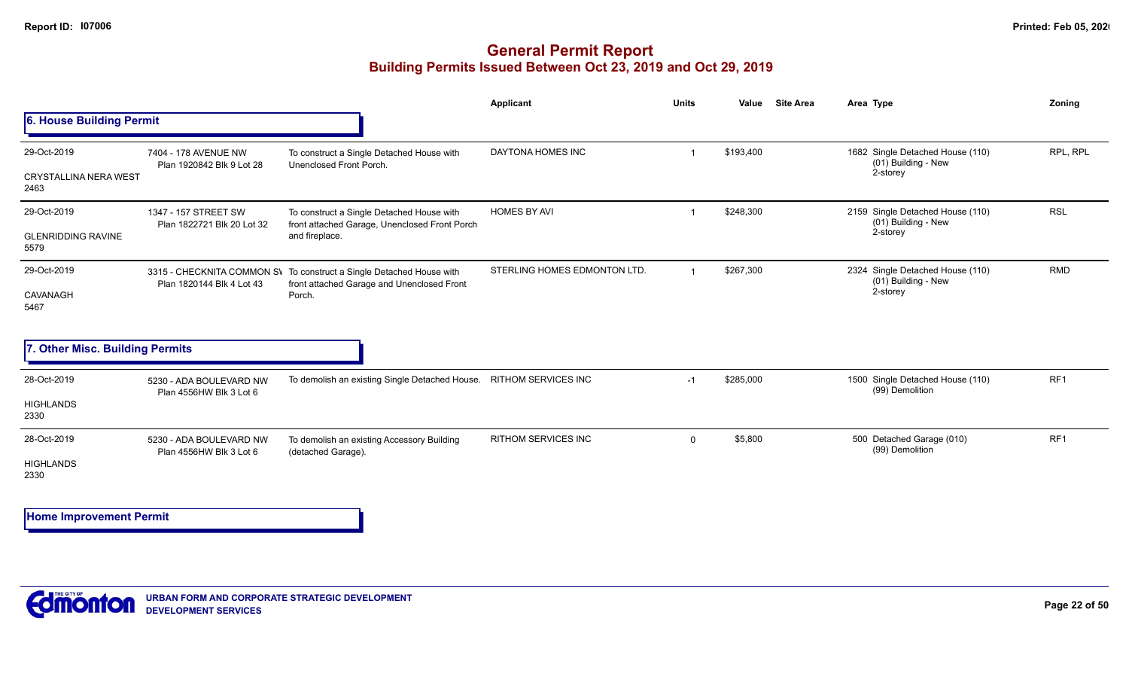### **General Permit Report Building Permits Issued Between Oct 23, 2019 and Oct 29, 2019**

|                                      |                                                    |                                                                                                                                                                                                                                                                                                                                                                                                                                                                                                                                                                                                                                                                                                                                                                                                                                                                                                                                                                                                                                                                | <b>Applicant</b> | <b>Units</b> | Value | <b>Site Area</b> | Area Type | Zoning |
|--------------------------------------|----------------------------------------------------|----------------------------------------------------------------------------------------------------------------------------------------------------------------------------------------------------------------------------------------------------------------------------------------------------------------------------------------------------------------------------------------------------------------------------------------------------------------------------------------------------------------------------------------------------------------------------------------------------------------------------------------------------------------------------------------------------------------------------------------------------------------------------------------------------------------------------------------------------------------------------------------------------------------------------------------------------------------------------------------------------------------------------------------------------------------|------------------|--------------|-------|------------------|-----------|--------|
| 6. House Building Permit             |                                                    | DAYTONA HOMES INC<br>\$193,400<br>1682 Single Detached House (110)<br>RPL, RPL<br>To construct a Single Detached House with<br>$(01)$ Building - New<br>Unenclosed Front Porch.<br>2-storey<br><b>HOMES BY AVI</b><br>\$248,300<br>2159 Single Detached House (110)<br><b>RSL</b><br>To construct a Single Detached House with<br>(01) Building - New<br>front attached Garage, Unenclosed Front Porch<br>2-storey<br>and fireplace.<br>\$267,300<br><b>RMD</b><br>STERLING HOMES EDMONTON LTD.<br>2324 Single Detached House (110)<br>3315 - CHECKNITA COMMON SV To construct a Single Detached House with<br>(01) Building - New<br>front attached Garage and Unenclosed Front<br>2-storey<br>Porch.<br>\$285,000<br>RF1<br>To demolish an existing Single Detached House.<br>RITHOM SERVICES INC<br>1500 Single Detached House (110)<br>$-1$<br>(99) Demolition<br>RF <sub>1</sub><br><b>RITHOM SERVICES INC</b><br>\$5,800<br>500 Detached Garage (010)<br>To demolish an existing Accessory Building<br>$\Omega$<br>(99) Demolition<br>(detached Garage). |                  |              |       |                  |           |        |
| 29-Oct-2019                          | 7404 - 178 AVENUE NW<br>Plan 1920842 Blk 9 Lot 28  |                                                                                                                                                                                                                                                                                                                                                                                                                                                                                                                                                                                                                                                                                                                                                                                                                                                                                                                                                                                                                                                                |                  |              |       |                  |           |        |
| <b>CRYSTALLINA NERA WEST</b><br>2463 |                                                    |                                                                                                                                                                                                                                                                                                                                                                                                                                                                                                                                                                                                                                                                                                                                                                                                                                                                                                                                                                                                                                                                |                  |              |       |                  |           |        |
| 29-Oct-2019                          | 1347 - 157 STREET SW<br>Plan 1822721 Blk 20 Lot 32 |                                                                                                                                                                                                                                                                                                                                                                                                                                                                                                                                                                                                                                                                                                                                                                                                                                                                                                                                                                                                                                                                |                  |              |       |                  |           |        |
| <b>GLENRIDDING RAVINE</b><br>5579    |                                                    |                                                                                                                                                                                                                                                                                                                                                                                                                                                                                                                                                                                                                                                                                                                                                                                                                                                                                                                                                                                                                                                                |                  |              |       |                  |           |        |
| 29-Oct-2019                          | Plan 1820144 Blk 4 Lot 43                          |                                                                                                                                                                                                                                                                                                                                                                                                                                                                                                                                                                                                                                                                                                                                                                                                                                                                                                                                                                                                                                                                |                  |              |       |                  |           |        |
| CAVANAGH<br>5467                     |                                                    |                                                                                                                                                                                                                                                                                                                                                                                                                                                                                                                                                                                                                                                                                                                                                                                                                                                                                                                                                                                                                                                                |                  |              |       |                  |           |        |
| 7. Other Misc. Building Permits      |                                                    |                                                                                                                                                                                                                                                                                                                                                                                                                                                                                                                                                                                                                                                                                                                                                                                                                                                                                                                                                                                                                                                                |                  |              |       |                  |           |        |
| 28-Oct-2019                          | 5230 - ADA BOULEVARD NW<br>Plan 4556HW Blk 3 Lot 6 |                                                                                                                                                                                                                                                                                                                                                                                                                                                                                                                                                                                                                                                                                                                                                                                                                                                                                                                                                                                                                                                                |                  |              |       |                  |           |        |
| <b>HIGHLANDS</b><br>2330             |                                                    |                                                                                                                                                                                                                                                                                                                                                                                                                                                                                                                                                                                                                                                                                                                                                                                                                                                                                                                                                                                                                                                                |                  |              |       |                  |           |        |
| 28-Oct-2019                          | 5230 - ADA BOULEVARD NW<br>Plan 4556HW Blk 3 Lot 6 |                                                                                                                                                                                                                                                                                                                                                                                                                                                                                                                                                                                                                                                                                                                                                                                                                                                                                                                                                                                                                                                                |                  |              |       |                  |           |        |
| <b>HIGHLANDS</b><br>2330             |                                                    |                                                                                                                                                                                                                                                                                                                                                                                                                                                                                                                                                                                                                                                                                                                                                                                                                                                                                                                                                                                                                                                                |                  |              |       |                  |           |        |
|                                      |                                                    |                                                                                                                                                                                                                                                                                                                                                                                                                                                                                                                                                                                                                                                                                                                                                                                                                                                                                                                                                                                                                                                                |                  |              |       |                  |           |        |

**Home Improvement Permit**

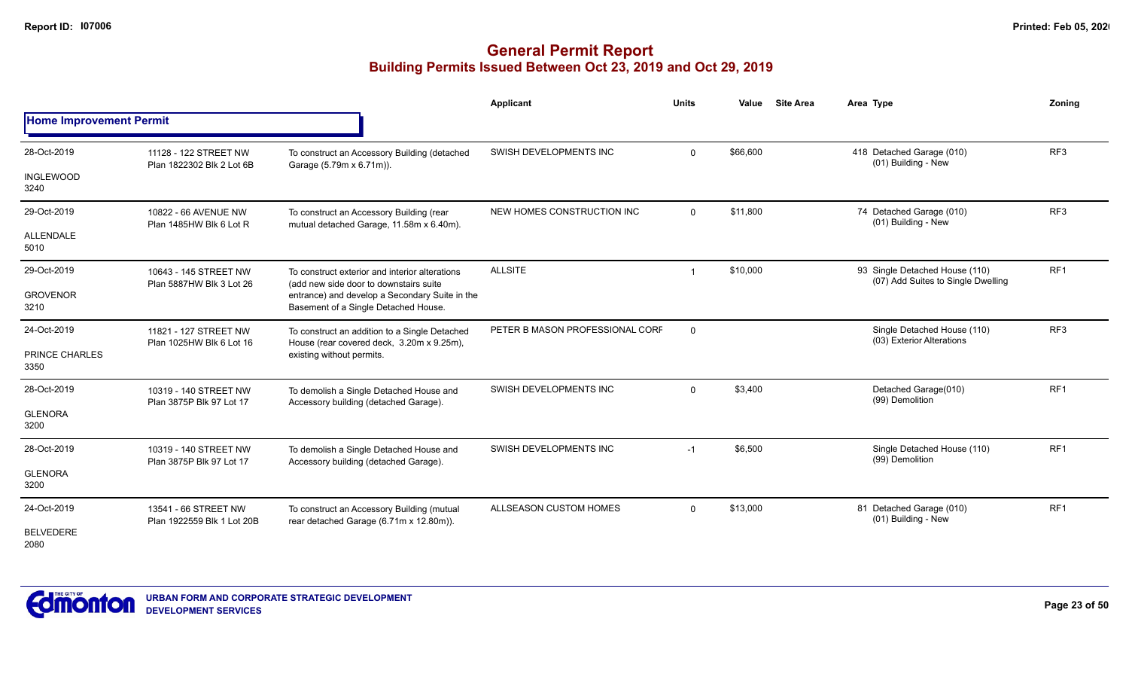|                                |                                                    |                                                                                            | <b>Applicant</b>                | <b>Units</b> | <b>Site Area</b><br>Value | Area Type                                                            | Zoning          |
|--------------------------------|----------------------------------------------------|--------------------------------------------------------------------------------------------|---------------------------------|--------------|---------------------------|----------------------------------------------------------------------|-----------------|
| <b>Home Improvement Permit</b> |                                                    |                                                                                            |                                 |              |                           |                                                                      |                 |
| 28-Oct-2019                    | 11128 - 122 STREET NW<br>Plan 1822302 Blk 2 Lot 6B | To construct an Accessory Building (detached<br>Garage (5.79m x 6.71m)).                   | SWISH DEVELOPMENTS INC          | $\mathbf 0$  | \$66,600                  | 418 Detached Garage (010)<br>(01) Building - New                     | RF <sub>3</sub> |
| <b>INGLEWOOD</b><br>3240       |                                                    |                                                                                            |                                 |              |                           |                                                                      |                 |
| 29-Oct-2019                    | 10822 - 66 AVENUE NW<br>Plan 1485HW Blk 6 Lot R    | To construct an Accessory Building (rear<br>mutual detached Garage, 11.58m x 6.40m).       | NEW HOMES CONSTRUCTION INC      | $\mathbf{0}$ | \$11,800                  | 74 Detached Garage (010)<br>(01) Building - New                      | RF <sub>3</sub> |
| <b>ALLENDALE</b><br>5010       |                                                    |                                                                                            |                                 |              |                           |                                                                      |                 |
| 29-Oct-2019                    | 10643 - 145 STREET NW<br>Plan 5887HW Blk 3 Lot 26  | To construct exterior and interior alterations<br>(add new side door to downstairs suite   | <b>ALLSITE</b>                  |              | \$10,000                  | 93 Single Detached House (110)<br>(07) Add Suites to Single Dwelling | RF <sub>1</sub> |
| <b>GROVENOR</b><br>3210        |                                                    | entrance) and develop a Secondary Suite in the<br>Basement of a Single Detached House.     |                                 |              |                           |                                                                      |                 |
| 24-Oct-2019                    | 11821 - 127 STREET NW                              | To construct an addition to a Single Detached<br>House (rear covered deck, 3.20m x 9.25m), | PETER B MASON PROFESSIONAL CORF | $\Omega$     |                           | Single Detached House (110)<br>(03) Exterior Alterations             | RF <sub>3</sub> |
| PRINCE CHARLES<br>3350         | Plan 1025HW Blk 6 Lot 16                           | existing without permits.                                                                  |                                 |              |                           |                                                                      |                 |
| 28-Oct-2019                    | 10319 - 140 STREET NW<br>Plan 3875P Blk 97 Lot 17  | To demolish a Single Detached House and<br>Accessory building (detached Garage).           | SWISH DEVELOPMENTS INC          | $\Omega$     | \$3,400                   | Detached Garage(010)<br>(99) Demolition                              | RF <sub>1</sub> |
| <b>GLENORA</b><br>3200         |                                                    |                                                                                            |                                 |              |                           |                                                                      |                 |
| 28-Oct-2019                    | 10319 - 140 STREET NW<br>Plan 3875P Blk 97 Lot 17  | To demolish a Single Detached House and<br>Accessory building (detached Garage).           | SWISH DEVELOPMENTS INC          | $-1$         | \$6,500                   | Single Detached House (110)<br>(99) Demolition                       | RF <sub>1</sub> |
| <b>GLENORA</b><br>3200         |                                                    |                                                                                            |                                 |              |                           |                                                                      |                 |
| 24-Oct-2019                    | 13541 - 66 STREET NW<br>Plan 1922559 Blk 1 Lot 20B | To construct an Accessory Building (mutual<br>rear detached Garage (6.71m x 12.80m)).      | ALLSEASON CUSTOM HOMES          | $\mathbf 0$  | \$13,000                  | 81 Detached Garage (010)<br>(01) Building - New                      | RF <sub>1</sub> |
| <b>BELVEDERE</b><br>2080       |                                                    |                                                                                            |                                 |              |                           |                                                                      |                 |

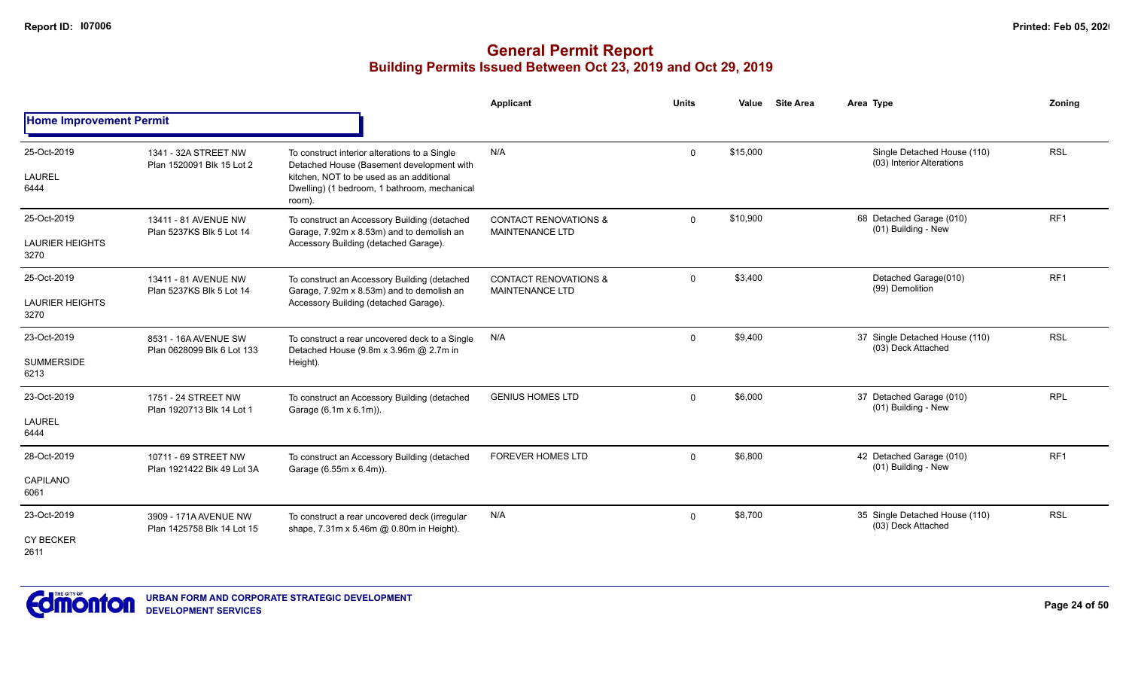|                                               |                                                     |                                                                                                                                                                                                  | <b>Applicant</b>                                           | <b>Units</b> | Value    | <b>Site Area</b> | Area Type                                                | <b>Zoning</b>   |
|-----------------------------------------------|-----------------------------------------------------|--------------------------------------------------------------------------------------------------------------------------------------------------------------------------------------------------|------------------------------------------------------------|--------------|----------|------------------|----------------------------------------------------------|-----------------|
| <b>Home Improvement Permit</b>                |                                                     |                                                                                                                                                                                                  |                                                            |              |          |                  |                                                          |                 |
| 25-Oct-2019<br><b>LAUREL</b><br>6444          | 1341 - 32A STREET NW<br>Plan 1520091 Blk 15 Lot 2   | To construct interior alterations to a Single<br>Detached House (Basement development with<br>kitchen. NOT to be used as an additional<br>Dwelling) (1 bedroom, 1 bathroom, mechanical<br>room). | N/A                                                        | $\Omega$     | \$15,000 |                  | Single Detached House (110)<br>(03) Interior Alterations | <b>RSL</b>      |
| 25-Oct-2019<br><b>LAURIER HEIGHTS</b><br>3270 | 13411 - 81 AVENUE NW<br>Plan 5237KS Blk 5 Lot 14    | To construct an Accessory Building (detached<br>Garage, 7.92m x 8.53m) and to demolish an<br>Accessory Building (detached Garage).                                                               | <b>CONTACT RENOVATIONS &amp;</b><br><b>MAINTENANCE LTD</b> | $\Omega$     | \$10,900 |                  | 68 Detached Garage (010)<br>(01) Building - New          | RF <sub>1</sub> |
| 25-Oct-2019<br><b>LAURIER HEIGHTS</b><br>3270 | 13411 - 81 AVENUE NW<br>Plan 5237KS Blk 5 Lot 14    | To construct an Accessory Building (detached<br>Garage, 7.92m x 8.53m) and to demolish an<br>Accessory Building (detached Garage).                                                               | <b>CONTACT RENOVATIONS &amp;</b><br><b>MAINTENANCE LTD</b> | $\Omega$     | \$3,400  |                  | Detached Garage(010)<br>(99) Demolition                  | RF <sub>1</sub> |
| 23-Oct-2019<br><b>SUMMERSIDE</b><br>6213      | 8531 - 16A AVENUE SW<br>Plan 0628099 Blk 6 Lot 133  | To construct a rear uncovered deck to a Single<br>Detached House (9.8m x 3.96m @ 2.7m in<br>Height).                                                                                             | N/A                                                        | $\Omega$     | \$9,400  |                  | 37 Single Detached House (110)<br>(03) Deck Attached     | <b>RSL</b>      |
| 23-Oct-2019<br><b>LAUREL</b><br>6444          | 1751 - 24 STREET NW<br>Plan 1920713 Blk 14 Lot 1    | To construct an Accessory Building (detached<br>Garage (6.1m x 6.1m)).                                                                                                                           | <b>GENIUS HOMES LTD</b>                                    | $\Omega$     | \$6,000  |                  | 37 Detached Garage (010)<br>(01) Building - New          | <b>RPL</b>      |
| 28-Oct-2019<br><b>CAPILANO</b><br>6061        | 10711 - 69 STREET NW<br>Plan 1921422 Blk 49 Lot 3A  | To construct an Accessory Building (detached<br>Garage (6.55m x 6.4m)).                                                                                                                          | <b>FOREVER HOMES LTD</b>                                   | $\Omega$     | \$6,800  |                  | 42 Detached Garage (010)<br>(01) Building - New          | RF1             |
| 23-Oct-2019<br><b>CY BECKER</b><br>2611       | 3909 - 171A AVENUE NW<br>Plan 1425758 Blk 14 Lot 15 | To construct a rear uncovered deck (irregular<br>shape, 7.31m x 5.46m @ 0.80m in Height).                                                                                                        | N/A                                                        | $\Omega$     | \$8,700  |                  | 35 Single Detached House (110)<br>(03) Deck Attached     | <b>RSL</b>      |

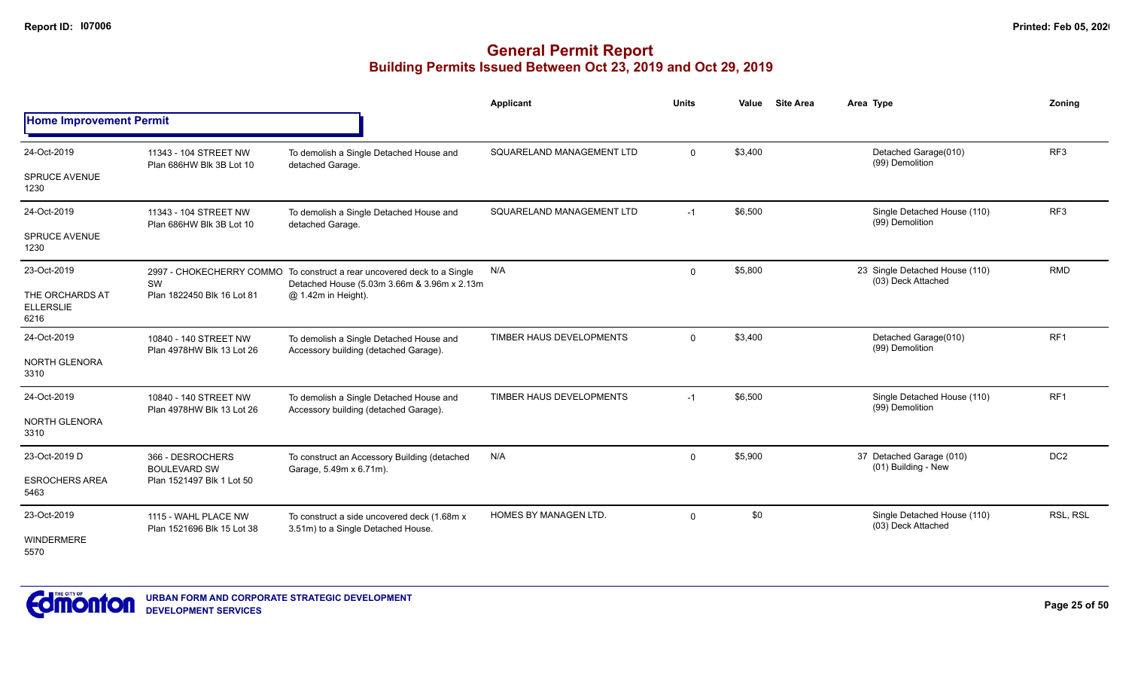|                                             |                                                    |                                                                                                                        | <b>Applicant</b>             | <b>Units</b> | Value   | <b>Site Area</b> | Area Type                                            | <b>Zoning</b>   |
|---------------------------------------------|----------------------------------------------------|------------------------------------------------------------------------------------------------------------------------|------------------------------|--------------|---------|------------------|------------------------------------------------------|-----------------|
| <b>Home Improvement Permit</b>              |                                                    |                                                                                                                        |                              |              |         |                  |                                                      |                 |
| 24-Oct-2019                                 | 11343 - 104 STREET NW<br>Plan 686HW Blk 3B Lot 10  | To demolish a Single Detached House and<br>detached Garage.                                                            | SQUARELAND MANAGEMENT LTD    | $\Omega$     | \$3,400 |                  | Detached Garage(010)<br>(99) Demolition              | RF <sub>3</sub> |
| <b>SPRUCE AVENUE</b><br>1230                |                                                    |                                                                                                                        |                              |              |         |                  |                                                      |                 |
| 24-Oct-2019                                 | 11343 - 104 STREET NW<br>Plan 686HW Blk 3B Lot 10  | To demolish a Single Detached House and<br>detached Garage.                                                            | SQUARELAND MANAGEMENT LTD    | $-1$         | \$6,500 |                  | Single Detached House (110)<br>(99) Demolition       | RF <sub>3</sub> |
| <b>SPRUCE AVENUE</b><br>1230                |                                                    |                                                                                                                        |                              |              |         |                  |                                                      |                 |
| 23-Oct-2019                                 | SW                                                 | 2997 - CHOKECHERRY COMMO To construct a rear uncovered deck to a Single<br>Detached House (5.03m 3.66m & 3.96m x 2.13m | N/A                          | $\mathbf 0$  | \$5,800 |                  | 23 Single Detached House (110)<br>(03) Deck Attached | <b>RMD</b>      |
| THE ORCHARDS AT<br><b>ELLERSLIE</b><br>6216 | Plan 1822450 Blk 16 Lot 81                         | @ 1.42m in Height).                                                                                                    |                              |              |         |                  |                                                      |                 |
| 24-Oct-2019                                 | 10840 - 140 STREET NW<br>Plan 4978HW Blk 13 Lot 26 | To demolish a Single Detached House and<br>Accessory building (detached Garage).                                       | TIMBER HAUS DEVELOPMENTS     | $\Omega$     | \$3,400 |                  | Detached Garage(010)<br>(99) Demolition              | RF <sub>1</sub> |
| <b>NORTH GLENORA</b><br>3310                |                                                    |                                                                                                                        |                              |              |         |                  |                                                      |                 |
| 24-Oct-2019                                 | 10840 - 140 STREET NW<br>Plan 4978HW Blk 13 Lot 26 | To demolish a Single Detached House and<br>Accessory building (detached Garage).                                       | TIMBER HAUS DEVELOPMENTS     | $-1$         | \$6,500 |                  | Single Detached House (110)<br>(99) Demolition       | RF1             |
| <b>NORTH GLENORA</b><br>3310                |                                                    |                                                                                                                        |                              |              |         |                  |                                                      |                 |
| 23-Oct-2019 D                               | 366 - DESROCHERS                                   | To construct an Accessory Building (detached<br>Garage, 5.49m x 6.71m).                                                | N/A                          | $\mathbf 0$  | \$5,900 |                  | 37 Detached Garage (010)<br>(01) Building - New      | DC <sub>2</sub> |
| <b>ESROCHERS AREA</b><br>5463               | <b>BOULEVARD SW</b><br>Plan 1521497 Blk 1 Lot 50   |                                                                                                                        |                              |              |         |                  |                                                      |                 |
| 23-Oct-2019                                 | 1115 - WAHL PLACE NW<br>Plan 1521696 Blk 15 Lot 38 | To construct a side uncovered deck (1.68m x<br>3.51m) to a Single Detached House.                                      | <b>HOMES BY MANAGEN LTD.</b> | $\Omega$     | \$0     |                  | Single Detached House (110)<br>(03) Deck Attached    | RSL, RSL        |
| <b>WINDERMERE</b><br>5570                   |                                                    |                                                                                                                        |                              |              |         |                  |                                                      |                 |

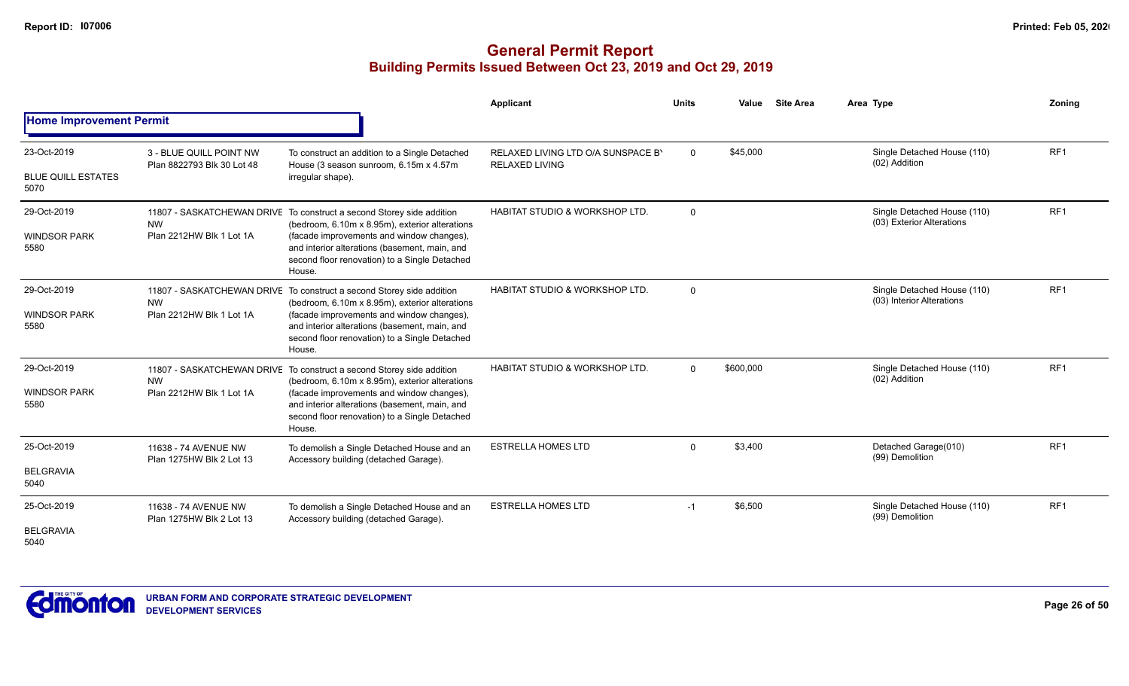|                                                  |                                                       |                                                                                                                                                                                                                                                                                  | <b>Applicant</b>                                            | <b>Units</b> | Value     | <b>Site Area</b> | Area Type                                                | Zoning          |
|--------------------------------------------------|-------------------------------------------------------|----------------------------------------------------------------------------------------------------------------------------------------------------------------------------------------------------------------------------------------------------------------------------------|-------------------------------------------------------------|--------------|-----------|------------------|----------------------------------------------------------|-----------------|
| <b>Home Improvement Permit</b>                   |                                                       |                                                                                                                                                                                                                                                                                  |                                                             |              |           |                  |                                                          |                 |
| 23-Oct-2019<br><b>BLUE QUILL ESTATES</b><br>5070 | 3 - BLUE QUILL POINT NW<br>Plan 8822793 Blk 30 Lot 48 | To construct an addition to a Single Detached<br>House (3 season sunroom, 6.15m x 4.57m<br>irregular shape).                                                                                                                                                                     | RELAXED LIVING LTD O/A SUNSPACE BY<br><b>RELAXED LIVING</b> | $\mathbf 0$  | \$45,000  |                  | Single Detached House (110)<br>(02) Addition             | RF <sub>1</sub> |
| 29-Oct-2019<br><b>WINDSOR PARK</b><br>5580       | <b>NW</b><br>Plan 2212HW Blk 1 Lot 1A                 | 11807 - SASKATCHEWAN DRIVE To construct a second Storey side addition<br>(bedroom, 6.10m x 8.95m), exterior alterations<br>(facade improvements and window changes),<br>and interior alterations (basement, main, and<br>second floor renovation) to a Single Detached<br>House. | <b>HABITAT STUDIO &amp; WORKSHOP LTD.</b>                   | $\mathbf 0$  |           |                  | Single Detached House (110)<br>(03) Exterior Alterations | RF <sub>1</sub> |
| 29-Oct-2019<br><b>WINDSOR PARK</b><br>5580       | <b>NW</b><br>Plan 2212HW Blk 1 Lot 1A                 | 11807 - SASKATCHEWAN DRIVE To construct a second Storey side addition<br>(bedroom, 6.10m x 8.95m), exterior alterations<br>(facade improvements and window changes),<br>and interior alterations (basement, main, and<br>second floor renovation) to a Single Detached<br>House. | <b>HABITAT STUDIO &amp; WORKSHOP LTD.</b>                   | $\mathbf 0$  |           |                  | Single Detached House (110)<br>(03) Interior Alterations | RF1             |
| 29-Oct-2019<br><b>WINDSOR PARK</b><br>5580       | <b>NW</b><br>Plan 2212HW Blk 1 Lot 1A                 | 11807 - SASKATCHEWAN DRIVE To construct a second Storey side addition<br>(bedroom, 6.10m x 8.95m), exterior alterations<br>(facade improvements and window changes),<br>and interior alterations (basement, main, and<br>second floor renovation) to a Single Detached<br>House. | HABITAT STUDIO & WORKSHOP LTD.                              | $\Omega$     | \$600,000 |                  | Single Detached House (110)<br>(02) Addition             | RF1             |
| 25-Oct-2019<br><b>BELGRAVIA</b><br>5040          | 11638 - 74 AVENUE NW<br>Plan 1275HW Blk 2 Lot 13      | To demolish a Single Detached House and an<br>Accessory building (detached Garage).                                                                                                                                                                                              | <b>ESTRELLA HOMES LTD</b>                                   | $\mathbf 0$  | \$3,400   |                  | Detached Garage(010)<br>(99) Demolition                  | RF <sub>1</sub> |
| 25-Oct-2019<br><b>BELGRAVIA</b><br>5040          | 11638 - 74 AVENUE NW<br>Plan 1275HW Blk 2 Lot 13      | To demolish a Single Detached House and an<br>Accessory building (detached Garage).                                                                                                                                                                                              | <b>ESTRELLA HOMES LTD</b>                                   | $-1$         | \$6,500   |                  | Single Detached House (110)<br>(99) Demolition           | RF <sub>1</sub> |

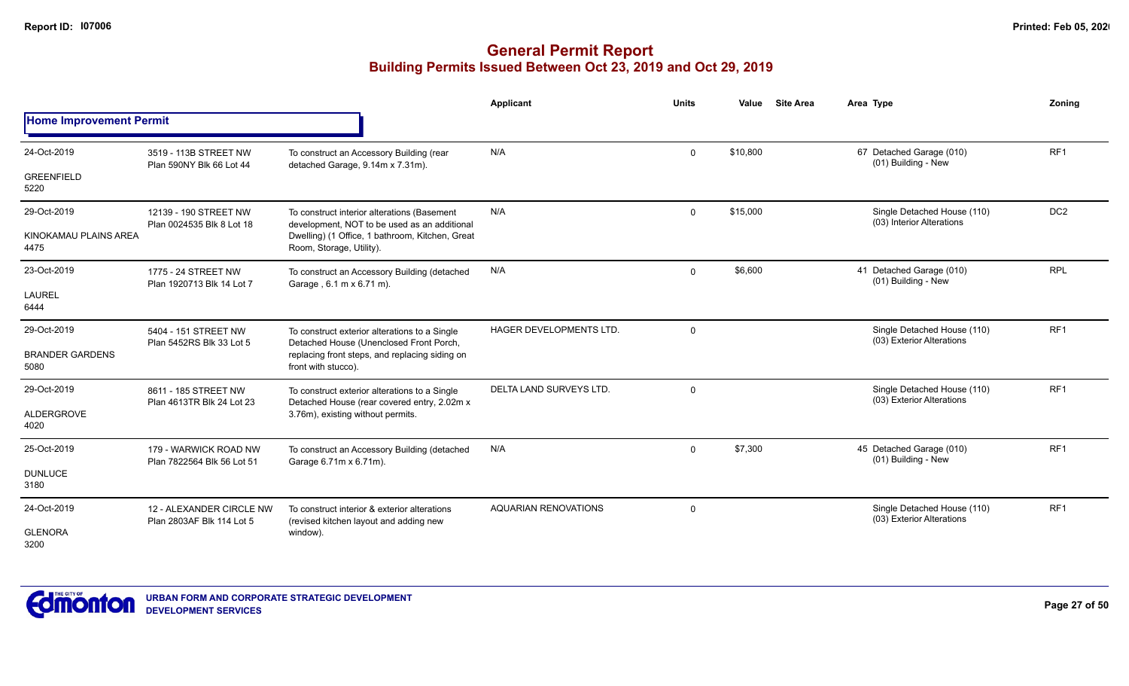|                                  |                                                       |                                                                                              | <b>Applicant</b>               | <b>Units</b> | Value    | <b>Site Area</b><br>Area Type                            | Zoning          |
|----------------------------------|-------------------------------------------------------|----------------------------------------------------------------------------------------------|--------------------------------|--------------|----------|----------------------------------------------------------|-----------------|
| <b>Home Improvement Permit</b>   |                                                       |                                                                                              |                                |              |          |                                                          |                 |
| 24-Oct-2019<br><b>GREENFIELD</b> | 3519 - 113B STREET NW<br>Plan 590NY Blk 66 Lot 44     | To construct an Accessory Building (rear<br>detached Garage, 9.14m x 7.31m).                 | N/A                            | $\mathbf 0$  | \$10,800 | 67 Detached Garage (010)<br>(01) Building - New          | RF <sub>1</sub> |
| 5220                             |                                                       |                                                                                              |                                |              |          |                                                          |                 |
| 29-Oct-2019                      | 12139 - 190 STREET NW<br>Plan 0024535 Blk 8 Lot 18    | To construct interior alterations (Basement<br>development, NOT to be used as an additional  | N/A                            | $\Omega$     | \$15,000 | Single Detached House (110)<br>(03) Interior Alterations | DC <sub>2</sub> |
| KINOKAMAU PLAINS AREA<br>4475    |                                                       | Dwelling) (1 Office, 1 bathroom, Kitchen, Great<br>Room, Storage, Utility).                  |                                |              |          |                                                          |                 |
| 23-Oct-2019                      | 1775 - 24 STREET NW<br>Plan 1920713 Blk 14 Lot 7      | To construct an Accessory Building (detached<br>Garage, 6.1 m x 6.71 m).                     | N/A                            | $\Omega$     | \$6,600  | 41 Detached Garage (010)<br>(01) Building - New          | <b>RPL</b>      |
| <b>LAUREL</b><br>6444            |                                                       |                                                                                              |                                |              |          |                                                          |                 |
| 29-Oct-2019                      | 5404 - 151 STREET NW<br>Plan 5452RS Blk 33 Lot 5      | To construct exterior alterations to a Single<br>Detached House (Unenclosed Front Porch,     | <b>HAGER DEVELOPMENTS LTD.</b> | $\Omega$     |          | Single Detached House (110)<br>(03) Exterior Alterations | RF <sub>1</sub> |
| <b>BRANDER GARDENS</b><br>5080   |                                                       | replacing front steps, and replacing siding on<br>front with stucco).                        |                                |              |          |                                                          |                 |
| 29-Oct-2019                      | 8611 - 185 STREET NW<br>Plan 4613TR Blk 24 Lot 23     | To construct exterior alterations to a Single<br>Detached House (rear covered entry, 2.02m x | DELTA LAND SURVEYS LTD.        | $\mathbf 0$  |          | Single Detached House (110)<br>(03) Exterior Alterations | RF1             |
| <b>ALDERGROVE</b><br>4020        |                                                       | 3.76m), existing without permits.                                                            |                                |              |          |                                                          |                 |
| 25-Oct-2019                      | 179 - WARWICK ROAD NW<br>Plan 7822564 Blk 56 Lot 51   | To construct an Accessory Building (detached<br>Garage 6.71m x 6.71m).                       | N/A                            | $\Omega$     | \$7,300  | 45 Detached Garage (010)<br>(01) Building - New          | RF <sub>1</sub> |
| <b>DUNLUCE</b><br>3180           |                                                       |                                                                                              |                                |              |          |                                                          |                 |
| 24-Oct-2019                      | 12 - ALEXANDER CIRCLE NW<br>Plan 2803AF Blk 114 Lot 5 | To construct interior & exterior alterations<br>(revised kitchen layout and adding new       | <b>AQUARIAN RENOVATIONS</b>    | $\mathbf 0$  |          | Single Detached House (110)<br>(03) Exterior Alterations | RF1             |
| <b>GLENORA</b><br>3200           |                                                       | window).                                                                                     |                                |              |          |                                                          |                 |

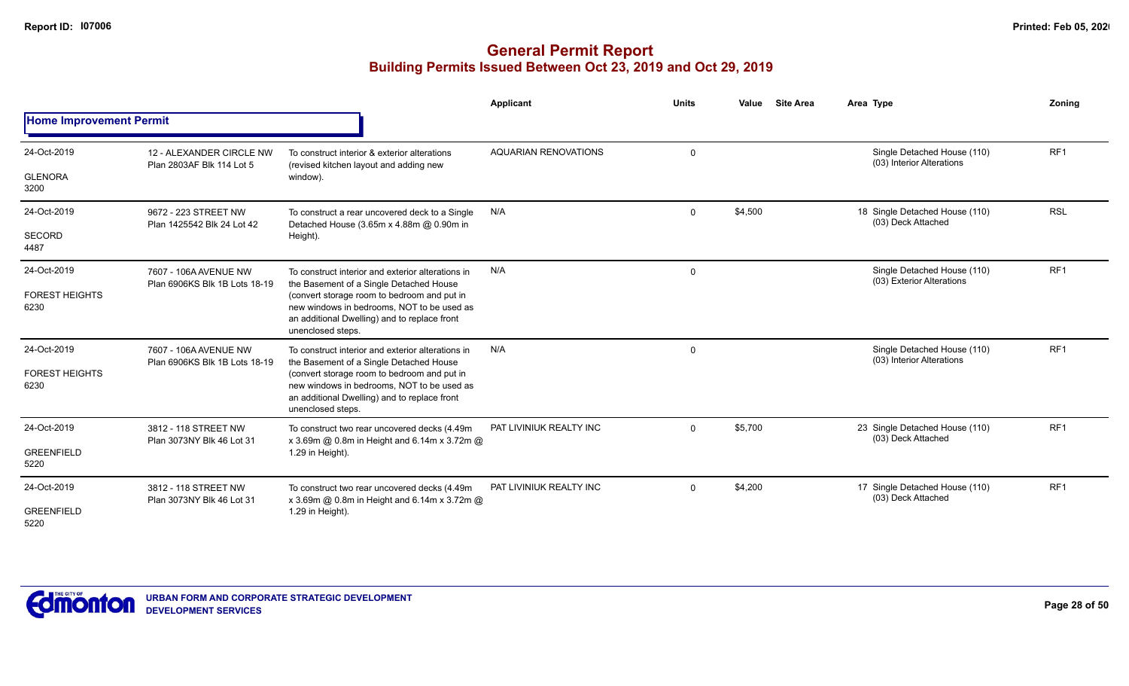|                                |                                                                                                                                                                                                                                                                                                                                                                                                                                                                                                                                                                                                                                                                                                                                                                                                                                                                                                                                                                                                                                                                                                                                                                                                                                                                                                                                                                                                                                                                                                                                                                                                                                                                                                                                                                                                                                                                                                                     |                                              | Applicant | <b>Units</b> | Value | Area Type          | Zoning |
|--------------------------------|---------------------------------------------------------------------------------------------------------------------------------------------------------------------------------------------------------------------------------------------------------------------------------------------------------------------------------------------------------------------------------------------------------------------------------------------------------------------------------------------------------------------------------------------------------------------------------------------------------------------------------------------------------------------------------------------------------------------------------------------------------------------------------------------------------------------------------------------------------------------------------------------------------------------------------------------------------------------------------------------------------------------------------------------------------------------------------------------------------------------------------------------------------------------------------------------------------------------------------------------------------------------------------------------------------------------------------------------------------------------------------------------------------------------------------------------------------------------------------------------------------------------------------------------------------------------------------------------------------------------------------------------------------------------------------------------------------------------------------------------------------------------------------------------------------------------------------------------------------------------------------------------------------------------|----------------------------------------------|-----------|--------------|-------|--------------------|--------|
| <b>Home Improvement Permit</b> | <b>Site Area</b><br>RF <sub>1</sub><br><b>AQUARIAN RENOVATIONS</b><br>Single Detached House (110)<br>$\mathbf 0$<br>12 - ALEXANDER CIRCLE NW<br>To construct interior & exterior alterations<br>(03) Interior Alterations<br>Plan 2803AF Blk 114 Lot 5<br>(revised kitchen layout and adding new<br>window).<br><b>RSL</b><br>\$4,500<br>18 Single Detached House (110)<br>N/A<br>9672 - 223 STREET NW<br>To construct a rear uncovered deck to a Single<br>$\mathbf 0$<br>(03) Deck Attached<br>Plan 1425542 Blk 24 Lot 42<br>Detached House (3.65m x 4.88m @ 0.90m in<br>Height).<br>Single Detached House (110)<br>RF1<br>N/A<br>$\Omega$<br>7607 - 106A AVENUE NW<br>To construct interior and exterior alterations in<br>(03) Exterior Alterations<br>the Basement of a Single Detached House<br>Plan 6906KS Blk 1B Lots 18-19<br>(convert storage room to bedroom and put in<br>new windows in bedrooms, NOT to be used as<br>an additional Dwelling) and to replace front<br>unenclosed steps.<br>Single Detached House (110)<br>RF1<br>N/A<br>$\mathbf 0$<br>7607 - 106A AVENUE NW<br>To construct interior and exterior alterations in<br>(03) Interior Alterations<br>Plan 6906KS Blk 1B Lots 18-19<br>the Basement of a Single Detached House<br>(convert storage room to bedroom and put in<br>new windows in bedrooms, NOT to be used as<br>an additional Dwelling) and to replace front<br>unenclosed steps.<br>23 Single Detached House (110)<br>RF <sub>1</sub><br>PAT LIVINIUK REALTY INC<br>\$5,700<br>3812 - 118 STREET NW<br>To construct two rear uncovered decks (4.49m<br>$\Omega$<br>(03) Deck Attached<br>Plan 3073NY Blk 46 Lot 31<br>x 3.69m @ 0.8m in Height and 6.14m x 3.72m @<br>1.29 in Height).<br>RF <sub>1</sub><br>PAT LIVINIUK REALTY INC<br>\$4,200<br>17 Single Detached House (110)<br>3812 - 118 STREET NW<br>To construct two rear uncovered decks (4.49m)<br>$\mathbf 0$ |                                              |           |              |       |                    |        |
| 24-Oct-2019<br><b>GLENORA</b>  |                                                                                                                                                                                                                                                                                                                                                                                                                                                                                                                                                                                                                                                                                                                                                                                                                                                                                                                                                                                                                                                                                                                                                                                                                                                                                                                                                                                                                                                                                                                                                                                                                                                                                                                                                                                                                                                                                                                     |                                              |           |              |       |                    |        |
| 3200                           |                                                                                                                                                                                                                                                                                                                                                                                                                                                                                                                                                                                                                                                                                                                                                                                                                                                                                                                                                                                                                                                                                                                                                                                                                                                                                                                                                                                                                                                                                                                                                                                                                                                                                                                                                                                                                                                                                                                     |                                              |           |              |       |                    |        |
| 24-Oct-2019                    |                                                                                                                                                                                                                                                                                                                                                                                                                                                                                                                                                                                                                                                                                                                                                                                                                                                                                                                                                                                                                                                                                                                                                                                                                                                                                                                                                                                                                                                                                                                                                                                                                                                                                                                                                                                                                                                                                                                     |                                              |           |              |       |                    |        |
| SECORD<br>4487                 |                                                                                                                                                                                                                                                                                                                                                                                                                                                                                                                                                                                                                                                                                                                                                                                                                                                                                                                                                                                                                                                                                                                                                                                                                                                                                                                                                                                                                                                                                                                                                                                                                                                                                                                                                                                                                                                                                                                     |                                              |           |              |       |                    |        |
| 24-Oct-2019                    |                                                                                                                                                                                                                                                                                                                                                                                                                                                                                                                                                                                                                                                                                                                                                                                                                                                                                                                                                                                                                                                                                                                                                                                                                                                                                                                                                                                                                                                                                                                                                                                                                                                                                                                                                                                                                                                                                                                     |                                              |           |              |       |                    |        |
| <b>FOREST HEIGHTS</b><br>6230  |                                                                                                                                                                                                                                                                                                                                                                                                                                                                                                                                                                                                                                                                                                                                                                                                                                                                                                                                                                                                                                                                                                                                                                                                                                                                                                                                                                                                                                                                                                                                                                                                                                                                                                                                                                                                                                                                                                                     |                                              |           |              |       |                    |        |
| 24-Oct-2019                    |                                                                                                                                                                                                                                                                                                                                                                                                                                                                                                                                                                                                                                                                                                                                                                                                                                                                                                                                                                                                                                                                                                                                                                                                                                                                                                                                                                                                                                                                                                                                                                                                                                                                                                                                                                                                                                                                                                                     |                                              |           |              |       |                    |        |
| <b>FOREST HEIGHTS</b><br>6230  |                                                                                                                                                                                                                                                                                                                                                                                                                                                                                                                                                                                                                                                                                                                                                                                                                                                                                                                                                                                                                                                                                                                                                                                                                                                                                                                                                                                                                                                                                                                                                                                                                                                                                                                                                                                                                                                                                                                     |                                              |           |              |       |                    |        |
| 24-Oct-2019                    |                                                                                                                                                                                                                                                                                                                                                                                                                                                                                                                                                                                                                                                                                                                                                                                                                                                                                                                                                                                                                                                                                                                                                                                                                                                                                                                                                                                                                                                                                                                                                                                                                                                                                                                                                                                                                                                                                                                     |                                              |           |              |       |                    |        |
| <b>GREENFIELD</b><br>5220      |                                                                                                                                                                                                                                                                                                                                                                                                                                                                                                                                                                                                                                                                                                                                                                                                                                                                                                                                                                                                                                                                                                                                                                                                                                                                                                                                                                                                                                                                                                                                                                                                                                                                                                                                                                                                                                                                                                                     |                                              |           |              |       |                    |        |
| 24-Oct-2019                    | Plan 3073NY Blk 46 Lot 31                                                                                                                                                                                                                                                                                                                                                                                                                                                                                                                                                                                                                                                                                                                                                                                                                                                                                                                                                                                                                                                                                                                                                                                                                                                                                                                                                                                                                                                                                                                                                                                                                                                                                                                                                                                                                                                                                           | x 3.69m @ 0.8m in Height and 6.14m x 3.72m @ |           |              |       | (03) Deck Attached |        |
| <b>GREENFIELD</b><br>5220      |                                                                                                                                                                                                                                                                                                                                                                                                                                                                                                                                                                                                                                                                                                                                                                                                                                                                                                                                                                                                                                                                                                                                                                                                                                                                                                                                                                                                                                                                                                                                                                                                                                                                                                                                                                                                                                                                                                                     | 1.29 in Height).                             |           |              |       |                    |        |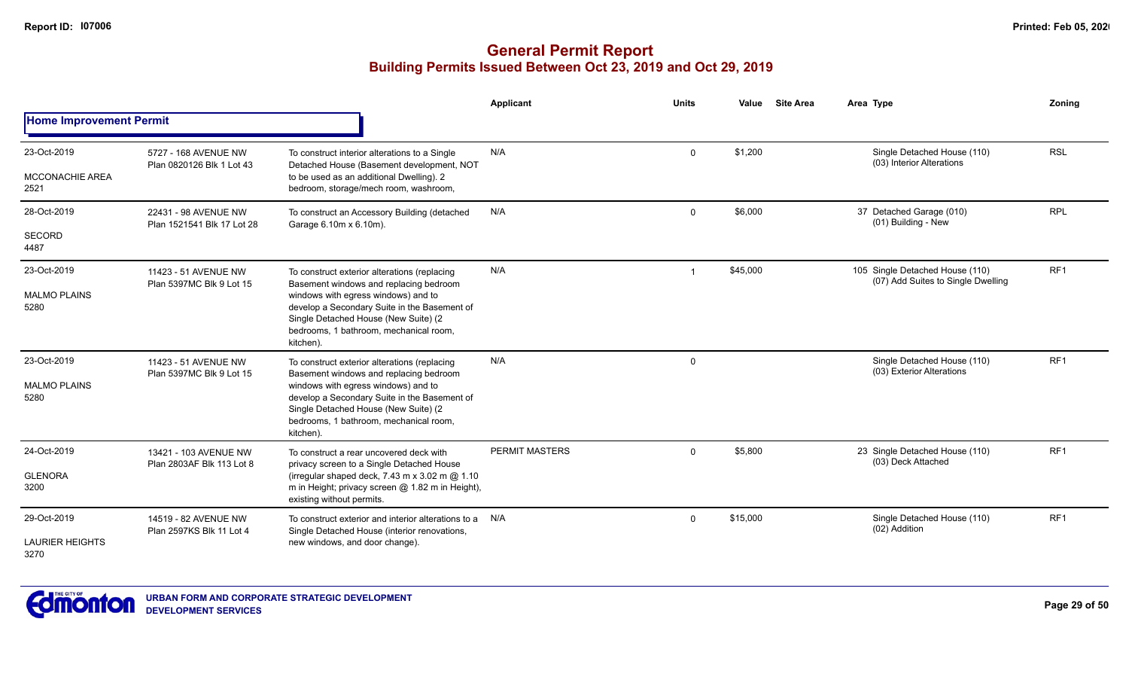|                                               |                                                    |                                                                                                                                                                                                                                                                              | Applicant             | <b>Units</b> | Value    | <b>Site Area</b> | Area Type                                                             | Zoning     |
|-----------------------------------------------|----------------------------------------------------|------------------------------------------------------------------------------------------------------------------------------------------------------------------------------------------------------------------------------------------------------------------------------|-----------------------|--------------|----------|------------------|-----------------------------------------------------------------------|------------|
| <b>Home Improvement Permit</b>                |                                                    |                                                                                                                                                                                                                                                                              |                       |              |          |                  |                                                                       |            |
| 23-Oct-2019<br><b>MCCONACHIE AREA</b><br>2521 | 5727 - 168 AVENUE NW<br>Plan 0820126 Blk 1 Lot 43  | To construct interior alterations to a Single<br>Detached House (Basement development, NOT<br>to be used as an additional Dwelling). 2<br>bedroom, storage/mech room, washroom,                                                                                              | N/A                   | $\Omega$     | \$1,200  |                  | Single Detached House (110)<br>(03) Interior Alterations              | <b>RSL</b> |
| 28-Oct-2019<br>SECORD<br>4487                 | 22431 - 98 AVENUE NW<br>Plan 1521541 Blk 17 Lot 28 | To construct an Accessory Building (detached<br>Garage 6.10m x 6.10m).                                                                                                                                                                                                       | N/A                   | $\mathbf 0$  | \$6,000  |                  | 37 Detached Garage (010)<br>(01) Building - New                       | <b>RPL</b> |
| 23-Oct-2019<br><b>MALMO PLAINS</b><br>5280    | 11423 - 51 AVENUE NW<br>Plan 5397MC Blk 9 Lot 15   | To construct exterior alterations (replacing<br>Basement windows and replacing bedroom<br>windows with egress windows) and to<br>develop a Secondary Suite in the Basement of<br>Single Detached House (New Suite) (2<br>bedrooms, 1 bathroom, mechanical room,<br>kitchen). | N/A                   |              | \$45,000 |                  | 105 Single Detached House (110)<br>(07) Add Suites to Single Dwelling | RF1        |
| 23-Oct-2019<br><b>MALMO PLAINS</b><br>5280    | 11423 - 51 AVENUE NW<br>Plan 5397MC Blk 9 Lot 15   | To construct exterior alterations (replacing<br>Basement windows and replacing bedroom<br>windows with egress windows) and to<br>develop a Secondary Suite in the Basement of<br>Single Detached House (New Suite) (2<br>bedrooms, 1 bathroom, mechanical room,<br>kitchen). | N/A                   | $\Omega$     |          |                  | Single Detached House (110)<br>(03) Exterior Alterations              | RF1        |
| 24-Oct-2019<br><b>GLENORA</b><br>3200         | 13421 - 103 AVENUE NW<br>Plan 2803AF Blk 113 Lot 8 | To construct a rear uncovered deck with<br>privacy screen to a Single Detached House<br>(irregular shaped deck, 7.43 m x 3.02 m @ 1.10<br>m in Height; privacy screen @ 1.82 m in Height),<br>existing without permits.                                                      | <b>PERMIT MASTERS</b> | $\Omega$     | \$5,800  |                  | 23 Single Detached House (110)<br>(03) Deck Attached                  | RF1        |
| 29-Oct-2019<br><b>LAURIER HEIGHTS</b><br>3270 | 14519 - 82 AVENUE NW<br>Plan 2597KS Blk 11 Lot 4   | To construct exterior and interior alterations to a<br>Single Detached House (interior renovations,<br>new windows, and door change).                                                                                                                                        | N/A                   | $\mathbf 0$  | \$15,000 |                  | Single Detached House (110)<br>(02) Addition                          | RF1        |

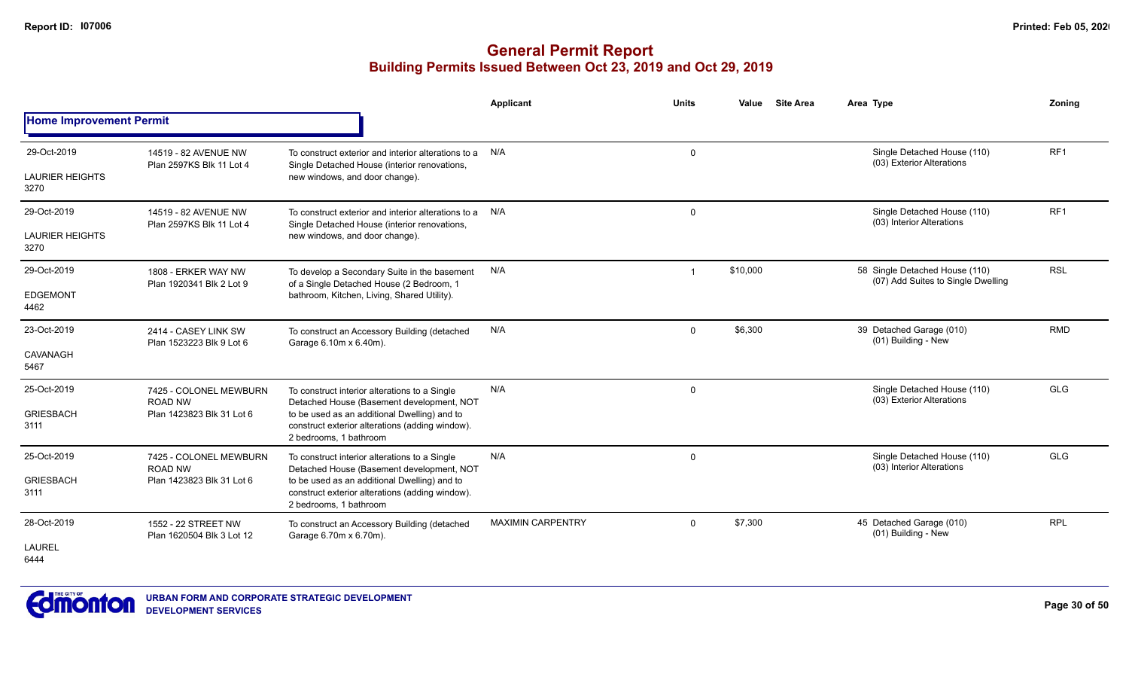|                                               |                                                                       |                                                                                                                                                                                                                         | <b>Applicant</b>         | Units                   | Value    | <b>Site Area</b> | Area Type                                                            | Zoning          |
|-----------------------------------------------|-----------------------------------------------------------------------|-------------------------------------------------------------------------------------------------------------------------------------------------------------------------------------------------------------------------|--------------------------|-------------------------|----------|------------------|----------------------------------------------------------------------|-----------------|
| <b>Home Improvement Permit</b>                |                                                                       |                                                                                                                                                                                                                         |                          |                         |          |                  |                                                                      |                 |
| 29-Oct-2019<br><b>LAURIER HEIGHTS</b><br>3270 | 14519 - 82 AVENUE NW<br>Plan 2597KS Blk 11 Lot 4                      | To construct exterior and interior alterations to a<br>Single Detached House (interior renovations,<br>new windows, and door change).                                                                                   | N/A                      | 0                       |          |                  | Single Detached House (110)<br>(03) Exterior Alterations             | RF <sub>1</sub> |
| 29-Oct-2019<br><b>LAURIER HEIGHTS</b><br>3270 | 14519 - 82 AVENUE NW<br>Plan 2597KS Blk 11 Lot 4                      | To construct exterior and interior alterations to a<br>Single Detached House (interior renovations,<br>new windows, and door change).                                                                                   | N/A                      | $\mathbf 0$             |          |                  | Single Detached House (110)<br>(03) Interior Alterations             | RF <sub>1</sub> |
| 29-Oct-2019<br><b>EDGEMONT</b><br>4462        | 1808 - ERKER WAY NW<br>Plan 1920341 Blk 2 Lot 9                       | To develop a Secondary Suite in the basement<br>of a Single Detached House (2 Bedroom, 1<br>bathroom, Kitchen, Living, Shared Utility).                                                                                 | N/A                      | $\overline{\mathbf{1}}$ | \$10,000 |                  | 58 Single Detached House (110)<br>(07) Add Suites to Single Dwelling | <b>RSL</b>      |
| 23-Oct-2019<br>CAVANAGH<br>5467               | 2414 - CASEY LINK SW<br>Plan 1523223 Blk 9 Lot 6                      | To construct an Accessory Building (detached<br>Garage 6.10m x 6.40m).                                                                                                                                                  | N/A                      | $\Omega$                | \$6,300  |                  | 39 Detached Garage (010)<br>(01) Building - New                      | <b>RMD</b>      |
| 25-Oct-2019<br><b>GRIESBACH</b><br>3111       | 7425 - COLONEL MEWBURN<br>ROAD NW<br>Plan 1423823 Blk 31 Lot 6        | To construct interior alterations to a Single<br>Detached House (Basement development, NOT<br>to be used as an additional Dwelling) and to<br>construct exterior alterations (adding window).<br>2 bedrooms, 1 bathroom | N/A                      | 0                       |          |                  | Single Detached House (110)<br>(03) Exterior Alterations             | <b>GLG</b>      |
| 25-Oct-2019<br><b>GRIESBACH</b><br>3111       | 7425 - COLONEL MEWBURN<br><b>ROAD NW</b><br>Plan 1423823 Blk 31 Lot 6 | To construct interior alterations to a Single<br>Detached House (Basement development, NOT<br>to be used as an additional Dwelling) and to<br>construct exterior alterations (adding window).<br>2 bedrooms, 1 bathroom | N/A                      | $\mathbf 0$             |          |                  | Single Detached House (110)<br>(03) Interior Alterations             | <b>GLG</b>      |
| 28-Oct-2019<br><b>LAUREL</b><br>6444          | 1552 - 22 STREET NW<br>Plan 1620504 Blk 3 Lot 12                      | To construct an Accessory Building (detached<br>Garage 6.70m x 6.70m).                                                                                                                                                  | <b>MAXIMIN CARPENTRY</b> | $\Omega$                | \$7,300  |                  | 45 Detached Garage (010)<br>(01) Building - New                      | <b>RPL</b>      |

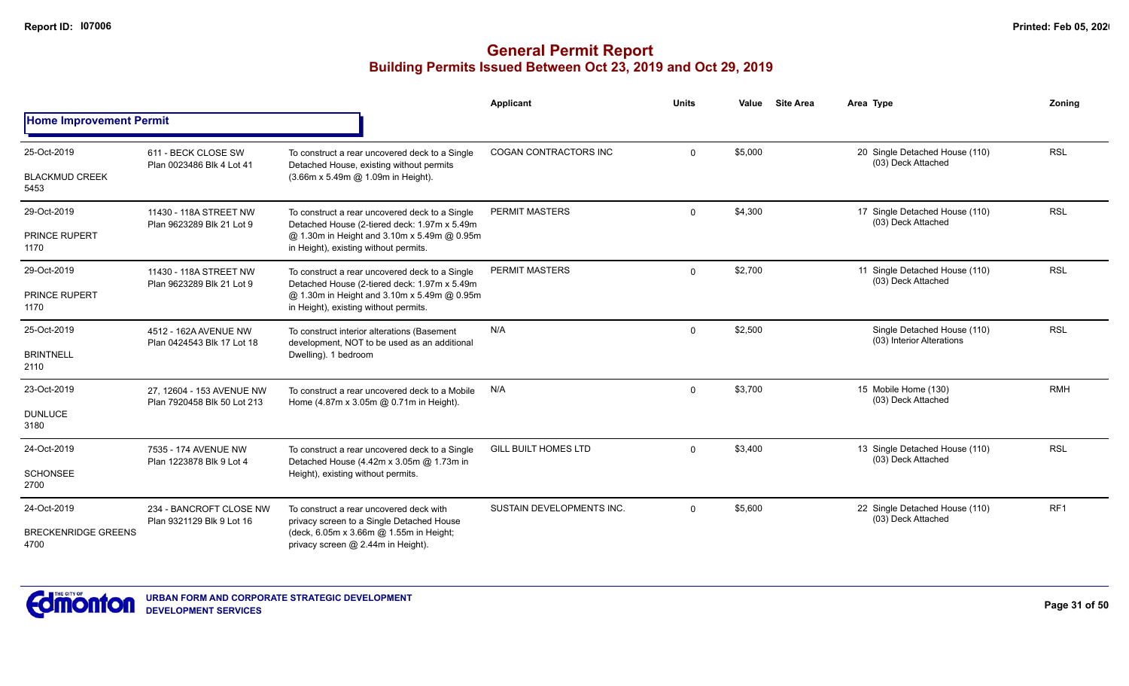|                                                   |                                                          |                                                                                                                                                                                        | <b>Applicant</b>            | <b>Units</b> | Value   | <b>Site Area</b> | Area Type                                                | Zoning          |
|---------------------------------------------------|----------------------------------------------------------|----------------------------------------------------------------------------------------------------------------------------------------------------------------------------------------|-----------------------------|--------------|---------|------------------|----------------------------------------------------------|-----------------|
| <b>Home Improvement Permit</b>                    |                                                          |                                                                                                                                                                                        |                             |              |         |                  |                                                          |                 |
| 25-Oct-2019<br><b>BLACKMUD CREEK</b><br>5453      | 611 - BECK CLOSE SW<br>Plan 0023486 Blk 4 Lot 41         | To construct a rear uncovered deck to a Single<br>Detached House, existing without permits<br>(3.66m x 5.49m @ 1.09m in Height).                                                       | COGAN CONTRACTORS INC       | $\mathbf 0$  | \$5,000 |                  | 20 Single Detached House (110)<br>(03) Deck Attached     | <b>RSL</b>      |
| 29-Oct-2019<br><b>PRINCE RUPERT</b><br>1170       | 11430 - 118A STREET NW<br>Plan 9623289 Blk 21 Lot 9      | To construct a rear uncovered deck to a Single<br>Detached House (2-tiered deck: 1.97m x 5.49m<br>@ 1.30m in Height and 3.10m x 5.49m @ 0.95m<br>in Height), existing without permits. | PERMIT MASTERS              | $\mathbf 0$  | \$4,300 |                  | 17 Single Detached House (110)<br>(03) Deck Attached     | <b>RSL</b>      |
| 29-Oct-2019<br>PRINCE RUPERT<br>1170              | 11430 - 118A STREET NW<br>Plan 9623289 Blk 21 Lot 9      | To construct a rear uncovered deck to a Single<br>Detached House (2-tiered deck: 1.97m x 5.49m<br>@ 1.30m in Height and 3.10m x 5.49m @ 0.95m<br>in Height), existing without permits. | PERMIT MASTERS              | $\mathbf 0$  | \$2,700 |                  | 11 Single Detached House (110)<br>(03) Deck Attached     | <b>RSL</b>      |
| 25-Oct-2019<br><b>BRINTNELL</b><br>2110           | 4512 - 162A AVENUE NW<br>Plan 0424543 Blk 17 Lot 18      | To construct interior alterations (Basement<br>development, NOT to be used as an additional<br>Dwelling). 1 bedroom                                                                    | N/A                         | $\Omega$     | \$2,500 |                  | Single Detached House (110)<br>(03) Interior Alterations | <b>RSL</b>      |
| 23-Oct-2019<br><b>DUNLUCE</b><br>3180             | 27, 12604 - 153 AVENUE NW<br>Plan 7920458 Blk 50 Lot 213 | To construct a rear uncovered deck to a Mobile<br>Home (4.87m x 3.05m @ 0.71m in Height).                                                                                              | N/A                         | $\mathbf 0$  | \$3,700 |                  | 15 Mobile Home (130)<br>(03) Deck Attached               | <b>RMH</b>      |
| 24-Oct-2019<br><b>SCHONSEE</b><br>2700            | 7535 - 174 AVENUE NW<br>Plan 1223878 Blk 9 Lot 4         | To construct a rear uncovered deck to a Single<br>Detached House (4.42m x 3.05m @ 1.73m in<br>Height), existing without permits.                                                       | <b>GILL BUILT HOMES LTD</b> | $\mathbf 0$  | \$3,400 |                  | 13 Single Detached House (110)<br>(03) Deck Attached     | <b>RSL</b>      |
| 24-Oct-2019<br><b>BRECKENRIDGE GREENS</b><br>4700 | 234 - BANCROFT CLOSE NW<br>Plan 9321129 Blk 9 Lot 16     | To construct a rear uncovered deck with<br>privacy screen to a Single Detached House<br>(deck, 6.05m x 3.66m @ 1.55m in Height;<br>privacy screen @ 2.44m in Height).                  | SUSTAIN DEVELOPMENTS INC.   | $\Omega$     | \$5,600 |                  | 22 Single Detached House (110)<br>(03) Deck Attached     | RF <sub>1</sub> |

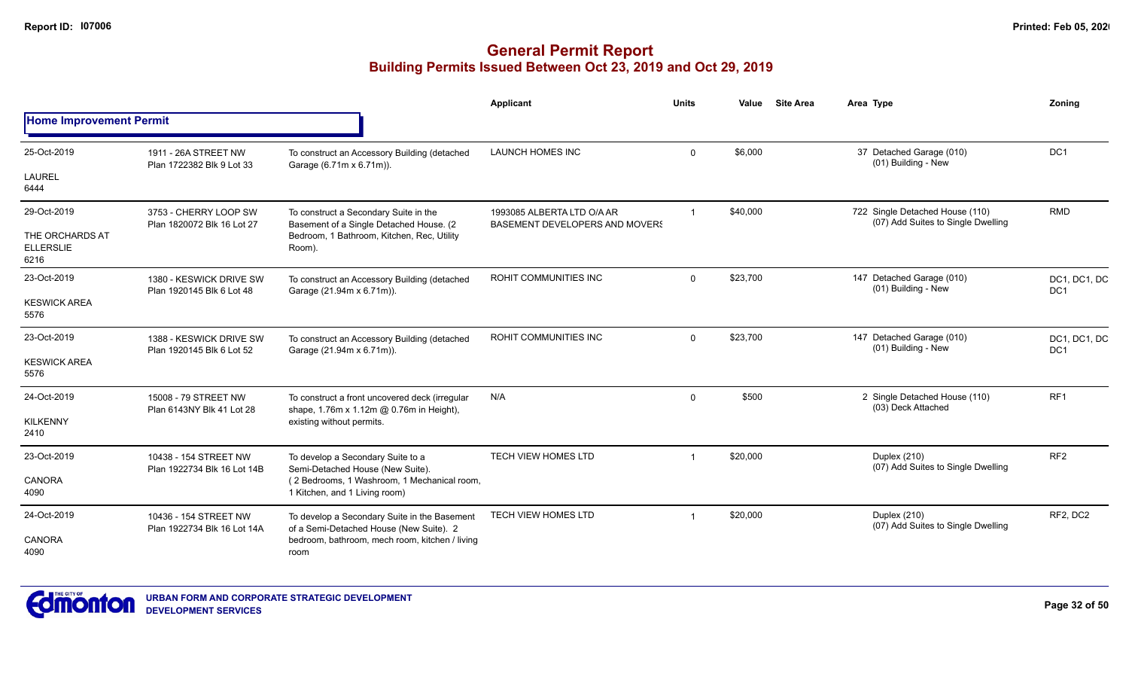|                                             |                                                      |                                                                                            | Applicant                                                           | <b>Units</b> | Value    | <b>Site Area</b> | Area Type                                                             | Zonina                          |
|---------------------------------------------|------------------------------------------------------|--------------------------------------------------------------------------------------------|---------------------------------------------------------------------|--------------|----------|------------------|-----------------------------------------------------------------------|---------------------------------|
| <b>Home Improvement Permit</b>              |                                                      |                                                                                            |                                                                     |              |          |                  |                                                                       |                                 |
| 25-Oct-2019                                 | 1911 - 26A STREET NW<br>Plan 1722382 Blk 9 Lot 33    | To construct an Accessory Building (detached<br>Garage (6.71m x 6.71m)).                   | <b>LAUNCH HOMES INC</b>                                             | $\Omega$     | \$6,000  |                  | 37 Detached Garage (010)<br>(01) Building - New                       | DC <sub>1</sub>                 |
| <b>LAUREL</b><br>6444                       |                                                      |                                                                                            |                                                                     |              |          |                  |                                                                       |                                 |
| 29-Oct-2019                                 | 3753 - CHERRY LOOP SW<br>Plan 1820072 Blk 16 Lot 27  | To construct a Secondary Suite in the<br>Basement of a Single Detached House. (2           | 1993085 ALBERTA LTD O/A AR<br><b>BASEMENT DEVELOPERS AND MOVERS</b> |              | \$40,000 |                  | 722 Single Detached House (110)<br>(07) Add Suites to Single Dwelling | <b>RMD</b>                      |
| THE ORCHARDS AT<br><b>ELLERSLIE</b><br>6216 |                                                      | Bedroom, 1 Bathroom, Kitchen, Rec, Utility<br>Room).                                       |                                                                     |              |          |                  |                                                                       |                                 |
| 23-Oct-2019                                 | 1380 - KESWICK DRIVE SW<br>Plan 1920145 Blk 6 Lot 48 | To construct an Accessory Building (detached<br>Garage (21.94m x 6.71m)).                  | ROHIT COMMUNITIES INC                                               | $\Omega$     | \$23,700 |                  | 147 Detached Garage (010)<br>(01) Building - New                      | DC1, DC1, DC<br>DC <sub>1</sub> |
| <b>KESWICK AREA</b><br>5576                 |                                                      |                                                                                            |                                                                     |              |          |                  |                                                                       |                                 |
| 23-Oct-2019                                 | 1388 - KESWICK DRIVE SW<br>Plan 1920145 Blk 6 Lot 52 | To construct an Accessory Building (detached<br>Garage (21.94m x 6.71m)).                  | ROHIT COMMUNITIES INC                                               | $\Omega$     | \$23,700 |                  | 147 Detached Garage (010)<br>(01) Building - New                      | DC1, DC1, DC<br>DC <sub>1</sub> |
| <b>KESWICK AREA</b><br>5576                 |                                                      |                                                                                            |                                                                     |              |          |                  |                                                                       |                                 |
| 24-Oct-2019                                 | 15008 - 79 STREET NW<br>Plan 6143NY Blk 41 Lot 28    | To construct a front uncovered deck (irregular<br>shape, 1.76m x 1.12m @ 0.76m in Height), | N/A                                                                 | $\Omega$     | \$500    |                  | 2 Single Detached House (110)<br>(03) Deck Attached                   | RF <sub>1</sub>                 |
| <b>KILKENNY</b><br>2410                     |                                                      | existing without permits.                                                                  |                                                                     |              |          |                  |                                                                       |                                 |
| 23-Oct-2019                                 | 10438 - 154 STREET NW<br>Plan 1922734 Blk 16 Lot 14B | To develop a Secondary Suite to a<br>Semi-Detached House (New Suite).                      | <b>TECH VIEW HOMES LTD</b>                                          |              | \$20,000 |                  | Duplex (210)<br>(07) Add Suites to Single Dwelling                    | RF <sub>2</sub>                 |
| <b>CANORA</b><br>4090                       |                                                      | (2 Bedrooms, 1 Washroom, 1 Mechanical room,<br>1 Kitchen, and 1 Living room)               |                                                                     |              |          |                  |                                                                       |                                 |
| 24-Oct-2019                                 | 10436 - 154 STREET NW<br>Plan 1922734 Blk 16 Lot 14A | To develop a Secondary Suite in the Basement<br>of a Semi-Detached House (New Suite). 2    | <b>TECH VIEW HOMES LTD</b>                                          |              | \$20,000 |                  | Duplex (210)<br>(07) Add Suites to Single Dwelling                    | RF2, DC2                        |
| <b>CANORA</b><br>4090                       |                                                      | bedroom, bathroom, mech room, kitchen / living<br>room                                     |                                                                     |              |          |                  |                                                                       |                                 |

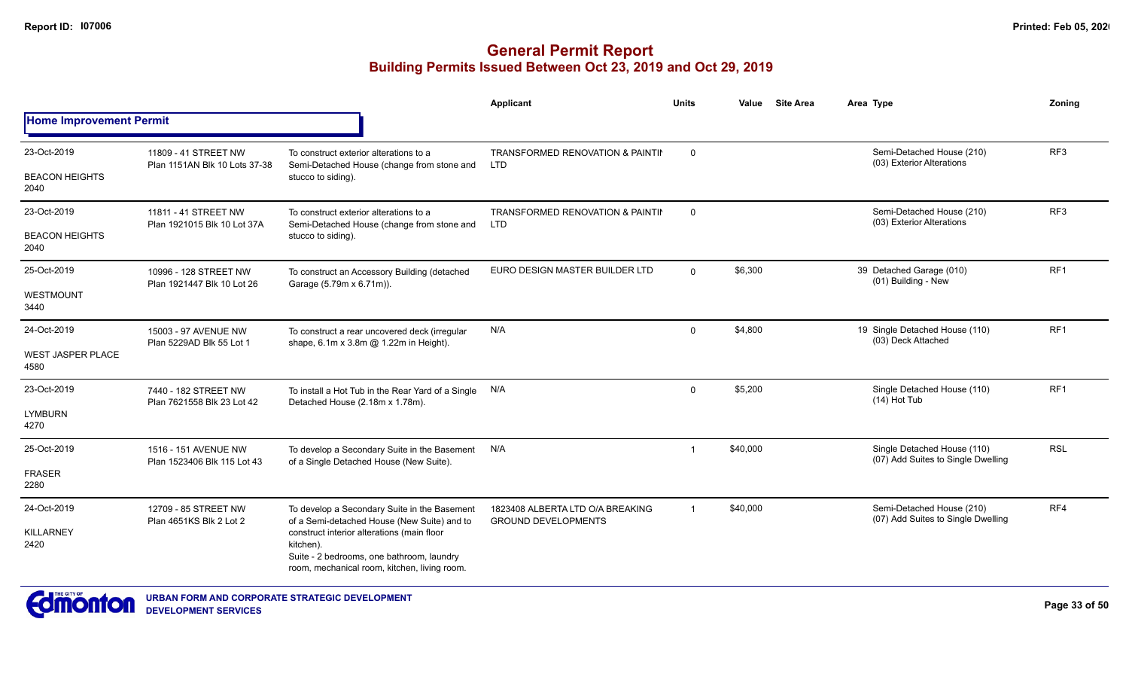|                                  |                                                       |                                                                                                                                                      | <b>Applicant</b>                                               | <b>Units</b>   | <b>Site Area</b><br>Value | Area Type                                                         | Zoning          |
|----------------------------------|-------------------------------------------------------|------------------------------------------------------------------------------------------------------------------------------------------------------|----------------------------------------------------------------|----------------|---------------------------|-------------------------------------------------------------------|-----------------|
| <b>Home Improvement Permit</b>   |                                                       |                                                                                                                                                      |                                                                |                |                           |                                                                   |                 |
| 23-Oct-2019                      | 11809 - 41 STREET NW<br>Plan 1151AN Blk 10 Lots 37-38 | To construct exterior alterations to a<br>Semi-Detached House (change from stone and                                                                 | <b>TRANSFORMED RENOVATION &amp; PAINTIN</b><br><b>LTD</b>      | $\mathbf 0$    |                           | Semi-Detached House (210)<br>(03) Exterior Alterations            | RF <sub>3</sub> |
| <b>BEACON HEIGHTS</b><br>2040    |                                                       | stucco to siding).                                                                                                                                   |                                                                |                |                           |                                                                   |                 |
| 23-Oct-2019                      | 11811 - 41 STREET NW<br>Plan 1921015 Blk 10 Lot 37A   | To construct exterior alterations to a<br>Semi-Detached House (change from stone and                                                                 | <b>TRANSFORMED RENOVATION &amp; PAINTIN</b><br><b>LTD</b>      | $\mathbf 0$    |                           | Semi-Detached House (210)<br>(03) Exterior Alterations            | RF <sub>3</sub> |
| <b>BEACON HEIGHTS</b><br>2040    |                                                       | stucco to siding).                                                                                                                                   |                                                                |                |                           |                                                                   |                 |
| 25-Oct-2019                      | 10996 - 128 STREET NW<br>Plan 1921447 Blk 10 Lot 26   | To construct an Accessory Building (detached<br>Garage (5.79m x 6.71m)).                                                                             | EURO DESIGN MASTER BUILDER LTD                                 | $\overline{0}$ | \$6,300                   | 39 Detached Garage (010)<br>(01) Building - New                   | RF <sub>1</sub> |
| WESTMOUNT<br>3440                |                                                       |                                                                                                                                                      |                                                                |                |                           |                                                                   |                 |
| 24-Oct-2019                      | 15003 - 97 AVENUE NW<br>Plan 5229AD Blk 55 Lot 1      | To construct a rear uncovered deck (irregular<br>shape, 6.1m x 3.8m @ 1.22m in Height).                                                              | N/A                                                            | $\mathbf{0}$   | \$4,800                   | 19 Single Detached House (110)<br>(03) Deck Attached              | RF <sub>1</sub> |
| <b>WEST JASPER PLACE</b><br>4580 |                                                       |                                                                                                                                                      |                                                                |                |                           |                                                                   |                 |
| 23-Oct-2019                      | 7440 - 182 STREET NW<br>Plan 7621558 Blk 23 Lot 42    | To install a Hot Tub in the Rear Yard of a Single N/A<br>Detached House (2.18m x 1.78m).                                                             |                                                                | $\mathbf 0$    | \$5,200                   | Single Detached House (110)<br>$(14)$ Hot Tub                     | RF <sub>1</sub> |
| <b>LYMBURN</b><br>4270           |                                                       |                                                                                                                                                      |                                                                |                |                           |                                                                   |                 |
| 25-Oct-2019                      | 1516 - 151 AVENUE NW<br>Plan 1523406 Blk 115 Lot 43   | To develop a Secondary Suite in the Basement<br>of a Single Detached House (New Suite).                                                              | N/A                                                            |                | \$40,000                  | Single Detached House (110)<br>(07) Add Suites to Single Dwelling | <b>RSL</b>      |
| <b>FRASER</b><br>2280            |                                                       |                                                                                                                                                      |                                                                |                |                           |                                                                   |                 |
| 24-Oct-2019                      | 12709 - 85 STREET NW<br>Plan 4651KS Blk 2 Lot 2       | To develop a Secondary Suite in the Basement<br>of a Semi-detached House (New Suite) and to                                                          | 1823408 ALBERTA LTD O/A BREAKING<br><b>GROUND DEVELOPMENTS</b> | -1             | \$40,000                  | Semi-Detached House (210)<br>(07) Add Suites to Single Dwelling   | RF4             |
| <b>KILLARNEY</b><br>2420         |                                                       | construct interior alterations (main floor<br>kitchen).<br>Suite - 2 bedrooms, one bathroom, laundry<br>room, mechanical room, kitchen, living room. |                                                                |                |                           |                                                                   |                 |

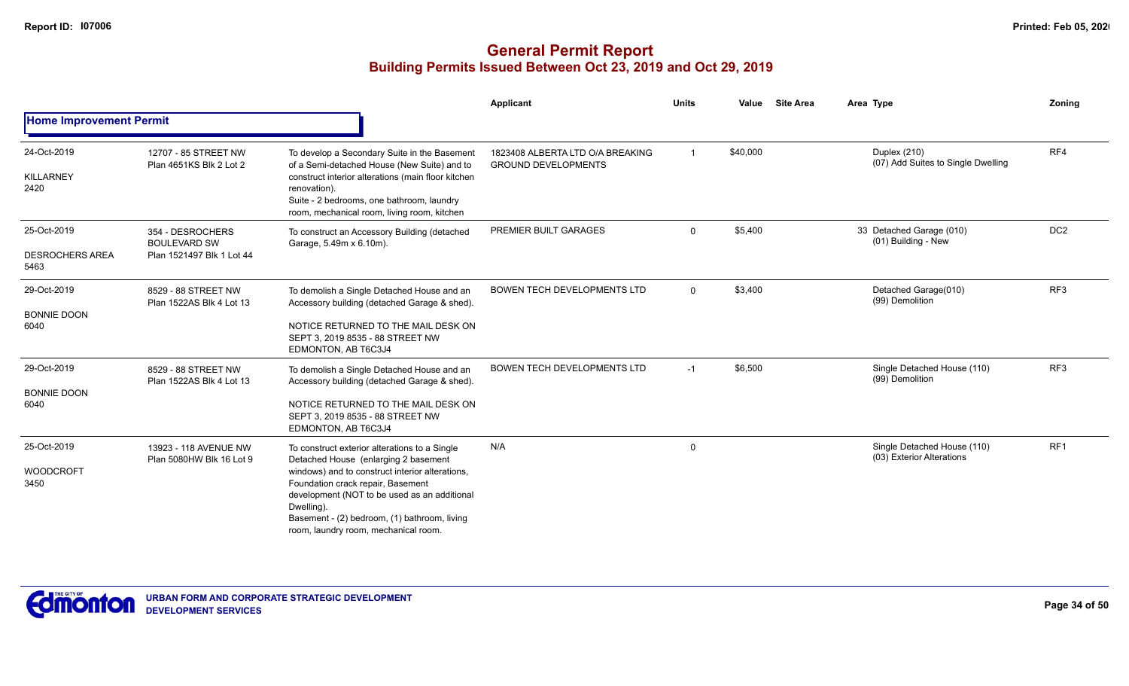|                                               |                                                                      |                                                                                                                                                                                                                                                                                                                                     | <b>Applicant</b>                                               | <b>Units</b>   | Value    | <b>Site Area</b> | Area Type                                                | <b>Zoning</b>   |
|-----------------------------------------------|----------------------------------------------------------------------|-------------------------------------------------------------------------------------------------------------------------------------------------------------------------------------------------------------------------------------------------------------------------------------------------------------------------------------|----------------------------------------------------------------|----------------|----------|------------------|----------------------------------------------------------|-----------------|
| <b>Home Improvement Permit</b>                |                                                                      |                                                                                                                                                                                                                                                                                                                                     |                                                                |                |          |                  |                                                          |                 |
| 24-Oct-2019<br><b>KILLARNEY</b><br>2420       | 12707 - 85 STREET NW<br>Plan 4651KS Blk 2 Lot 2                      | To develop a Secondary Suite in the Basement<br>of a Semi-detached House (New Suite) and to<br>construct interior alterations (main floor kitchen<br>renovation).<br>Suite - 2 bedrooms, one bathroom, laundry<br>room, mechanical room, living room, kitchen                                                                       | 1823408 ALBERTA LTD O/A BREAKING<br><b>GROUND DEVELOPMENTS</b> | $\overline{1}$ | \$40,000 |                  | Duplex (210)<br>(07) Add Suites to Single Dwelling       | RF4             |
| 25-Oct-2019<br><b>DESROCHERS AREA</b><br>5463 | 354 - DESROCHERS<br><b>BOULEVARD SW</b><br>Plan 1521497 Blk 1 Lot 44 | To construct an Accessory Building (detached<br>Garage, 5.49m x 6.10m).                                                                                                                                                                                                                                                             | <b>PREMIER BUILT GARAGES</b>                                   | $\Omega$       | \$5,400  |                  | 33 Detached Garage (010)<br>(01) Building - New          | DC <sub>2</sub> |
| 29-Oct-2019<br><b>BONNIE DOON</b><br>6040     | 8529 - 88 STREET NW<br>Plan 1522AS Blk 4 Lot 13                      | To demolish a Single Detached House and an<br>Accessory building (detached Garage & shed).<br>NOTICE RETURNED TO THE MAIL DESK ON<br>SEPT 3, 2019 8535 - 88 STREET NW<br>EDMONTON, AB T6C3J4                                                                                                                                        | BOWEN TECH DEVELOPMENTS LTD                                    | $\overline{0}$ | \$3,400  |                  | Detached Garage(010)<br>(99) Demolition                  | RF <sub>3</sub> |
| 29-Oct-2019<br><b>BONNIE DOON</b><br>6040     | 8529 - 88 STREET NW<br>Plan 1522AS Blk 4 Lot 13                      | To demolish a Single Detached House and an<br>Accessory building (detached Garage & shed).<br>NOTICE RETURNED TO THE MAIL DESK ON<br>SEPT 3. 2019 8535 - 88 STREET NW<br>EDMONTON, AB T6C3J4                                                                                                                                        | <b>BOWEN TECH DEVELOPMENTS LTD</b>                             | $-1$           | \$6,500  |                  | Single Detached House (110)<br>(99) Demolition           | RF3             |
| 25-Oct-2019<br>WOODCROFT<br>3450              | 13923 - 118 AVENUE NW<br>Plan 5080HW Blk 16 Lot 9                    | To construct exterior alterations to a Single<br>Detached House (enlarging 2 basement<br>windows) and to construct interior alterations,<br>Foundation crack repair, Basement<br>development (NOT to be used as an additional<br>Dwelling).<br>Basement - (2) bedroom, (1) bathroom, living<br>room, laundry room, mechanical room. | N/A                                                            | $\mathbf 0$    |          |                  | Single Detached House (110)<br>(03) Exterior Alterations | RF <sub>1</sub> |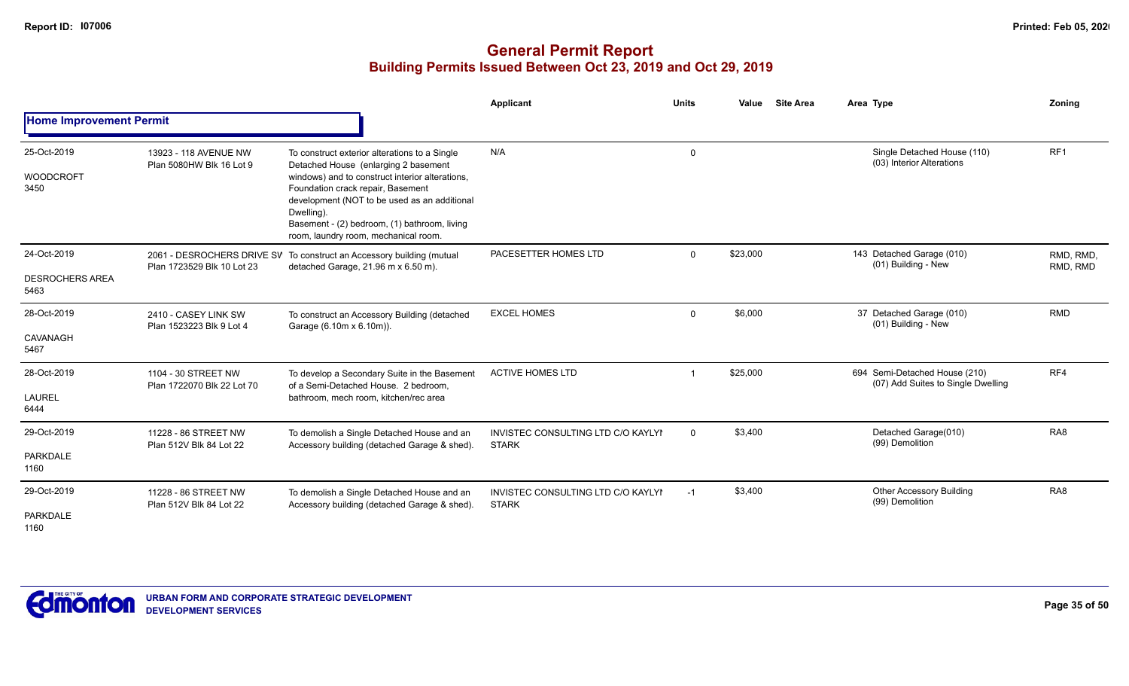|                                               |                                                   |                                                                                                                                                                                                                                                                                                                                     | Applicant                                          | <b>Units</b> | Value    | <b>Site Area</b> | Area Type                                                           | Zoning                |
|-----------------------------------------------|---------------------------------------------------|-------------------------------------------------------------------------------------------------------------------------------------------------------------------------------------------------------------------------------------------------------------------------------------------------------------------------------------|----------------------------------------------------|--------------|----------|------------------|---------------------------------------------------------------------|-----------------------|
| <b>Home Improvement Permit</b>                |                                                   |                                                                                                                                                                                                                                                                                                                                     |                                                    |              |          |                  |                                                                     |                       |
| 25-Oct-2019<br><b>WOODCROFT</b><br>3450       | 13923 - 118 AVENUE NW<br>Plan 5080HW Blk 16 Lot 9 | To construct exterior alterations to a Single<br>Detached House (enlarging 2 basement<br>windows) and to construct interior alterations,<br>Foundation crack repair, Basement<br>development (NOT to be used as an additional<br>Dwelling).<br>Basement - (2) bedroom, (1) bathroom, living<br>room, laundry room, mechanical room. | N/A                                                | $\mathbf 0$  |          |                  | Single Detached House (110)<br>(03) Interior Alterations            | RF <sub>1</sub>       |
| 24-Oct-2019<br><b>DESROCHERS AREA</b><br>5463 | Plan 1723529 Blk 10 Lot 23                        | 2061 - DESROCHERS DRIVE SV To construct an Accessory building (mutual<br>detached Garage, 21.96 m x 6.50 m).                                                                                                                                                                                                                        | PACESETTER HOMES LTD                               | $\Omega$     | \$23,000 |                  | 143 Detached Garage (010)<br>(01) Building - New                    | RMD, RMD.<br>RMD, RMD |
| 28-Oct-2019<br>CAVANAGH<br>5467               | 2410 - CASEY LINK SW<br>Plan 1523223 Blk 9 Lot 4  | To construct an Accessory Building (detached<br>Garage (6.10m x 6.10m)).                                                                                                                                                                                                                                                            | <b>EXCEL HOMES</b>                                 | $\Omega$     | \$6,000  |                  | 37 Detached Garage (010)<br>(01) Building - New                     | <b>RMD</b>            |
| 28-Oct-2019<br>LAUREL<br>6444                 | 1104 - 30 STREET NW<br>Plan 1722070 Blk 22 Lot 70 | To develop a Secondary Suite in the Basement<br>of a Semi-Detached House. 2 bedroom.<br>bathroom, mech room, kitchen/rec area                                                                                                                                                                                                       | <b>ACTIVE HOMES LTD</b>                            |              | \$25,000 |                  | 694 Semi-Detached House (210)<br>(07) Add Suites to Single Dwelling | RF4                   |
| 29-Oct-2019<br><b>PARKDALE</b><br>1160        | 11228 - 86 STREET NW<br>Plan 512V Blk 84 Lot 22   | To demolish a Single Detached House and an<br>Accessory building (detached Garage & shed).                                                                                                                                                                                                                                          | INVISTEC CONSULTING LTD C/O KAYLYI<br><b>STARK</b> | $\Omega$     | \$3,400  |                  | Detached Garage(010)<br>(99) Demolition                             | RA <sub>8</sub>       |
| 29-Oct-2019<br><b>PARKDALE</b><br>1160        | 11228 - 86 STREET NW<br>Plan 512V Blk 84 Lot 22   | To demolish a Single Detached House and an<br>Accessory building (detached Garage & shed).                                                                                                                                                                                                                                          | INVISTEC CONSULTING LTD C/O KAYLYI<br><b>STARK</b> | $-1$         | \$3,400  |                  | <b>Other Accessory Building</b><br>(99) Demolition                  | RA <sub>8</sub>       |

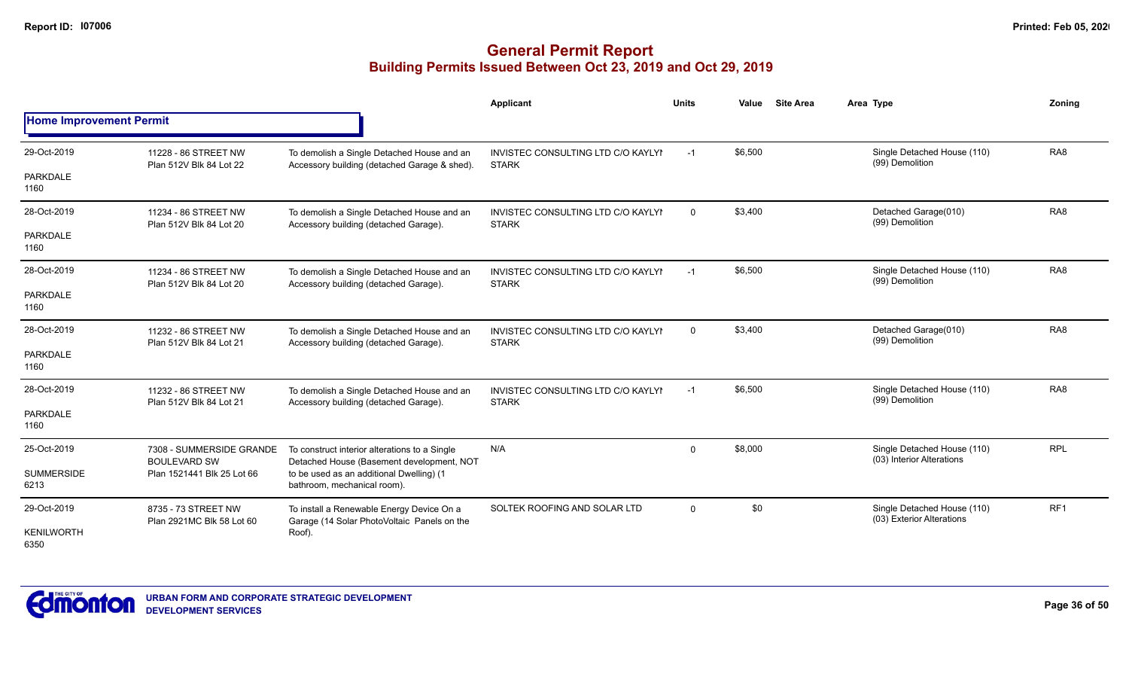|                                |                                                   |                                                                                            | <b>Applicant</b>                                   | <b>Units</b>   | Value   | <b>Site Area</b> | Area Type                                                | Zonina          |
|--------------------------------|---------------------------------------------------|--------------------------------------------------------------------------------------------|----------------------------------------------------|----------------|---------|------------------|----------------------------------------------------------|-----------------|
| <b>Home Improvement Permit</b> |                                                   |                                                                                            |                                                    |                |         |                  |                                                          |                 |
| 29-Oct-2019                    | 11228 - 86 STREET NW<br>Plan 512V Blk 84 Lot 22   | To demolish a Single Detached House and an<br>Accessory building (detached Garage & shed). | INVISTEC CONSULTING LTD C/O KAYLYI<br><b>STARK</b> | $-1$           | \$6,500 |                  | Single Detached House (110)<br>(99) Demolition           | RA <sub>8</sub> |
| <b>PARKDALE</b><br>1160        |                                                   |                                                                                            |                                                    |                |         |                  |                                                          |                 |
| 28-Oct-2019                    | 11234 - 86 STREET NW<br>Plan 512V Blk 84 Lot 20   | To demolish a Single Detached House and an<br>Accessory building (detached Garage).        | INVISTEC CONSULTING LTD C/O KAYLYI<br><b>STARK</b> | $\mathbf 0$    | \$3,400 |                  | Detached Garage(010)<br>(99) Demolition                  | RA <sub>8</sub> |
| <b>PARKDALE</b><br>1160        |                                                   |                                                                                            |                                                    |                |         |                  |                                                          |                 |
| 28-Oct-2019                    | 11234 - 86 STREET NW<br>Plan 512V Blk 84 Lot 20   | To demolish a Single Detached House and an<br>Accessory building (detached Garage).        | INVISTEC CONSULTING LTD C/O KAYLYI<br><b>STARK</b> | $-1$           | \$6,500 |                  | Single Detached House (110)<br>(99) Demolition           | RA <sub>8</sub> |
| <b>PARKDALE</b><br>1160        |                                                   |                                                                                            |                                                    |                |         |                  |                                                          |                 |
| 28-Oct-2019                    | 11232 - 86 STREET NW<br>Plan 512V Blk 84 Lot 21   | To demolish a Single Detached House and an<br>Accessory building (detached Garage).        | INVISTEC CONSULTING LTD C/O KAYLYI<br><b>STARK</b> | $\overline{0}$ | \$3,400 |                  | Detached Garage(010)<br>(99) Demolition                  | RA <sub>8</sub> |
| <b>PARKDALE</b><br>1160        |                                                   |                                                                                            |                                                    |                |         |                  |                                                          |                 |
| 28-Oct-2019                    | 11232 - 86 STREET NW<br>Plan 512V Blk 84 Lot 21   | To demolish a Single Detached House and an<br>Accessory building (detached Garage).        | INVISTEC CONSULTING LTD C/O KAYLYI<br><b>STARK</b> | $-1$           | \$6,500 |                  | Single Detached House (110)<br>(99) Demolition           | RA <sub>8</sub> |
| <b>PARKDALE</b><br>1160        |                                                   |                                                                                            |                                                    |                |         |                  |                                                          |                 |
| 25-Oct-2019                    | 7308 - SUMMERSIDE GRANDE                          | To construct interior alterations to a Single<br>Detached House (Basement development, NOT | N/A                                                | $\mathbf 0$    | \$8,000 |                  | Single Detached House (110)<br>(03) Interior Alterations | <b>RPL</b>      |
| <b>SUMMERSIDE</b><br>6213      | <b>BOULEVARD SW</b><br>Plan 1521441 Blk 25 Lot 66 | to be used as an additional Dwelling) (1<br>bathroom, mechanical room).                    |                                                    |                |         |                  |                                                          |                 |
| 29-Oct-2019                    | 8735 - 73 STREET NW<br>Plan 2921MC Blk 58 Lot 60  | To install a Renewable Energy Device On a<br>Garage (14 Solar PhotoVoltaic Panels on the   | SOLTEK ROOFING AND SOLAR LTD                       | $\Omega$       | \$0     |                  | Single Detached House (110)<br>(03) Exterior Alterations | RF <sub>1</sub> |
| <b>KENILWORTH</b><br>6350      |                                                   | Roof).                                                                                     |                                                    |                |         |                  |                                                          |                 |

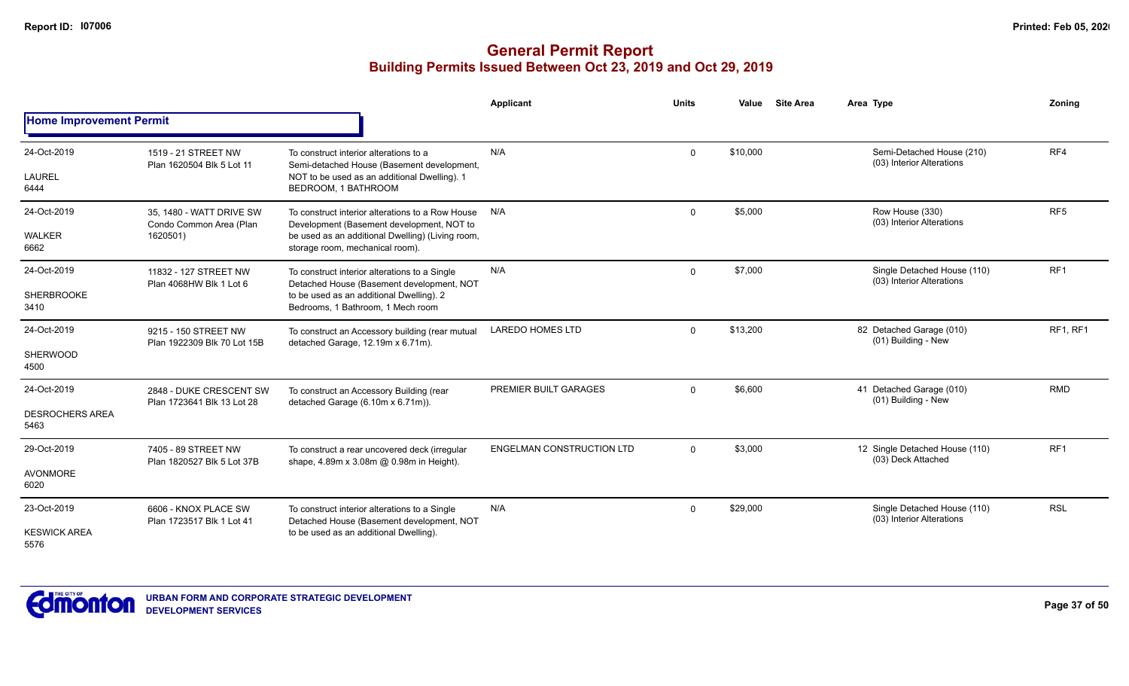|                                               |                                                                 |                                                                                                                                                                                      | Applicant                        | <b>Units</b> | Value    | <b>Site Area</b> | Area Type                                                | Zoning          |
|-----------------------------------------------|-----------------------------------------------------------------|--------------------------------------------------------------------------------------------------------------------------------------------------------------------------------------|----------------------------------|--------------|----------|------------------|----------------------------------------------------------|-----------------|
| <b>Home Improvement Permit</b>                |                                                                 |                                                                                                                                                                                      |                                  |              |          |                  |                                                          |                 |
| 24-Oct-2019<br><b>LAUREL</b><br>6444          | 1519 - 21 STREET NW<br>Plan 1620504 Blk 5 Lot 11                | To construct interior alterations to a<br>Semi-detached House (Basement development,<br>NOT to be used as an additional Dwelling). 1<br>BEDROOM, 1 BATHROOM                          | N/A                              | $\Omega$     | \$10,000 |                  | Semi-Detached House (210)<br>(03) Interior Alterations   | RF4             |
| 24-Oct-2019<br><b>WALKER</b><br>6662          | 35, 1480 - WATT DRIVE SW<br>Condo Common Area (Plan<br>1620501) | To construct interior alterations to a Row House<br>Development (Basement development, NOT to<br>be used as an additional Dwelling) (Living room,<br>storage room, mechanical room). | N/A                              | $\Omega$     | \$5,000  |                  | Row House (330)<br>(03) Interior Alterations             | RF <sub>5</sub> |
| 24-Oct-2019<br><b>SHERBROOKE</b><br>3410      | 11832 - 127 STREET NW<br>Plan 4068HW Blk 1 Lot 6                | To construct interior alterations to a Single<br>Detached House (Basement development, NOT<br>to be used as an additional Dwelling). 2<br>Bedrooms, 1 Bathroom, 1 Mech room          | N/A                              | $\Omega$     | \$7,000  |                  | Single Detached House (110)<br>(03) Interior Alterations | RF <sub>1</sub> |
| 24-Oct-2019<br>SHERWOOD<br>4500               | 9215 - 150 STREET NW<br>Plan 1922309 Blk 70 Lot 15B             | To construct an Accessory building (rear mutual<br>detached Garage, 12.19m x 6.71m).                                                                                                 | <b>LAREDO HOMES LTD</b>          | $\Omega$     | \$13,200 |                  | 82 Detached Garage (010)<br>(01) Building - New          | RF1, RF1        |
| 24-Oct-2019<br><b>DESROCHERS AREA</b><br>5463 | 2848 - DUKE CRESCENT SW<br>Plan 1723641 Blk 13 Lot 28           | To construct an Accessory Building (rear<br>detached Garage (6.10m x 6.71m)).                                                                                                        | PREMIER BUILT GARAGES            | $\Omega$     | \$6,600  |                  | 41 Detached Garage (010)<br>(01) Building - New          | <b>RMD</b>      |
| 29-Oct-2019<br><b>AVONMORE</b><br>6020        | 7405 - 89 STREET NW<br>Plan 1820527 Blk 5 Lot 37B               | To construct a rear uncovered deck (irregular<br>shape, 4.89m x 3.08m @ 0.98m in Height).                                                                                            | <b>ENGELMAN CONSTRUCTION LTD</b> | $\Omega$     | \$3,000  |                  | 12 Single Detached House (110)<br>(03) Deck Attached     | RF <sub>1</sub> |
| 23-Oct-2019<br><b>KESWICK AREA</b><br>5576    | 6606 - KNOX PLACE SW<br>Plan 1723517 Blk 1 Lot 41               | To construct interior alterations to a Single<br>Detached House (Basement development, NOT<br>to be used as an additional Dwelling).                                                 | N/A                              | $\Omega$     | \$29,000 |                  | Single Detached House (110)<br>(03) Interior Alterations | <b>RSL</b>      |

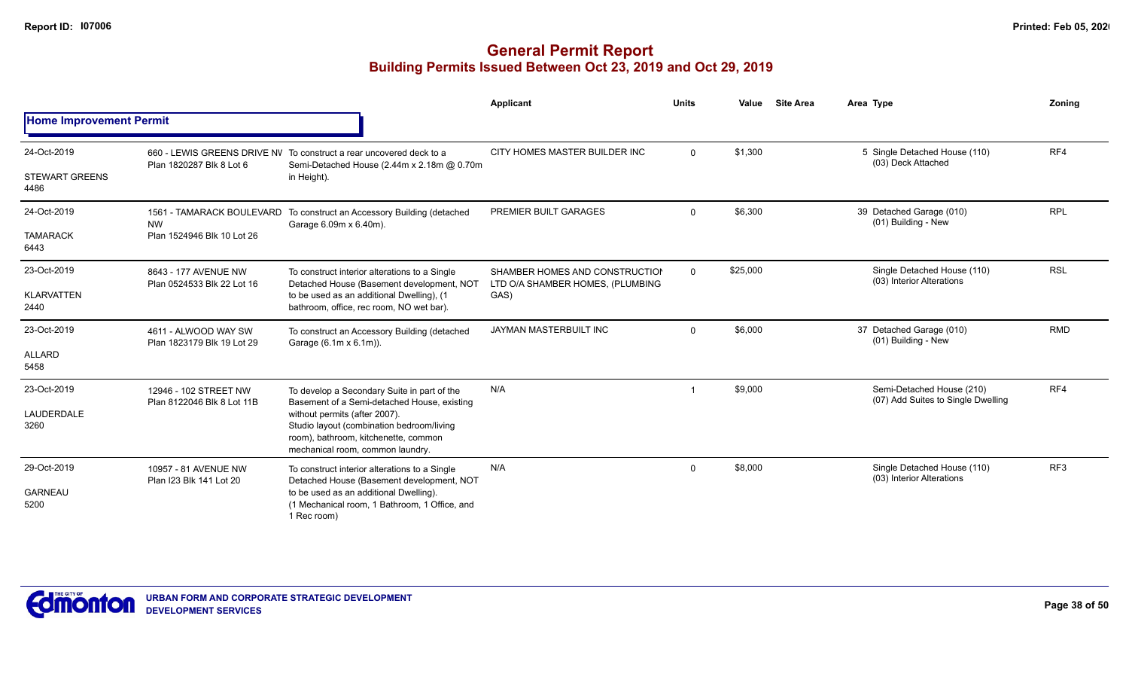|                                |                                                     |                                                                                                                                                        | Applicant                                                          | <b>Units</b> | Value    | <b>Site Area</b> | Area Type                                                       | Zoning          |
|--------------------------------|-----------------------------------------------------|--------------------------------------------------------------------------------------------------------------------------------------------------------|--------------------------------------------------------------------|--------------|----------|------------------|-----------------------------------------------------------------|-----------------|
| <b>Home Improvement Permit</b> |                                                     |                                                                                                                                                        |                                                                    |              |          |                  |                                                                 |                 |
| 24-Oct-2019                    | Plan 1820287 Blk 8 Lot 6                            | 660 - LEWIS GREENS DRIVE NV To construct a rear uncovered deck to a<br>Semi-Detached House (2.44m x 2.18m @ 0.70m                                      | CITY HOMES MASTER BUILDER INC                                      | $\mathbf 0$  | \$1,300  |                  | 5 Single Detached House (110)<br>(03) Deck Attached             | RF4             |
| <b>STEWART GREENS</b><br>4486  |                                                     | in Height).                                                                                                                                            |                                                                    |              |          |                  |                                                                 |                 |
| 24-Oct-2019                    | 1561 - TAMARACK BOULEVARD<br><b>NW</b>              | To construct an Accessory Building (detached<br>Garage 6.09m x 6.40m).                                                                                 | PREMIER BUILT GARAGES                                              | $\Omega$     | \$6,300  |                  | 39 Detached Garage (010)<br>(01) Building - New                 | <b>RPL</b>      |
| <b>TAMARACK</b><br>6443        | Plan 1524946 Blk 10 Lot 26                          |                                                                                                                                                        |                                                                    |              |          |                  |                                                                 |                 |
| 23-Oct-2019                    | 8643 - 177 AVENUE NW<br>Plan 0524533 Blk 22 Lot 16  | To construct interior alterations to a Single<br>Detached House (Basement development, NOT                                                             | SHAMBER HOMES AND CONSTRUCTION<br>LTD O/A SHAMBER HOMES, (PLUMBING | $\mathbf{0}$ | \$25,000 |                  | Single Detached House (110)<br>(03) Interior Alterations        | <b>RSL</b>      |
| <b>KLARVATTEN</b><br>2440      |                                                     | to be used as an additional Dwelling), (1<br>bathroom, office, rec room, NO wet bar).                                                                  | GAS)                                                               |              |          |                  |                                                                 |                 |
| 23-Oct-2019                    | 4611 - ALWOOD WAY SW<br>Plan 1823179 Blk 19 Lot 29  | To construct an Accessory Building (detached<br>Garage (6.1m x 6.1m)).                                                                                 | JAYMAN MASTERBUILT INC                                             | $\Omega$     | \$6,000  |                  | 37 Detached Garage (010)<br>(01) Building - New                 | <b>RMD</b>      |
| <b>ALLARD</b><br>5458          |                                                     |                                                                                                                                                        |                                                                    |              |          |                  |                                                                 |                 |
| 23-Oct-2019                    | 12946 - 102 STREET NW<br>Plan 8122046 Blk 8 Lot 11B | To develop a Secondary Suite in part of the<br>Basement of a Semi-detached House, existing                                                             | N/A                                                                |              | \$9,000  |                  | Semi-Detached House (210)<br>(07) Add Suites to Single Dwelling | RF4             |
| LAUDERDALE<br>3260             |                                                     | without permits (after 2007).<br>Studio layout (combination bedroom/living<br>room), bathroom, kitchenette, common<br>mechanical room, common laundry. |                                                                    |              |          |                  |                                                                 |                 |
| 29-Oct-2019                    | 10957 - 81 AVENUE NW<br>Plan I23 Blk 141 Lot 20     | To construct interior alterations to a Single<br>Detached House (Basement development, NOT                                                             | N/A                                                                | $\Omega$     | \$8,000  |                  | Single Detached House (110)<br>(03) Interior Alterations        | RF <sub>3</sub> |
| <b>GARNEAU</b><br>5200         |                                                     | to be used as an additional Dwelling).<br>(1 Mechanical room, 1 Bathroom, 1 Office, and<br>1 Rec room)                                                 |                                                                    |              |          |                  |                                                                 |                 |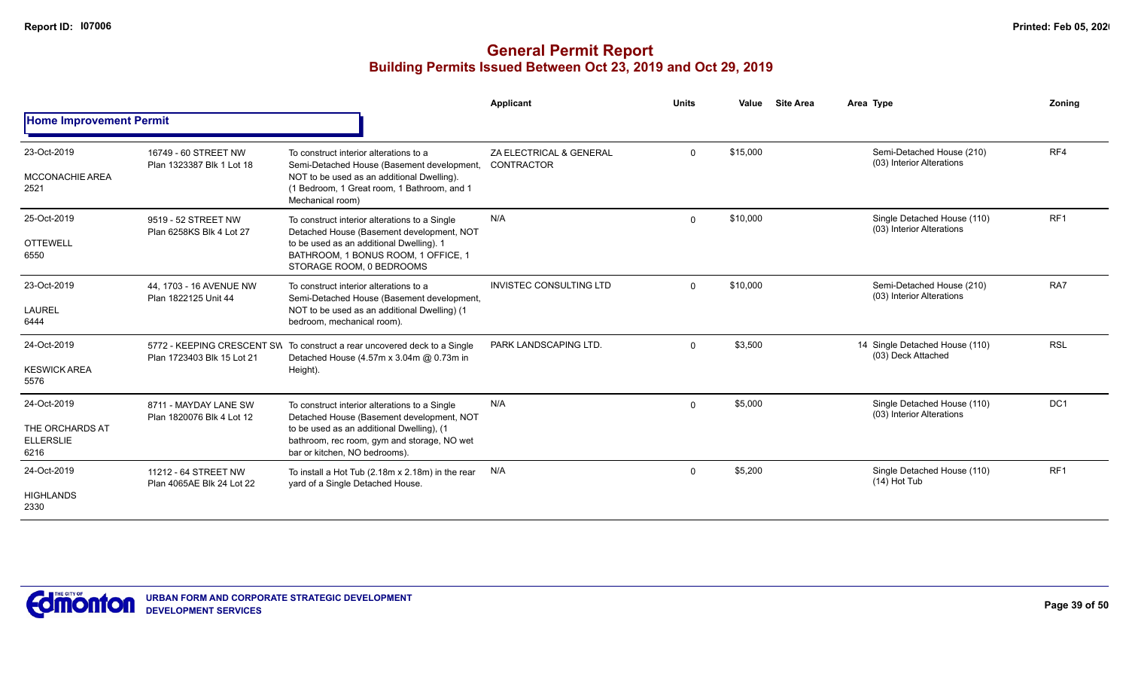|                                                            |                                                    |                                                                                                                                                                                                                         | Applicant                             | <b>Units</b> | Value    | <b>Site Area</b> | Area Type                                                | Zoning          |
|------------------------------------------------------------|----------------------------------------------------|-------------------------------------------------------------------------------------------------------------------------------------------------------------------------------------------------------------------------|---------------------------------------|--------------|----------|------------------|----------------------------------------------------------|-----------------|
| <b>Home Improvement Permit</b>                             |                                                    |                                                                                                                                                                                                                         |                                       |              |          |                  |                                                          |                 |
| 23-Oct-2019<br><b>MCCONACHIE AREA</b><br>2521              | 16749 - 60 STREET NW<br>Plan 1323387 Blk 1 Lot 18  | To construct interior alterations to a<br>Semi-Detached House (Basement development,<br>NOT to be used as an additional Dwelling).<br>(1 Bedroom, 1 Great room, 1 Bathroom, and 1<br>Mechanical room)                   | ZA ELECTRICAL & GENERAL<br>CONTRACTOR | $\Omega$     | \$15,000 |                  | Semi-Detached House (210)<br>(03) Interior Alterations   | RF4             |
| 25-Oct-2019<br><b>OTTEWELL</b><br>6550                     | 9519 - 52 STREET NW<br>Plan 6258KS Blk 4 Lot 27    | To construct interior alterations to a Single<br>Detached House (Basement development, NOT<br>to be used as an additional Dwelling). 1<br>BATHROOM, 1 BONUS ROOM, 1 OFFICE, 1<br>STORAGE ROOM, 0 BEDROOMS               | N/A                                   | $\Omega$     | \$10,000 |                  | Single Detached House (110)<br>(03) Interior Alterations | RF <sub>1</sub> |
| 23-Oct-2019<br><b>LAUREL</b><br>6444                       | 44, 1703 - 16 AVENUE NW<br>Plan 1822125 Unit 44    | To construct interior alterations to a<br>Semi-Detached House (Basement development,<br>NOT to be used as an additional Dwelling) (1<br>bedroom, mechanical room).                                                      | <b>INVISTEC CONSULTING LTD</b>        | $\Omega$     | \$10,000 |                  | Semi-Detached House (210)<br>(03) Interior Alterations   | RA7             |
| 24-Oct-2019<br><b>KESWICK AREA</b><br>5576                 | Plan 1723403 Blk 15 Lot 21                         | 5772 - KEEPING CRESCENT SW To construct a rear uncovered deck to a Single<br>Detached House (4.57m x 3.04m @ 0.73m in<br>Height).                                                                                       | PARK LANDSCAPING LTD.                 | $\Omega$     | \$3,500  |                  | 14 Single Detached House (110)<br>(03) Deck Attached     | <b>RSL</b>      |
| 24-Oct-2019<br>THE ORCHARDS AT<br><b>ELLERSLIE</b><br>6216 | 8711 - MAYDAY LANE SW<br>Plan 1820076 Blk 4 Lot 12 | To construct interior alterations to a Single<br>Detached House (Basement development, NOT<br>to be used as an additional Dwelling), (1<br>bathroom, rec room, gym and storage, NO wet<br>bar or kitchen, NO bedrooms). | N/A                                   | $\Omega$     | \$5.000  |                  | Single Detached House (110)<br>(03) Interior Alterations | DC <sub>1</sub> |
| 24-Oct-2019<br><b>HIGHLANDS</b><br>2330                    | 11212 - 64 STREET NW<br>Plan 4065AE Blk 24 Lot 22  | To install a Hot Tub (2.18m x 2.18m) in the rear<br>yard of a Single Detached House.                                                                                                                                    | N/A                                   | $\Omega$     | \$5,200  |                  | Single Detached House (110)<br>$(14)$ Hot Tub            | RF <sub>1</sub> |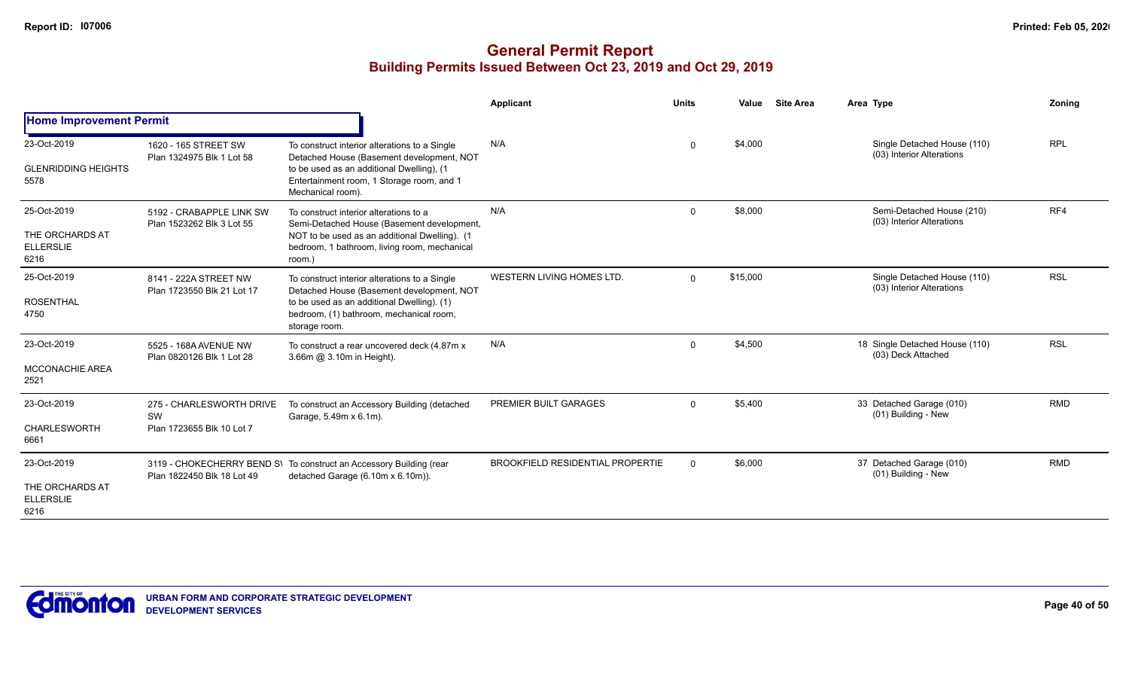|                                                            |                                                             |                                                                                                                                                                                                           | Applicant                               | <b>Units</b> | Value    | <b>Site Area</b> | Area Type                                                | Zoning     |
|------------------------------------------------------------|-------------------------------------------------------------|-----------------------------------------------------------------------------------------------------------------------------------------------------------------------------------------------------------|-----------------------------------------|--------------|----------|------------------|----------------------------------------------------------|------------|
| <b>Home Improvement Permit</b>                             |                                                             |                                                                                                                                                                                                           |                                         |              |          |                  |                                                          |            |
| 23-Oct-2019<br><b>GLENRIDDING HEIGHTS</b><br>5578          | 1620 - 165 STREET SW<br>Plan 1324975 Blk 1 Lot 58           | To construct interior alterations to a Single<br>Detached House (Basement development, NOT<br>to be used as an additional Dwelling), (1<br>Entertainment room, 1 Storage room, and 1<br>Mechanical room). | N/A                                     | $\Omega$     | \$4,000  |                  | Single Detached House (110)<br>(03) Interior Alterations | <b>RPL</b> |
| 25-Oct-2019<br>THE ORCHARDS AT<br><b>ELLERSLIE</b><br>6216 | 5192 - CRABAPPLE LINK SW<br>Plan 1523262 Blk 3 Lot 55       | To construct interior alterations to a<br>Semi-Detached House (Basement development,<br>NOT to be used as an additional Dwelling). (1<br>bedroom, 1 bathroom, living room, mechanical<br>room.)           | N/A                                     | $\mathbf 0$  | \$8,000  |                  | Semi-Detached House (210)<br>(03) Interior Alterations   | RF4        |
| 25-Oct-2019<br><b>ROSENTHAL</b><br>4750                    | 8141 - 222A STREET NW<br>Plan 1723550 Blk 21 Lot 17         | To construct interior alterations to a Single<br>Detached House (Basement development, NOT<br>to be used as an additional Dwelling). (1)<br>bedroom, (1) bathroom, mechanical room,<br>storage room.      | WESTERN LIVING HOMES LTD.               | $\Omega$     | \$15,000 |                  | Single Detached House (110)<br>(03) Interior Alterations | <b>RSL</b> |
| 23-Oct-2019<br><b>MCCONACHIE AREA</b><br>2521              | 5525 - 168A AVENUE NW<br>Plan 0820126 Blk 1 Lot 28          | To construct a rear uncovered deck (4.87m x)<br>3.66m @ 3.10m in Height).                                                                                                                                 | N/A                                     | $\Omega$     | \$4,500  |                  | 18 Single Detached House (110)<br>(03) Deck Attached     | <b>RSL</b> |
| 23-Oct-2019<br><b>CHARLESWORTH</b><br>6661                 | 275 - CHARLESWORTH DRIVE<br>SW<br>Plan 1723655 Blk 10 Lot 7 | To construct an Accessory Building (detached<br>Garage, 5.49m x 6.1m).                                                                                                                                    | PREMIER BUILT GARAGES                   | $\Omega$     | \$5,400  |                  | 33 Detached Garage (010)<br>(01) Building - New          | <b>RMD</b> |
| 23-Oct-2019<br>THE ORCHARDS AT<br><b>ELLERSLIE</b><br>6216 | Plan 1822450 Blk 18 Lot 49                                  | 3119 - CHOKECHERRY BEND S\ To construct an Accessory Building (rear<br>detached Garage (6.10m x 6.10m)).                                                                                                  | <b>BROOKFIELD RESIDENTIAL PROPERTIE</b> | $\Omega$     | \$6,000  |                  | 37 Detached Garage (010)<br>(01) Building - New          | <b>RMD</b> |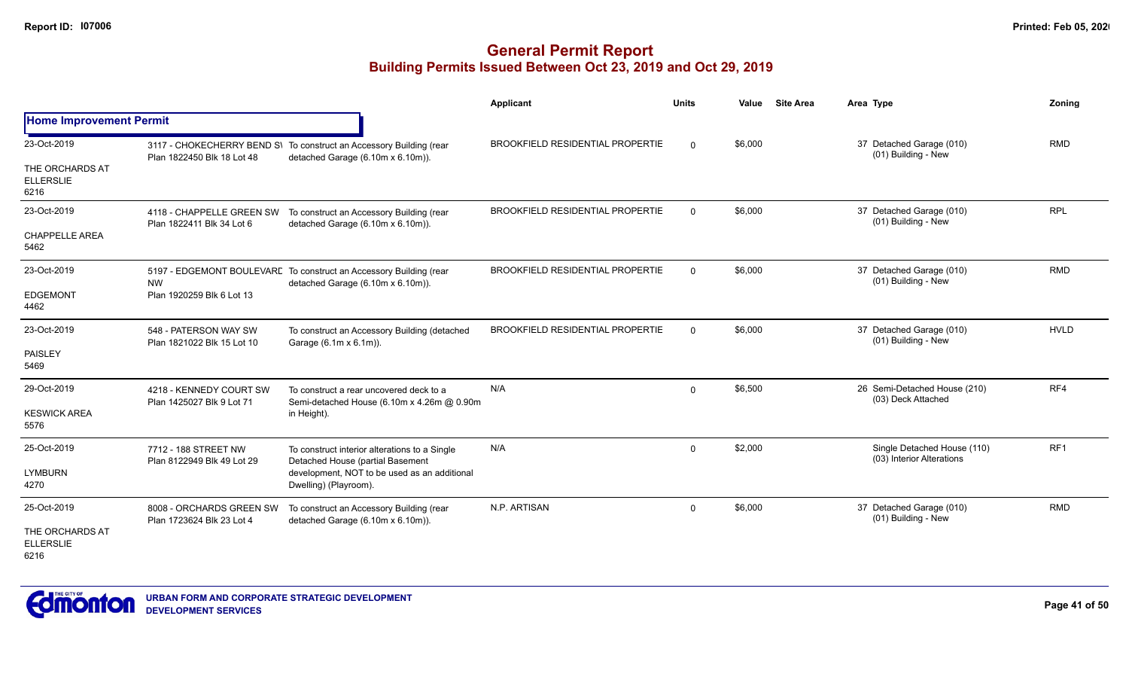|                                             |                                                        |                                                                                                          | Applicant                               | <b>Units</b> | Value   | <b>Site Area</b> | Area Type                                                | <b>Zoning</b> |
|---------------------------------------------|--------------------------------------------------------|----------------------------------------------------------------------------------------------------------|-----------------------------------------|--------------|---------|------------------|----------------------------------------------------------|---------------|
| <b>Home Improvement Permit</b>              |                                                        |                                                                                                          |                                         |              |         |                  |                                                          |               |
| 23-Oct-2019                                 | Plan 1822450 Blk 18 Lot 48                             | 3117 - CHOKECHERRY BEND S\ To construct an Accessory Building (rear<br>detached Garage (6.10m x 6.10m)). | <b>BROOKFIELD RESIDENTIAL PROPERTIE</b> | $\Omega$     | \$6,000 |                  | 37 Detached Garage (010)<br>(01) Building - New          | <b>RMD</b>    |
| THE ORCHARDS AT<br><b>ELLERSLIE</b><br>6216 |                                                        |                                                                                                          |                                         |              |         |                  |                                                          |               |
| 23-Oct-2019                                 | 4118 - CHAPPELLE GREEN SW<br>Plan 1822411 Blk 34 Lot 6 | To construct an Accessory Building (rear<br>detached Garage (6.10m x 6.10m)).                            | <b>BROOKFIELD RESIDENTIAL PROPERTIE</b> | $\Omega$     | \$6,000 |                  | 37 Detached Garage (010)<br>(01) Building - New          | <b>RPL</b>    |
| <b>CHAPPELLE AREA</b><br>5462               |                                                        |                                                                                                          |                                         |              |         |                  |                                                          |               |
| 23-Oct-2019                                 | <b>NW</b>                                              | 5197 - EDGEMONT BOULEVARE To construct an Accessory Building (rear<br>detached Garage (6.10m x 6.10m)).  | <b>BROOKFIELD RESIDENTIAL PROPERTIE</b> | $\Omega$     | \$6,000 |                  | 37 Detached Garage (010)<br>(01) Building - New          | <b>RMD</b>    |
| <b>EDGEMONT</b><br>4462                     | Plan 1920259 Blk 6 Lot 13                              |                                                                                                          |                                         |              |         |                  |                                                          |               |
| 23-Oct-2019                                 | 548 - PATERSON WAY SW<br>Plan 1821022 Blk 15 Lot 10    | To construct an Accessory Building (detached<br>Garage (6.1m x 6.1m)).                                   | <b>BROOKFIELD RESIDENTIAL PROPERTIE</b> | $\Omega$     | \$6,000 |                  | 37 Detached Garage (010)<br>(01) Building - New          | <b>HVLD</b>   |
| <b>PAISLEY</b><br>5469                      |                                                        |                                                                                                          |                                         |              |         |                  |                                                          |               |
| 29-Oct-2019                                 | 4218 - KENNEDY COURT SW<br>Plan 1425027 Blk 9 Lot 71   | To construct a rear uncovered deck to a<br>Semi-detached House (6.10m x 4.26m @ 0.90m                    | N/A                                     | $\Omega$     | \$6,500 |                  | 26 Semi-Detached House (210)<br>(03) Deck Attached       | RF4           |
| <b>KESWICK AREA</b><br>5576                 |                                                        | in Height).                                                                                              |                                         |              |         |                  |                                                          |               |
| 25-Oct-2019                                 | 7712 - 188 STREET NW                                   | To construct interior alterations to a Single<br>Detached House (partial Basement                        | N/A                                     | $\mathbf{0}$ | \$2,000 |                  | Single Detached House (110)<br>(03) Interior Alterations | RF1           |
| <b>LYMBURN</b><br>4270                      | Plan 8122949 Blk 49 Lot 29                             | development, NOT to be used as an additional<br>Dwelling) (Playroom).                                    |                                         |              |         |                  |                                                          |               |
| 25-Oct-2019                                 | 8008 - ORCHARDS GREEN SW<br>Plan 1723624 Blk 23 Lot 4  | To construct an Accessory Building (rear<br>detached Garage (6.10m x 6.10m)).                            | N.P. ARTISAN                            | $\Omega$     | \$6,000 |                  | 37 Detached Garage (010)<br>(01) Building - New          | <b>RMD</b>    |
| THE ORCHARDS AT<br><b>ELLERSLIE</b><br>6216 |                                                        |                                                                                                          |                                         |              |         |                  |                                                          |               |

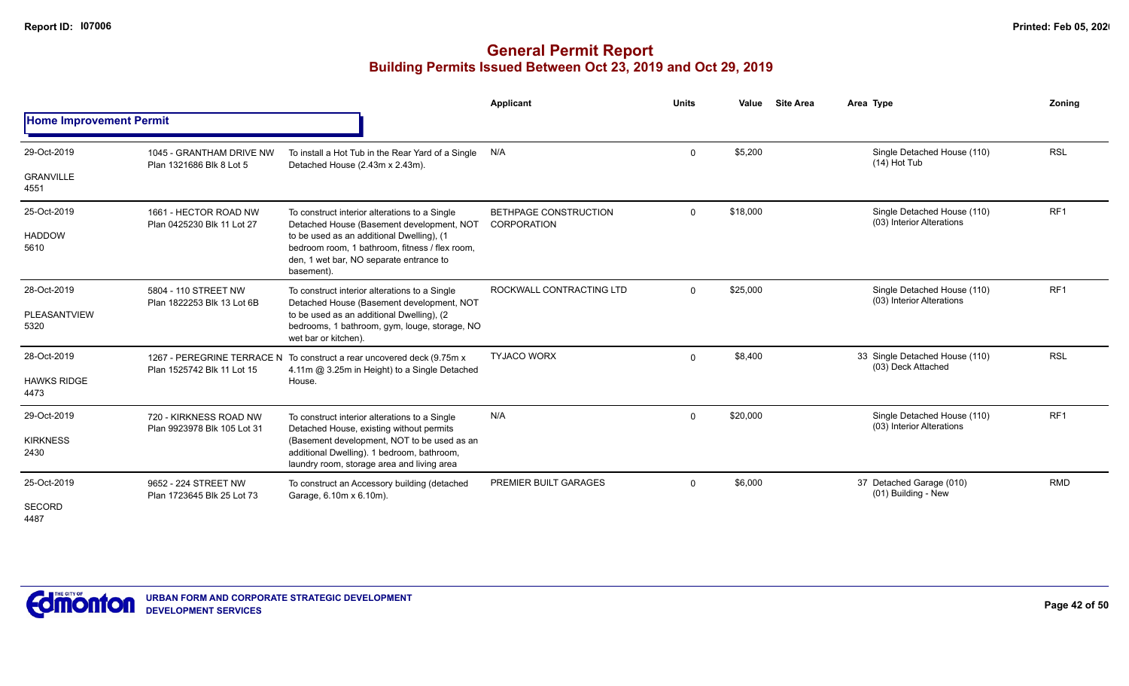|                                |                                                          |                                                                                                                                                      | Applicant                            | <b>Units</b> | Value    | <b>Site Area</b> | Area Type                                                | Zoning          |
|--------------------------------|----------------------------------------------------------|------------------------------------------------------------------------------------------------------------------------------------------------------|--------------------------------------|--------------|----------|------------------|----------------------------------------------------------|-----------------|
| <b>Home Improvement Permit</b> |                                                          |                                                                                                                                                      |                                      |              |          |                  |                                                          |                 |
| 29-Oct-2019                    | 1045 - GRANTHAM DRIVE NW<br>Plan 1321686 Blk 8 Lot 5     | To install a Hot Tub in the Rear Yard of a Single<br>Detached House (2.43m x 2.43m).                                                                 | N/A                                  | $\mathbf{0}$ | \$5,200  |                  | Single Detached House (110)<br>$(14)$ Hot Tub            | <b>RSL</b>      |
| <b>GRANVILLE</b><br>4551       |                                                          |                                                                                                                                                      |                                      |              |          |                  |                                                          |                 |
| 25-Oct-2019                    | 1661 - HECTOR ROAD NW<br>Plan 0425230 Blk 11 Lot 27      | To construct interior alterations to a Single<br>Detached House (Basement development, NOT                                                           | BETHPAGE CONSTRUCTION<br>CORPORATION | $\mathbf{0}$ | \$18,000 |                  | Single Detached House (110)<br>(03) Interior Alterations | RF <sub>1</sub> |
| <b>HADDOW</b><br>5610          |                                                          | to be used as an additional Dwelling), (1<br>bedroom room. 1 bathroom. fitness / flex room.<br>den, 1 wet bar, NO separate entrance to<br>basement). |                                      |              |          |                  |                                                          |                 |
| 28-Oct-2019                    | 5804 - 110 STREET NW<br>Plan 1822253 Blk 13 Lot 6B       | To construct interior alterations to a Single<br>Detached House (Basement development, NOT                                                           | ROCKWALL CONTRACTING LTD             | $\mathbf{0}$ | \$25,000 |                  | Single Detached House (110)<br>(03) Interior Alterations | RF <sub>1</sub> |
| PLEASANTVIEW<br>5320           |                                                          | to be used as an additional Dwelling), (2<br>bedrooms, 1 bathroom, gym, louge, storage, NO<br>wet bar or kitchen).                                   |                                      |              |          |                  |                                                          |                 |
| 28-Oct-2019                    | 1267 - PEREGRINE TERRACE N<br>Plan 1525742 Blk 11 Lot 15 | To construct a rear uncovered deck (9.75m x<br>4.11m @ 3.25m in Height) to a Single Detached                                                         | <b>TYJACO WORX</b>                   | $\Omega$     | \$8,400  |                  | 33 Single Detached House (110)<br>(03) Deck Attached     | <b>RSL</b>      |
| <b>HAWKS RIDGE</b><br>4473     |                                                          | House.                                                                                                                                               |                                      |              |          |                  |                                                          |                 |
| 29-Oct-2019                    | 720 - KIRKNESS ROAD NW                                   | To construct interior alterations to a Single<br>Detached House, existing without permits                                                            | N/A                                  | $\Omega$     | \$20,000 |                  | Single Detached House (110)<br>(03) Interior Alterations | RF <sub>1</sub> |
| <b>KIRKNESS</b><br>2430        | Plan 9923978 Blk 105 Lot 31                              | (Basement development, NOT to be used as an<br>additional Dwelling). 1 bedroom, bathroom,<br>laundry room, storage area and living area              |                                      |              |          |                  |                                                          |                 |
| 25-Oct-2019                    | 9652 - 224 STREET NW<br>Plan 1723645 Blk 25 Lot 73       | To construct an Accessory building (detached<br>Garage, 6.10m x 6.10m).                                                                              | PREMIER BUILT GARAGES                | $\Omega$     | \$6,000  |                  | 37 Detached Garage (010)<br>(01) Building - New          | <b>RMD</b>      |
| <b>SECORD</b><br>4487          |                                                          |                                                                                                                                                      |                                      |              |          |                  |                                                          |                 |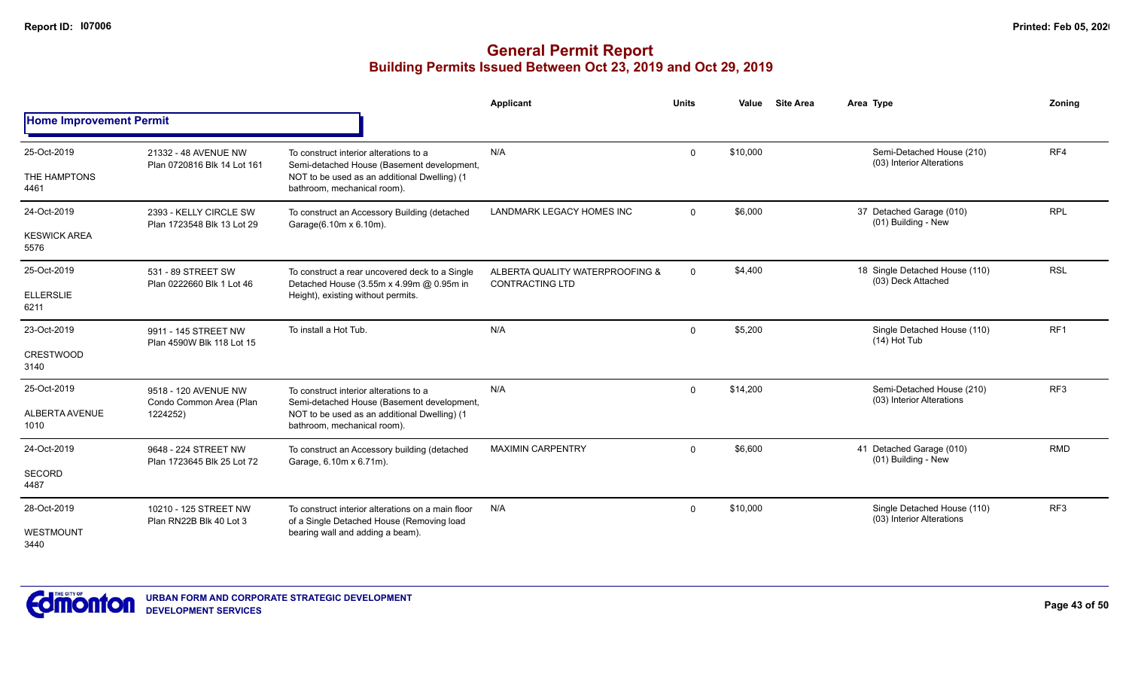|                                              |                                                             |                                                                                                                                                                     | <b>Applicant</b>                                          | <b>Units</b> | Value    | <b>Site Area</b> | Area Type                                                | Zoning          |
|----------------------------------------------|-------------------------------------------------------------|---------------------------------------------------------------------------------------------------------------------------------------------------------------------|-----------------------------------------------------------|--------------|----------|------------------|----------------------------------------------------------|-----------------|
| <b>Home Improvement Permit</b>               |                                                             |                                                                                                                                                                     |                                                           |              |          |                  |                                                          |                 |
| 25-Oct-2019<br>THE HAMPTONS<br>4461          | 21332 - 48 AVENUE NW<br>Plan 0720816 Blk 14 Lot 161         | To construct interior alterations to a<br>Semi-detached House (Basement development,<br>NOT to be used as an additional Dwelling) (1<br>bathroom, mechanical room). | N/A                                                       | $\mathbf 0$  | \$10,000 |                  | Semi-Detached House (210)<br>(03) Interior Alterations   | RF4             |
| 24-Oct-2019<br><b>KESWICK AREA</b><br>5576   | 2393 - KELLY CIRCLE SW<br>Plan 1723548 Blk 13 Lot 29        | To construct an Accessory Building (detached<br>Garage(6.10m x 6.10m).                                                                                              | LANDMARK LEGACY HOMES INC                                 | $\mathbf 0$  | \$6,000  |                  | 37 Detached Garage (010)<br>(01) Building - New          | <b>RPL</b>      |
| 25-Oct-2019<br><b>ELLERSLIE</b><br>6211      | 531 - 89 STREET SW<br>Plan 0222660 Blk 1 Lot 46             | To construct a rear uncovered deck to a Single<br>Detached House (3.55m x 4.99m @ 0.95m in<br>Height), existing without permits.                                    | ALBERTA QUALITY WATERPROOFING &<br><b>CONTRACTING LTD</b> | $\mathbf{0}$ | \$4,400  |                  | 18 Single Detached House (110)<br>(03) Deck Attached     | <b>RSL</b>      |
| 23-Oct-2019<br><b>CRESTWOOD</b><br>3140      | 9911 - 145 STREET NW<br>Plan 4590W Blk 118 Lot 15           | To install a Hot Tub.                                                                                                                                               | N/A                                                       | $\mathbf{0}$ | \$5,200  |                  | Single Detached House (110)<br>$(14)$ Hot Tub            | RF <sub>1</sub> |
| 25-Oct-2019<br><b>ALBERTA AVENUE</b><br>1010 | 9518 - 120 AVENUE NW<br>Condo Common Area (Plan<br>1224252) | To construct interior alterations to a<br>Semi-detached House (Basement development,<br>NOT to be used as an additional Dwelling) (1<br>bathroom, mechanical room). | N/A                                                       | $\mathbf{0}$ | \$14,200 |                  | Semi-Detached House (210)<br>(03) Interior Alterations   | RF <sub>3</sub> |
| 24-Oct-2019<br><b>SECORD</b><br>4487         | 9648 - 224 STREET NW<br>Plan 1723645 Blk 25 Lot 72          | To construct an Accessory building (detached<br>Garage, 6.10m x 6.71m).                                                                                             | <b>MAXIMIN CARPENTRY</b>                                  | $\mathbf{0}$ | \$6,600  |                  | 41 Detached Garage (010)<br>(01) Building - New          | <b>RMD</b>      |
| 28-Oct-2019<br>WESTMOUNT<br>3440             | 10210 - 125 STREET NW<br>Plan RN22B Blk 40 Lot 3            | To construct interior alterations on a main floor<br>of a Single Detached House (Removing load<br>bearing wall and adding a beam).                                  | N/A                                                       | $\Omega$     | \$10,000 |                  | Single Detached House (110)<br>(03) Interior Alterations | RF <sub>3</sub> |

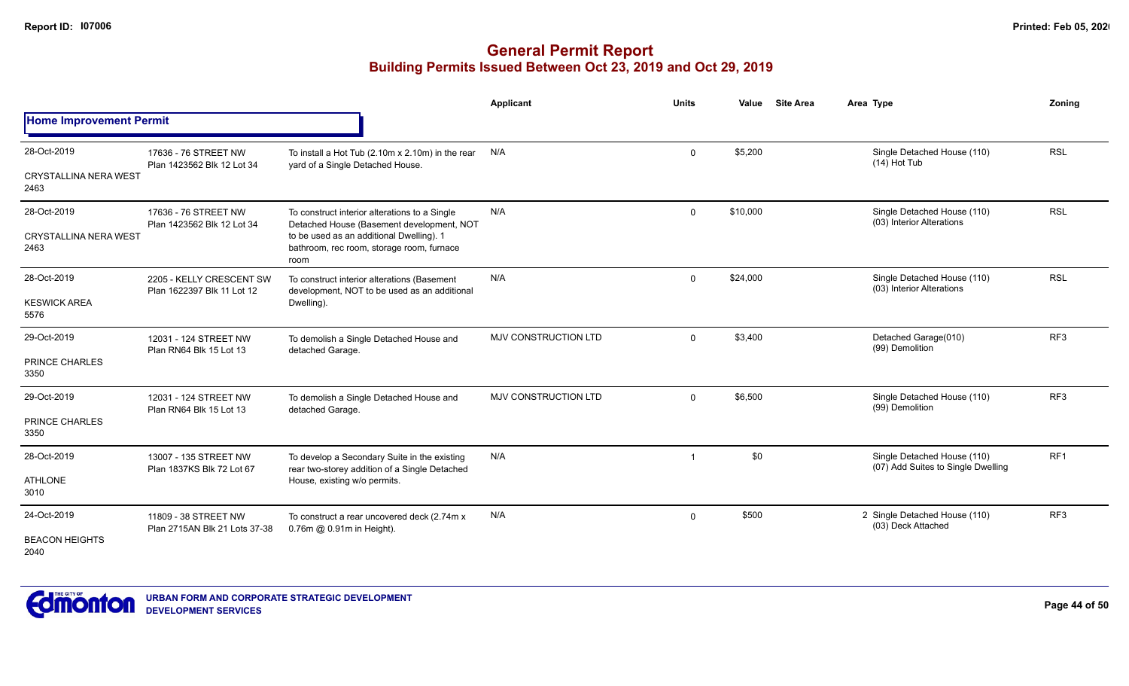|                                                     |                                                        |                                                                                                                                                                                             | <b>Applicant</b>            | <b>Units</b>            | Value    | <b>Site Area</b> | Area Type                                                         | Zoning          |
|-----------------------------------------------------|--------------------------------------------------------|---------------------------------------------------------------------------------------------------------------------------------------------------------------------------------------------|-----------------------------|-------------------------|----------|------------------|-------------------------------------------------------------------|-----------------|
| <b>Home Improvement Permit</b>                      |                                                        |                                                                                                                                                                                             |                             |                         |          |                  |                                                                   |                 |
| 28-Oct-2019<br><b>CRYSTALLINA NERA WEST</b>         | 17636 - 76 STREET NW<br>Plan 1423562 Blk 12 Lot 34     | To install a Hot Tub (2.10m x 2.10m) in the rear<br>yard of a Single Detached House.                                                                                                        | N/A                         | $\Omega$                | \$5,200  |                  | Single Detached House (110)<br>$(14)$ Hot Tub                     | <b>RSL</b>      |
| 2463                                                |                                                        |                                                                                                                                                                                             |                             |                         |          |                  |                                                                   |                 |
| 28-Oct-2019<br><b>CRYSTALLINA NERA WEST</b><br>2463 | 17636 - 76 STREET NW<br>Plan 1423562 Blk 12 Lot 34     | To construct interior alterations to a Single<br>Detached House (Basement development, NOT<br>to be used as an additional Dwelling). 1<br>bathroom, rec room, storage room, furnace<br>room | N/A                         | $\Omega$                | \$10,000 |                  | Single Detached House (110)<br>(03) Interior Alterations          | <b>RSL</b>      |
| 28-Oct-2019                                         | 2205 - KELLY CRESCENT SW<br>Plan 1622397 Blk 11 Lot 12 | To construct interior alterations (Basement<br>development, NOT to be used as an additional                                                                                                 | N/A                         | $\Omega$                | \$24,000 |                  | Single Detached House (110)<br>(03) Interior Alterations          | <b>RSL</b>      |
| <b>KESWICK AREA</b><br>5576                         |                                                        | Dwelling).                                                                                                                                                                                  |                             |                         |          |                  |                                                                   |                 |
| 29-Oct-2019<br>PRINCE CHARLES<br>3350               | 12031 - 124 STREET NW<br>Plan RN64 Blk 15 Lot 13       | To demolish a Single Detached House and<br>detached Garage.                                                                                                                                 | MJV CONSTRUCTION LTD        | $\Omega$                | \$3,400  |                  | Detached Garage(010)<br>(99) Demolition                           | RF3             |
| 29-Oct-2019                                         | 12031 - 124 STREET NW<br>Plan RN64 Blk 15 Lot 13       | To demolish a Single Detached House and                                                                                                                                                     | <b>MJV CONSTRUCTION LTD</b> | $\Omega$                | \$6,500  |                  | Single Detached House (110)<br>(99) Demolition                    | RF3             |
| PRINCE CHARLES<br>3350                              |                                                        | detached Garage.                                                                                                                                                                            |                             |                         |          |                  |                                                                   |                 |
| 28-Oct-2019                                         | 13007 - 135 STREET NW<br>Plan 1837KS Blk 72 Lot 67     | To develop a Secondary Suite in the existing<br>rear two-storey addition of a Single Detached                                                                                               | N/A                         | $\overline{\mathbf{1}}$ | \$0      |                  | Single Detached House (110)<br>(07) Add Suites to Single Dwelling | RF <sub>1</sub> |
| <b>ATHLONE</b><br>3010                              |                                                        | House, existing w/o permits.                                                                                                                                                                |                             |                         |          |                  |                                                                   |                 |
| 24-Oct-2019                                         | 11809 - 38 STREET NW<br>Plan 2715AN Blk 21 Lots 37-38  | To construct a rear uncovered deck (2.74m x<br>0.76m @ 0.91m in Height).                                                                                                                    | N/A                         | $\mathbf 0$             | \$500    |                  | 2 Single Detached House (110)<br>(03) Deck Attached               | RF3             |
| <b>BEACON HEIGHTS</b><br>2040                       |                                                        |                                                                                                                                                                                             |                             |                         |          |                  |                                                                   |                 |

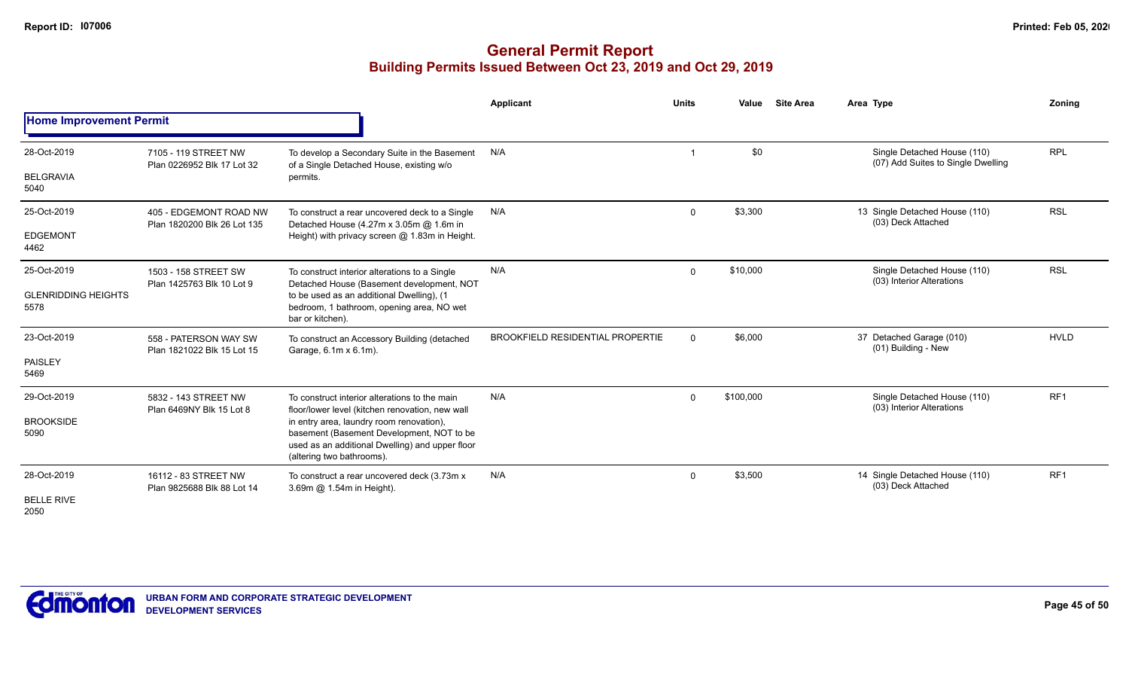|                                    |                                                       |                                                                                                                                                                       | Applicant                               | <b>Units</b>            | Value     | <b>Site Area</b> | Area Type                                                         | Zonina          |
|------------------------------------|-------------------------------------------------------|-----------------------------------------------------------------------------------------------------------------------------------------------------------------------|-----------------------------------------|-------------------------|-----------|------------------|-------------------------------------------------------------------|-----------------|
| <b>Home Improvement Permit</b>     |                                                       |                                                                                                                                                                       |                                         |                         |           |                  |                                                                   |                 |
| 28-Oct-2019                        | 7105 - 119 STREET NW<br>Plan 0226952 Blk 17 Lot 32    | To develop a Secondary Suite in the Basement<br>of a Single Detached House, existing w/o                                                                              | N/A                                     | $\overline{\mathbf{1}}$ | \$0       |                  | Single Detached House (110)<br>(07) Add Suites to Single Dwelling | <b>RPL</b>      |
| <b>BELGRAVIA</b><br>5040           |                                                       | permits.                                                                                                                                                              |                                         |                         |           |                  |                                                                   |                 |
| 25-Oct-2019                        | 405 - EDGEMONT ROAD NW<br>Plan 1820200 Blk 26 Lot 135 | To construct a rear uncovered deck to a Single<br>Detached House (4.27m x 3.05m @ 1.6m in                                                                             | N/A                                     | 0                       | \$3,300   |                  | 13 Single Detached House (110)<br>(03) Deck Attached              | <b>RSL</b>      |
| <b>EDGEMONT</b><br>4462            |                                                       | Height) with privacy screen @ 1.83m in Height.                                                                                                                        |                                         |                         |           |                  |                                                                   |                 |
| 25-Oct-2019                        | 1503 - 158 STREET SW<br>Plan 1425763 Blk 10 Lot 9     | To construct interior alterations to a Single<br>Detached House (Basement development, NOT                                                                            | N/A                                     | $\Omega$                | \$10,000  |                  | Single Detached House (110)<br>(03) Interior Alterations          | <b>RSL</b>      |
| <b>GLENRIDDING HEIGHTS</b><br>5578 |                                                       | to be used as an additional Dwelling), (1<br>bedroom, 1 bathroom, opening area, NO wet<br>bar or kitchen).                                                            |                                         |                         |           |                  |                                                                   |                 |
| 23-Oct-2019                        | 558 - PATERSON WAY SW<br>Plan 1821022 Blk 15 Lot 15   | To construct an Accessory Building (detached<br>Garage, 6.1m x 6.1m).                                                                                                 | <b>BROOKFIELD RESIDENTIAL PROPERTIE</b> | $\mathbf 0$             | \$6,000   |                  | 37 Detached Garage (010)<br>(01) Building - New                   | <b>HVLD</b>     |
| <b>PAISLEY</b><br>5469             |                                                       |                                                                                                                                                                       |                                         |                         |           |                  |                                                                   |                 |
| 29-Oct-2019                        | 5832 - 143 STREET NW<br>Plan 6469NY Blk 15 Lot 8      | To construct interior alterations to the main<br>floor/lower level (kitchen renovation, new wall                                                                      | N/A                                     | 0                       | \$100,000 |                  | Single Detached House (110)<br>(03) Interior Alterations          | RF <sub>1</sub> |
| <b>BROOKSIDE</b><br>5090           |                                                       | in entry area, laundry room renovation),<br>basement (Basement Development, NOT to be<br>used as an additional Dwelling) and upper floor<br>(altering two bathrooms). |                                         |                         |           |                  |                                                                   |                 |
| 28-Oct-2019                        | 16112 - 83 STREET NW<br>Plan 9825688 Blk 88 Lot 14    | To construct a rear uncovered deck (3.73m x<br>3.69m @ 1.54m in Height).                                                                                              | N/A                                     | 0                       | \$3,500   |                  | 14 Single Detached House (110)<br>(03) Deck Attached              | RF <sub>1</sub> |
| <b>BELLE RIVE</b><br>2050          |                                                       |                                                                                                                                                                       |                                         |                         |           |                  |                                                                   |                 |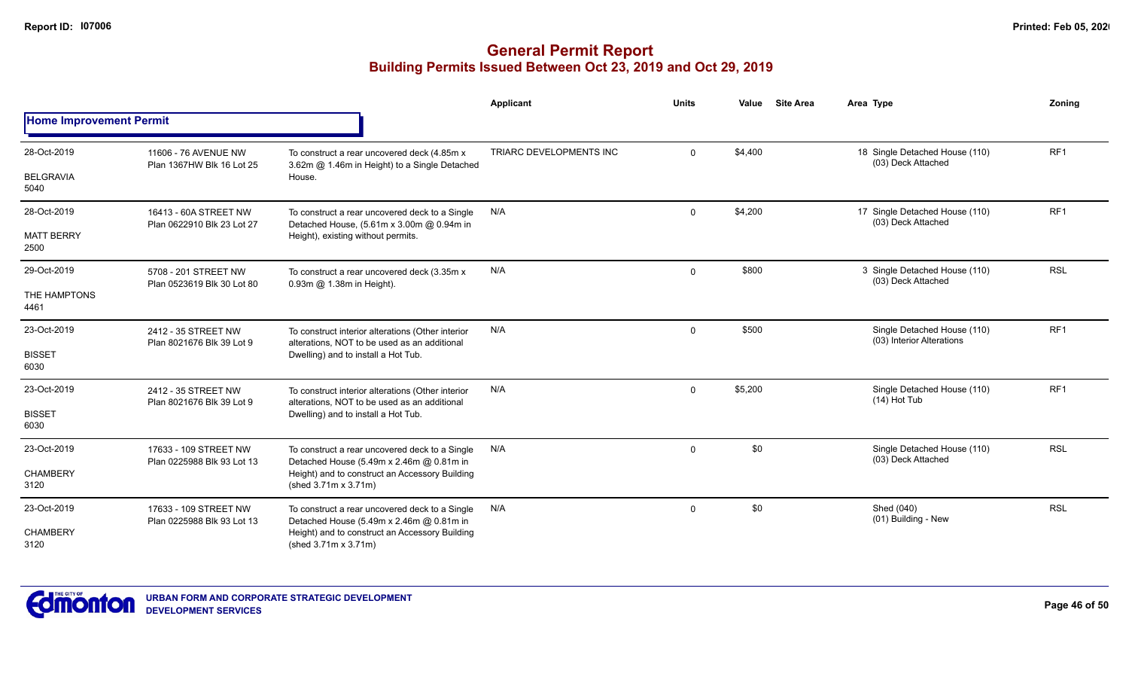|                                |                                                     |                                                                                                   | <b>Applicant</b>        | <b>Units</b> | Value   | <b>Site Area</b> | Area Type                                                | Zoning          |
|--------------------------------|-----------------------------------------------------|---------------------------------------------------------------------------------------------------|-------------------------|--------------|---------|------------------|----------------------------------------------------------|-----------------|
| <b>Home Improvement Permit</b> |                                                     |                                                                                                   |                         |              |         |                  |                                                          |                 |
| 28-Oct-2019                    | 11606 - 76 AVENUE NW<br>Plan 1367HW Blk 16 Lot 25   | To construct a rear uncovered deck (4.85m x<br>3.62m @ 1.46m in Height) to a Single Detached      | TRIARC DEVELOPMENTS INC | $\Omega$     | \$4,400 |                  | 18 Single Detached House (110)<br>(03) Deck Attached     | RF <sub>1</sub> |
| <b>BELGRAVIA</b><br>5040       |                                                     | House.                                                                                            |                         |              |         |                  |                                                          |                 |
| 28-Oct-2019                    | 16413 - 60A STREET NW<br>Plan 0622910 Blk 23 Lot 27 | To construct a rear uncovered deck to a Single<br>Detached House, (5.61m x 3.00m @ 0.94m in       | N/A                     | $\mathbf 0$  | \$4,200 |                  | 17 Single Detached House (110)<br>(03) Deck Attached     | RF <sub>1</sub> |
| <b>MATT BERRY</b><br>2500      |                                                     | Height), existing without permits.                                                                |                         |              |         |                  |                                                          |                 |
| 29-Oct-2019                    | 5708 - 201 STREET NW<br>Plan 0523619 Blk 30 Lot 80  | To construct a rear uncovered deck (3.35m x<br>0.93m @ 1.38m in Height).                          | N/A                     | $\mathbf 0$  | \$800   |                  | 3 Single Detached House (110)<br>(03) Deck Attached      | <b>RSL</b>      |
| THE HAMPTONS<br>4461           |                                                     |                                                                                                   |                         |              |         |                  |                                                          |                 |
| 23-Oct-2019                    | 2412 - 35 STREET NW<br>Plan 8021676 Blk 39 Lot 9    | To construct interior alterations (Other interior<br>alterations. NOT to be used as an additional | N/A                     | $\mathbf 0$  | \$500   |                  | Single Detached House (110)<br>(03) Interior Alterations | RF <sub>1</sub> |
| <b>BISSET</b><br>6030          |                                                     | Dwelling) and to install a Hot Tub.                                                               |                         |              |         |                  |                                                          |                 |
| 23-Oct-2019                    | 2412 - 35 STREET NW<br>Plan 8021676 Blk 39 Lot 9    | To construct interior alterations (Other interior<br>alterations. NOT to be used as an additional | N/A                     | $\mathbf 0$  | \$5,200 |                  | Single Detached House (110)<br>$(14)$ Hot Tub            | RF <sub>1</sub> |
| <b>BISSET</b><br>6030          |                                                     | Dwelling) and to install a Hot Tub.                                                               |                         |              |         |                  |                                                          |                 |
| 23-Oct-2019                    | 17633 - 109 STREET NW                               | To construct a rear uncovered deck to a Single<br>Detached House (5.49m x 2.46m @ 0.81m in        | N/A                     | $\mathbf 0$  | \$0     |                  | Single Detached House (110)<br>(03) Deck Attached        | <b>RSL</b>      |
| <b>CHAMBERY</b><br>3120        | Plan 0225988 Blk 93 Lot 13                          | Height) and to construct an Accessory Building<br>(shed 3.71m x 3.71m)                            |                         |              |         |                  |                                                          |                 |
| 23-Oct-2019                    | 17633 - 109 STREET NW                               | To construct a rear uncovered deck to a Single<br>Detached House (5.49m x 2.46m @ 0.81m in        | N/A                     | $\Omega$     | \$0     |                  | Shed (040)<br>(01) Building - New                        | <b>RSL</b>      |
| <b>CHAMBERY</b><br>3120        | Plan 0225988 Blk 93 Lot 13                          | Height) and to construct an Accessory Building<br>(shed 3.71m x 3.71m)                            |                         |              |         |                  |                                                          |                 |

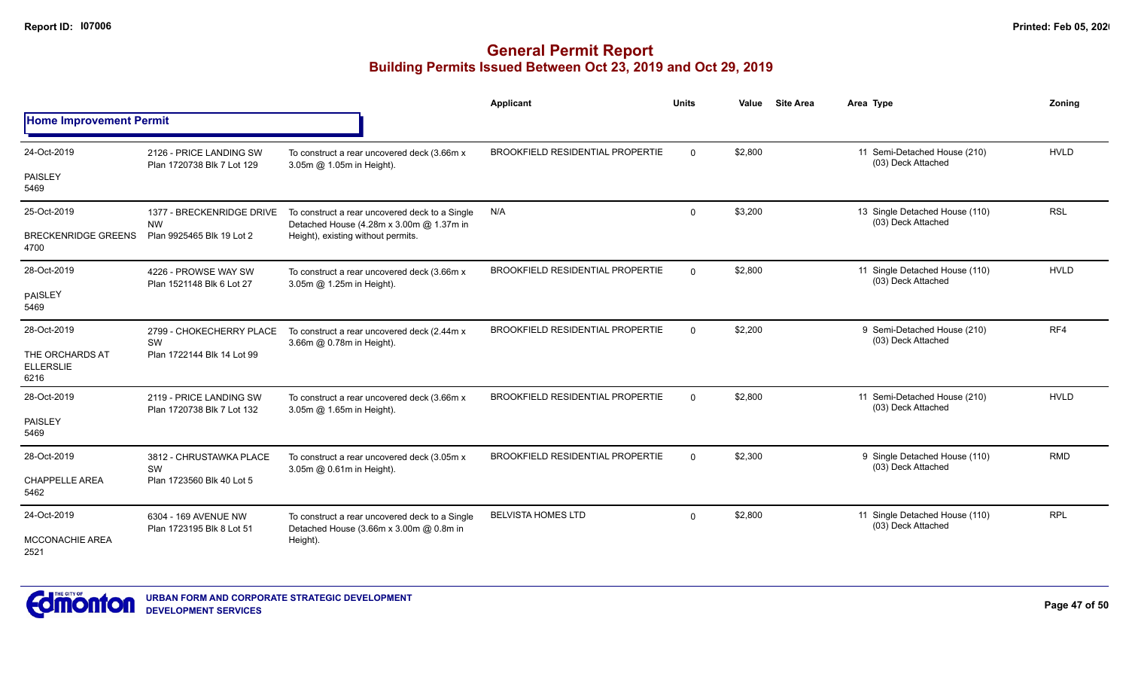|                                             |                                                       |                                                                                            | Applicant                               | <b>Units</b> | Value   | <b>Site Area</b> | Area Type                                            | Zoning      |
|---------------------------------------------|-------------------------------------------------------|--------------------------------------------------------------------------------------------|-----------------------------------------|--------------|---------|------------------|------------------------------------------------------|-------------|
| <b>Home Improvement Permit</b>              |                                                       |                                                                                            |                                         |              |         |                  |                                                      |             |
| 24-Oct-2019                                 | 2126 - PRICE LANDING SW<br>Plan 1720738 Blk 7 Lot 129 | To construct a rear uncovered deck (3.66m x<br>3.05m @ 1.05m in Height).                   | BROOKFIELD RESIDENTIAL PROPERTIE        | $\Omega$     | \$2,800 |                  | 11 Semi-Detached House (210)<br>(03) Deck Attached   | <b>HVLD</b> |
| <b>PAISLEY</b><br>5469                      |                                                       |                                                                                            |                                         |              |         |                  |                                                      |             |
| 25-Oct-2019                                 | 1377 - BRECKENRIDGE DRIVE<br><b>NW</b>                | To construct a rear uncovered deck to a Single<br>Detached House (4.28m x 3.00m @ 1.37m in | N/A                                     | $\mathbf 0$  | \$3,200 |                  | 13 Single Detached House (110)<br>(03) Deck Attached | <b>RSL</b>  |
| <b>BRECKENRIDGE GREENS</b><br>4700          | Plan 9925465 Blk 19 Lot 2                             | Height), existing without permits.                                                         |                                         |              |         |                  |                                                      |             |
| 28-Oct-2019                                 | 4226 - PROWSE WAY SW<br>Plan 1521148 Blk 6 Lot 27     | To construct a rear uncovered deck (3.66m x<br>3.05m @ 1.25m in Height).                   | <b>BROOKFIELD RESIDENTIAL PROPERTIE</b> | $\mathbf{0}$ | \$2,800 |                  | 11 Single Detached House (110)<br>(03) Deck Attached | <b>HVLD</b> |
| PAISLEY<br>5469                             |                                                       |                                                                                            |                                         |              |         |                  |                                                      |             |
| 28-Oct-2019                                 | 2799 - CHOKECHERRY PLACE<br>SW                        | To construct a rear uncovered deck (2.44m x                                                | BROOKFIELD RESIDENTIAL PROPERTIE        | $\Omega$     | \$2,200 |                  | 9 Semi-Detached House (210)<br>(03) Deck Attached    | RF4         |
| THE ORCHARDS AT<br><b>ELLERSLIE</b><br>6216 | Plan 1722144 Blk 14 Lot 99                            | 3.66m @ 0.78m in Height).                                                                  |                                         |              |         |                  |                                                      |             |
| 28-Oct-2019                                 | 2119 - PRICE LANDING SW<br>Plan 1720738 Blk 7 Lot 132 | To construct a rear uncovered deck (3.66m x<br>3.05m @ 1.65m in Height).                   | <b>BROOKFIELD RESIDENTIAL PROPERTIE</b> | $\Omega$     | \$2,800 |                  | 11 Semi-Detached House (210)<br>(03) Deck Attached   | <b>HVLD</b> |
| <b>PAISLEY</b><br>5469                      |                                                       |                                                                                            |                                         |              |         |                  |                                                      |             |
| 28-Oct-2019                                 | 3812 - CHRUSTAWKA PLACE<br>SW                         | To construct a rear uncovered deck (3.05m x                                                | <b>BROOKFIELD RESIDENTIAL PROPERTIE</b> | $\Omega$     | \$2,300 |                  | 9 Single Detached House (110)<br>(03) Deck Attached  | <b>RMD</b>  |
| <b>CHAPPELLE AREA</b><br>5462               | Plan 1723560 Blk 40 Lot 5                             | 3.05m @ 0.61m in Height).                                                                  |                                         |              |         |                  |                                                      |             |
| 24-Oct-2019                                 | 6304 - 169 AVENUE NW<br>Plan 1723195 Blk 8 Lot 51     | To construct a rear uncovered deck to a Single<br>Detached House (3.66m x 3.00m @ 0.8m in  | <b>BELVISTA HOMES LTD</b>               | $\Omega$     | \$2,800 |                  | 11 Single Detached House (110)<br>(03) Deck Attached | <b>RPL</b>  |
| <b>MCCONACHIE AREA</b><br>2521              |                                                       | Height).                                                                                   |                                         |              |         |                  |                                                      |             |

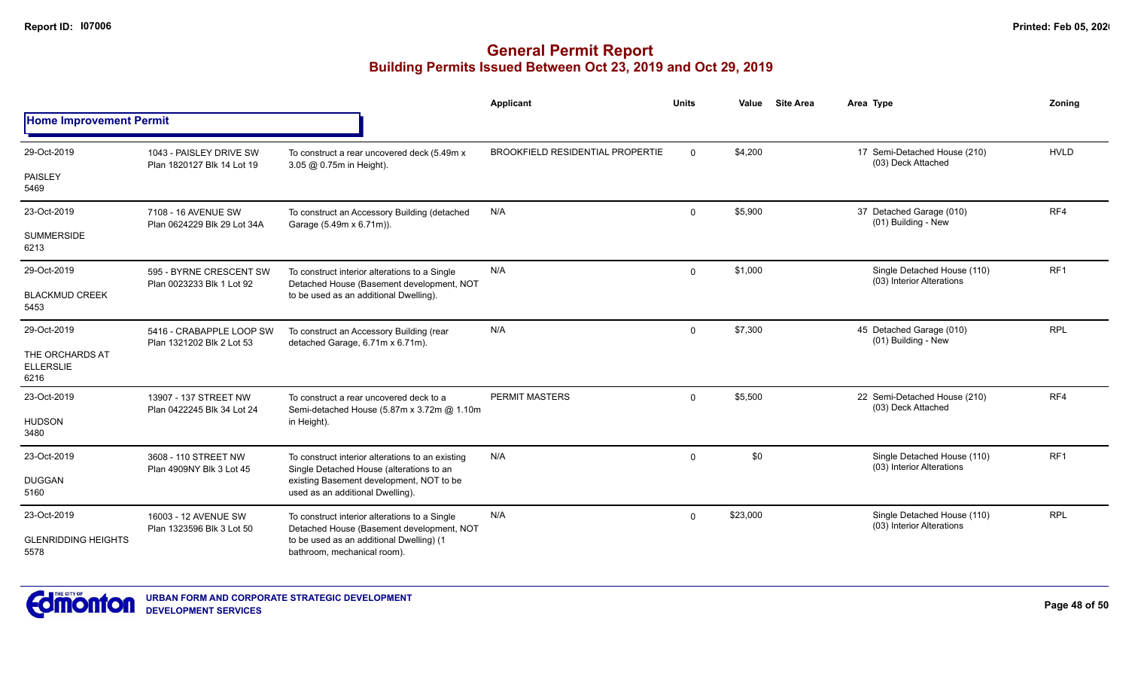|                                             |                                                      |                                                                                              | Applicant                               | <b>Units</b> | Value    | <b>Site Area</b> | Area Type                                                | Zonina          |
|---------------------------------------------|------------------------------------------------------|----------------------------------------------------------------------------------------------|-----------------------------------------|--------------|----------|------------------|----------------------------------------------------------|-----------------|
| <b>Home Improvement Permit</b>              |                                                      |                                                                                              |                                         |              |          |                  |                                                          |                 |
| 29-Oct-2019                                 | 1043 - PAISLEY DRIVE SW                              | To construct a rear uncovered deck (5.49m x                                                  | <b>BROOKFIELD RESIDENTIAL PROPERTIE</b> | $\Omega$     | \$4,200  |                  | 17 Semi-Detached House (210)<br>(03) Deck Attached       | <b>HVLD</b>     |
| <b>PAISLEY</b><br>5469                      | Plan 1820127 Blk 14 Lot 19                           | 3.05 @ 0.75m in Height).                                                                     |                                         |              |          |                  |                                                          |                 |
| 23-Oct-2019                                 | 7108 - 16 AVENUE SW<br>Plan 0624229 Blk 29 Lot 34A   | To construct an Accessory Building (detached<br>Garage (5.49m x 6.71m)).                     | N/A                                     | $\mathbf 0$  | \$5,900  |                  | 37 Detached Garage (010)<br>(01) Building - New          | RF4             |
| <b>SUMMERSIDE</b><br>6213                   |                                                      |                                                                                              |                                         |              |          |                  |                                                          |                 |
| 29-Oct-2019                                 | 595 - BYRNE CRESCENT SW<br>Plan 0023233 Blk 1 Lot 92 | To construct interior alterations to a Single<br>Detached House (Basement development, NOT   | N/A                                     | $\Omega$     | \$1,000  |                  | Single Detached House (110)<br>(03) Interior Alterations | RF1             |
| <b>BLACKMUD CREEK</b><br>5453               |                                                      | to be used as an additional Dwelling).                                                       |                                         |              |          |                  |                                                          |                 |
| 29-Oct-2019                                 | 5416 - CRABAPPLE LOOP SW                             | To construct an Accessory Building (rear<br>detached Garage, 6.71m x 6.71m).                 | N/A                                     | $\mathbf 0$  | \$7,300  |                  | 45 Detached Garage (010)<br>(01) Building - New          | <b>RPL</b>      |
| THE ORCHARDS AT<br><b>ELLERSLIE</b><br>6216 | Plan 1321202 Blk 2 Lot 53                            |                                                                                              |                                         |              |          |                  |                                                          |                 |
| 23-Oct-2019                                 | 13907 - 137 STREET NW<br>Plan 0422245 Blk 34 Lot 24  | To construct a rear uncovered deck to a<br>Semi-detached House (5.87m x 3.72m @ 1.10m        | <b>PERMIT MASTERS</b>                   | $\mathbf 0$  | \$5,500  |                  | 22 Semi-Detached House (210)<br>(03) Deck Attached       | RF4             |
| <b>HUDSON</b><br>3480                       |                                                      | in Height).                                                                                  |                                         |              |          |                  |                                                          |                 |
| 23-Oct-2019                                 | 3608 - 110 STREET NW                                 | To construct interior alterations to an existing<br>Single Detached House (alterations to an | N/A                                     | $\mathbf 0$  | \$0      |                  | Single Detached House (110)<br>(03) Interior Alterations | RF <sub>1</sub> |
| <b>DUGGAN</b><br>5160                       | Plan 4909NY Blk 3 Lot 45                             | existing Basement development, NOT to be<br>used as an additional Dwelling).                 |                                         |              |          |                  |                                                          |                 |
| 23-Oct-2019                                 | 16003 - 12 AVENUE SW<br>Plan 1323596 Blk 3 Lot 50    | To construct interior alterations to a Single<br>Detached House (Basement development, NOT   | N/A                                     | $\mathbf 0$  | \$23,000 |                  | Single Detached House (110)<br>(03) Interior Alterations | <b>RPL</b>      |
| <b>GLENRIDDING HEIGHTS</b><br>5578          |                                                      | to be used as an additional Dwelling) (1<br>bathroom, mechanical room).                      |                                         |              |          |                  |                                                          |                 |

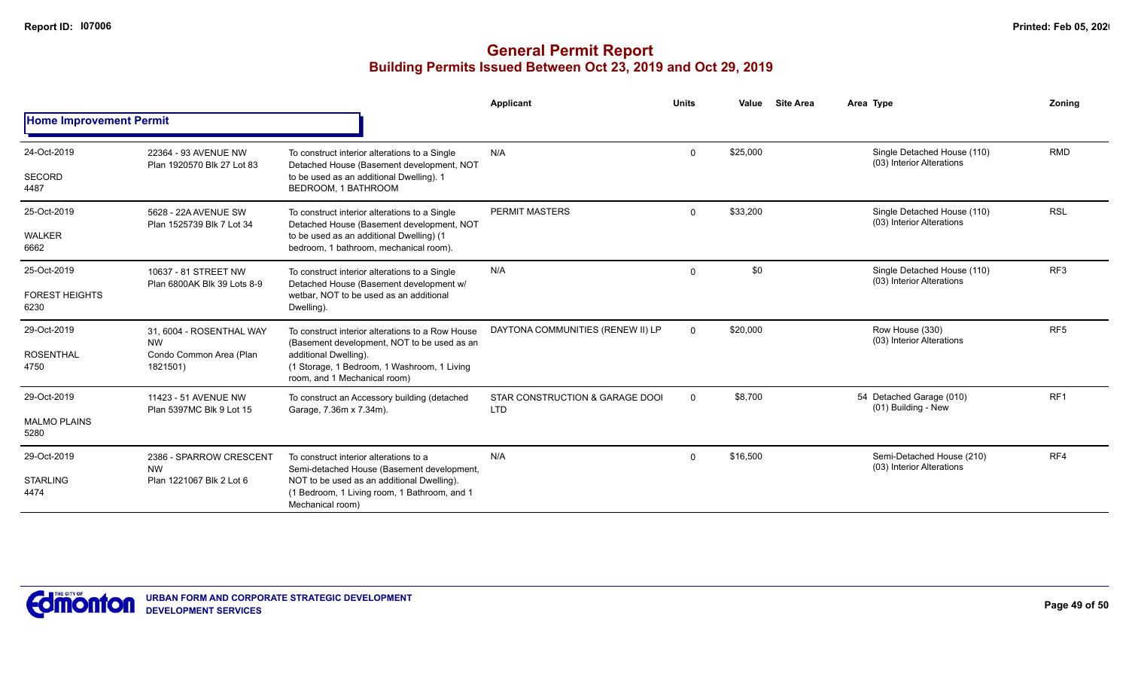|                                |                                                                              |                                                                                                                                                                                                         | <b>Applicant</b>                              | <b>Units</b> | Value    | <b>Site Area</b> | Area Type                                                | Zoning          |
|--------------------------------|------------------------------------------------------------------------------|---------------------------------------------------------------------------------------------------------------------------------------------------------------------------------------------------------|-----------------------------------------------|--------------|----------|------------------|----------------------------------------------------------|-----------------|
| <b>Home Improvement Permit</b> |                                                                              |                                                                                                                                                                                                         |                                               |              |          |                  |                                                          |                 |
| 24-Oct-2019                    | 22364 - 93 AVENUE NW<br>Plan 1920570 Blk 27 Lot 83                           | To construct interior alterations to a Single<br>Detached House (Basement development, NOT                                                                                                              | N/A                                           | $\Omega$     | \$25,000 |                  | Single Detached House (110)<br>(03) Interior Alterations | <b>RMD</b>      |
| SECORD<br>4487                 |                                                                              | to be used as an additional Dwelling). 1<br>BEDROOM, 1 BATHROOM                                                                                                                                         |                                               |              |          |                  |                                                          |                 |
| 25-Oct-2019                    | 5628 - 22A AVENUE SW<br>Plan 1525739 Blk 7 Lot 34                            | To construct interior alterations to a Single<br>Detached House (Basement development, NOT<br>to be used as an additional Dwelling) (1<br>bedroom, 1 bathroom, mechanical room).                        | <b>PERMIT MASTERS</b>                         | $\Omega$     | \$33,200 |                  | Single Detached House (110)<br>(03) Interior Alterations | <b>RSL</b>      |
| <b>WALKER</b><br>6662          |                                                                              |                                                                                                                                                                                                         |                                               |              |          |                  |                                                          |                 |
| 25-Oct-2019                    | 10637 - 81 STREET NW<br>Plan 6800AK Blk 39 Lots 8-9                          | To construct interior alterations to a Single<br>Detached House (Basement development w/<br>wetbar. NOT to be used as an additional<br>Dwelling).                                                       | N/A                                           | $\Omega$     | \$0      |                  | Single Detached House (110)<br>(03) Interior Alterations | RF <sub>3</sub> |
| <b>FOREST HEIGHTS</b><br>6230  |                                                                              |                                                                                                                                                                                                         |                                               |              |          |                  |                                                          |                 |
| 29-Oct-2019                    | 31, 6004 - ROSENTHAL WAY<br><b>NW</b><br>Condo Common Area (Plan<br>1821501) | To construct interior alterations to a Row House<br>(Basement development, NOT to be used as an<br>additional Dwelling).<br>(1 Storage, 1 Bedroom, 1 Washroom, 1 Living<br>room, and 1 Mechanical room) | DAYTONA COMMUNITIES (RENEW II) LP             | $\Omega$     | \$20,000 |                  | Row House (330)<br>(03) Interior Alterations             | RF <sub>5</sub> |
| <b>ROSENTHAL</b><br>4750       |                                                                              |                                                                                                                                                                                                         |                                               |              |          |                  |                                                          |                 |
| 29-Oct-2019                    | 11423 - 51 AVENUE NW<br>Plan 5397MC Blk 9 Lot 15                             | To construct an Accessory building (detached<br>Garage, 7.36m x 7.34m).                                                                                                                                 | STAR CONSTRUCTION & GARAGE DOOI<br><b>LTD</b> | $\Omega$     | \$8,700  |                  | 54 Detached Garage (010)<br>(01) Building - New          | RF <sub>1</sub> |
| <b>MALMO PLAINS</b><br>5280    |                                                                              |                                                                                                                                                                                                         |                                               |              |          |                  |                                                          |                 |
| 29-Oct-2019                    | 2386 - SPARROW CRESCENT<br><b>NW</b><br>Plan 1221067 Blk 2 Lot 6             | To construct interior alterations to a<br>Semi-detached House (Basement development,<br>NOT to be used as an additional Dwelling).<br>(1 Bedroom, 1 Living room, 1 Bathroom, and 1<br>Mechanical room)  | N/A                                           | $\Omega$     | \$16,500 |                  | Semi-Detached House (210)<br>(03) Interior Alterations   | RF4             |
| <b>STARLING</b><br>4474        |                                                                              |                                                                                                                                                                                                         |                                               |              |          |                  |                                                          |                 |